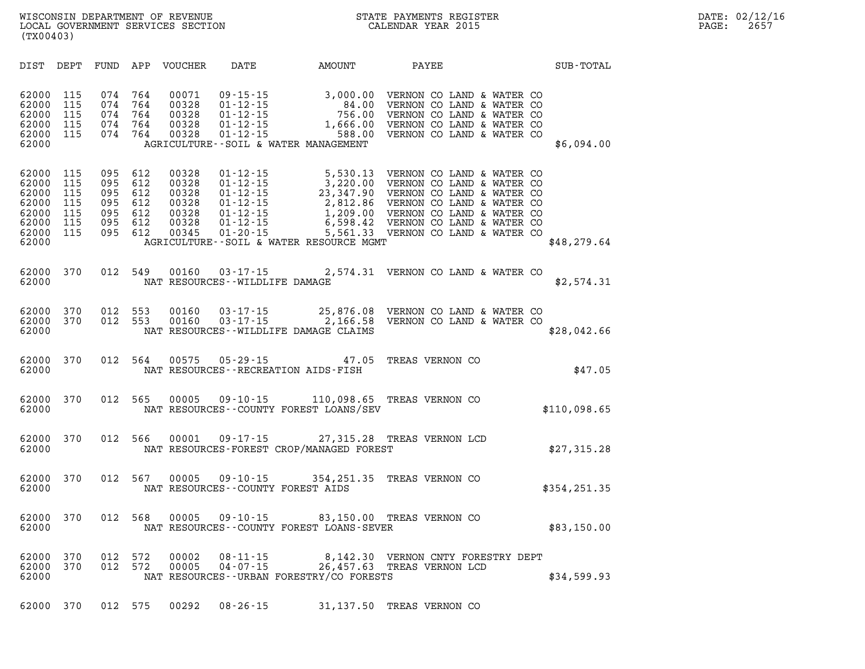| DATE: | 02/12/16 |
|-------|----------|
| PAGE: | 2657     |

| DIST                                                                 | DEPT                                          | FUND                                       | APP                                        | <b>VOUCHER</b>                                              | DATE                               | AMOUNT                                                                                                                                                                   | PAYEE                                                                                                                                                                                                                                         | SUB-TOTAL     |
|----------------------------------------------------------------------|-----------------------------------------------|--------------------------------------------|--------------------------------------------|-------------------------------------------------------------|------------------------------------|--------------------------------------------------------------------------------------------------------------------------------------------------------------------------|-----------------------------------------------------------------------------------------------------------------------------------------------------------------------------------------------------------------------------------------------|---------------|
| 62000<br>62000<br>62000<br>62000<br>62000<br>62000                   | 115<br>115<br>115<br>115<br>115               | 074<br>074<br>074<br>074<br>074            | 764<br>764<br>764<br>764<br>764            | 00071<br>00328<br>00328<br>00328<br>00328                   |                                    | 09-15-15<br>01-12-15<br>01-12-15<br>01-12-15<br>01-12-15<br>01-12-15<br>01-12-15<br>00-12-15<br>00-12-15<br>00-12-15<br>00-12-15<br>AGRICULTURE--SOIL & WATER MANAGEMENT | VERNON CO LAND & WATER CO<br>VERNON CO LAND & WATER CO<br>VERNON CO LAND & WATER CO<br>VERNON CO LAND & WATER CO<br>VERNON CO LAND & WATER CO                                                                                                 | \$6,094.00    |
| 62000<br>62000<br>62000<br>62000<br>62000<br>62000<br>62000<br>62000 | 115<br>115<br>115<br>115<br>115<br>115<br>115 | 095 612<br>095<br>095<br>095<br>095<br>095 | 612<br>612<br>612<br>612<br>612<br>095 612 | 00328<br>00328<br>00328<br>00328<br>00328<br>00328<br>00345 |                                    | AGRICULTURE--SOIL & WATER RESOURCE MGMT                                                                                                                                  | 01-12-15 5,530.13 VERNON CO LAND & WATER CO<br>01-12-15 3,220.00 VERNON CO LAND & WATER CO<br>01-12-15 23,347.90 VERNON CO LAND & WATER CO<br>01-12-15 2,812.86 VERNON CO LAND & WATER CO<br>01-12-15 1,209.00 VERNON CO LAND & WATER CO<br>0 | \$48,279.64   |
| 62000<br>62000                                                       | 370                                           | 012                                        | 549                                        | 00160                                                       | NAT RESOURCES - - WILDLIFE DAMAGE  |                                                                                                                                                                          | 03-17-15 2,574.31 VERNON CO LAND & WATER CO                                                                                                                                                                                                   | \$2,574.31    |
| 62000<br>62000<br>62000                                              | 370<br>370                                    | 012<br>012                                 | 553<br>553                                 | 00160<br>00160                                              |                                    | NAT RESOURCES--WILDLIFE DAMAGE CLAIMS                                                                                                                                    |                                                                                                                                                                                                                                               | \$28,042.66   |
| 62000<br>62000                                                       | 370                                           | 012                                        | 564                                        | 00575                                                       |                                    | 05-29-15 47.05<br>NAT RESOURCES - - RECREATION AIDS - FISH                                                                                                               | TREAS VERNON CO                                                                                                                                                                                                                               | \$47.05       |
| 62000<br>62000                                                       | 370                                           | 012                                        | 565                                        | 00005                                                       |                                    | NAT RESOURCES--COUNTY FOREST LOANS/SEV                                                                                                                                   | 09-10-15 110,098.65 TREAS VERNON CO                                                                                                                                                                                                           | \$110,098.65  |
| 62000<br>62000                                                       | 370                                           | 012                                        | 566                                        | 00001                                                       |                                    | NAT RESOURCES-FOREST CROP/MANAGED FOREST                                                                                                                                 | 09-17-15 27,315.28 TREAS VERNON LCD                                                                                                                                                                                                           | \$27,315.28   |
| 62000<br>62000                                                       | 370                                           | 012                                        | 567                                        | 00005                                                       | NAT RESOURCES - COUNTY FOREST AIDS |                                                                                                                                                                          | 09-10-15 354, 251.35 TREAS VERNON CO                                                                                                                                                                                                          | \$354, 251.35 |
| 62000<br>62000                                                       | 370                                           | 012                                        | 568                                        |                                                             |                                    | NAT RESOURCES--COUNTY FOREST LOANS-SEVER                                                                                                                                 | 00005 09-10-15 83,150.00 TREAS VERNON CO                                                                                                                                                                                                      | \$83,150.00   |
| 62000<br>62000<br>62000                                              | 370<br>370                                    | 012<br>012                                 | 572<br>572                                 | 00002<br>00005                                              | $04 - 07 - 15$                     | NAT RESOURCES--URBAN FORESTRY/CO FORESTS                                                                                                                                 | 08-11-15 8,142.30 VERNON CNTY FORESTRY DEPT<br>26,457.63 TREAS VERNON LCD                                                                                                                                                                     | \$34,599.93   |
| 62000                                                                | 370                                           | 012                                        | 575                                        | 00292                                                       | $08 - 26 - 15$                     | 31,137.50                                                                                                                                                                | TREAS VERNON CO                                                                                                                                                                                                                               |               |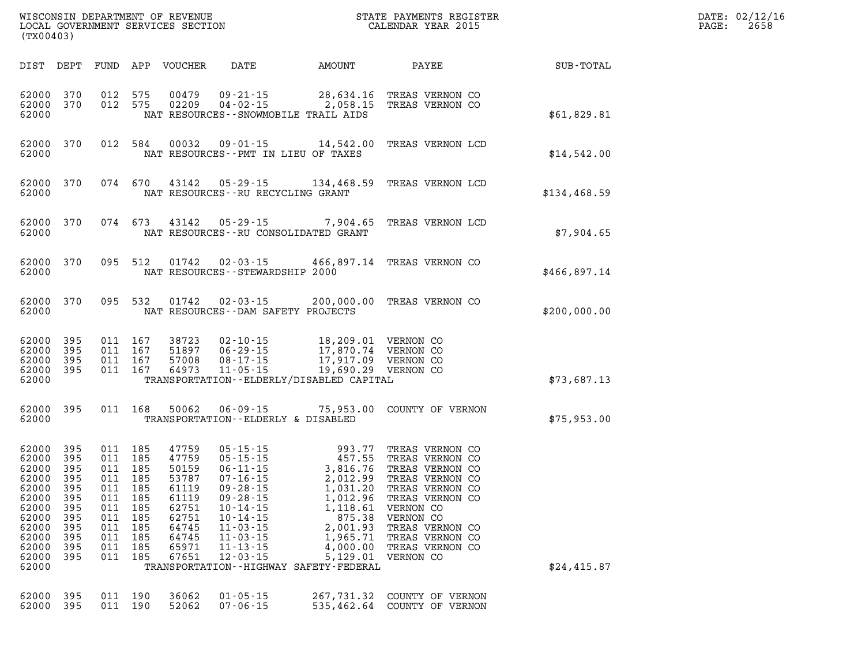| (TX00403)                                                                                                |                                                                                        |                                                                                                                       |                                                                                                                  |                                                                                                                                                                                                                                                                                                                                                                                                   |                                                                                   | WISCONSIN DEPARTMENT OF REVENUE<br>LOCAL GOVERNMENT SERVICES SECTION THE STATE PAYMENTS REGIST<br>(TYOO402)<br>STATE PAYMENTS REGISTER                                                                                  |              | DATE: 02/12/16<br>$\mathtt{PAGE}$ :<br>2658 |
|----------------------------------------------------------------------------------------------------------|----------------------------------------------------------------------------------------|-----------------------------------------------------------------------------------------------------------------------|------------------------------------------------------------------------------------------------------------------|---------------------------------------------------------------------------------------------------------------------------------------------------------------------------------------------------------------------------------------------------------------------------------------------------------------------------------------------------------------------------------------------------|-----------------------------------------------------------------------------------|-------------------------------------------------------------------------------------------------------------------------------------------------------------------------------------------------------------------------|--------------|---------------------------------------------|
| DIST DEPT                                                                                                |                                                                                        |                                                                                                                       | FUND APP VOUCHER                                                                                                 | DATE                                                                                                                                                                                                                                                                                                                                                                                              | AMOUNT                                                                            | PAYEE                                                                                                                                                                                                                   | SUB-TOTAL    |                                             |
| 62000<br>62000 370<br>62000                                                                              | 370                                                                                    | 012 575<br>012 575                                                                                                    | 00479<br>02209                                                                                                   | 09-21-15 28,634.16<br>04-02-15 2,058.15<br>NAT RESOURCES - - SNOWMOBILE TRAIL AIDS                                                                                                                                                                                                                                                                                                                |                                                                                   | TREAS VERNON CO<br>TREAS VERNON CO                                                                                                                                                                                      | \$61,829.81  |                                             |
| 62000<br>62000                                                                                           | 370                                                                                    | 012 584                                                                                                               | 00032                                                                                                            | $09 - 01 - 15$ 14,542.00<br>NAT RESOURCES -- PMT IN LIEU OF TAXES                                                                                                                                                                                                                                                                                                                                 |                                                                                   | TREAS VERNON LCD                                                                                                                                                                                                        | \$14,542.00  |                                             |
| 62000<br>62000                                                                                           | 370                                                                                    | 074 670                                                                                                               | 43142                                                                                                            | NAT RESOURCES -- RU RECYCLING GRANT                                                                                                                                                                                                                                                                                                                                                               |                                                                                   | 05-29-15 134,468.59 TREAS VERNON LCD                                                                                                                                                                                    | \$134,468.59 |                                             |
| 62000<br>62000                                                                                           | 370                                                                                    | 074 673                                                                                                               | 43142                                                                                                            | $05 - 29 - 15$ 7,904.65<br>NAT RESOURCES - - RU CONSOLIDATED GRANT                                                                                                                                                                                                                                                                                                                                |                                                                                   | TREAS VERNON LCD                                                                                                                                                                                                        | \$7.904.65   |                                             |
| 62000<br>62000                                                                                           | 370                                                                                    | 095 512                                                                                                               | 01742                                                                                                            | NAT RESOURCES - - STEWARDSHIP 2000                                                                                                                                                                                                                                                                                                                                                                |                                                                                   | 02-03-15 466,897.14 TREAS VERNON CO                                                                                                                                                                                     | \$466,897.14 |                                             |
| 62000<br>62000                                                                                           | 370                                                                                    | 095 532                                                                                                               | 01742                                                                                                            | NAT RESOURCES - DAM SAFETY PROJECTS                                                                                                                                                                                                                                                                                                                                                               |                                                                                   | 02-03-15 200,000.00 TREAS VERNON CO                                                                                                                                                                                     | \$200,000.00 |                                             |
| 62000<br>62000<br>62000<br>62000 395<br>62000                                                            | 395<br>395<br>395                                                                      | 011 167<br>011 167<br>011 167<br>011 167                                                                              | 38723<br>51897<br>57008<br>64973                                                                                 | $02 - 10 - 15$<br>$06 - 29 - 15$<br>$08 - 17 - 15$<br>$11 - 05 - 15$<br>TRANSPORTATION - - ELDERLY/DISABLED CAPITAL                                                                                                                                                                                                                                                                               | 18,209.01<br>17,870.74<br>17,917.09<br>17,917.09 VERNON CO<br>19,690.29 VERNON CO | VERNON CO<br>VERNON CO                                                                                                                                                                                                  | \$73,687.13  |                                             |
| 62000<br>62000                                                                                           | 395                                                                                    | 011 168                                                                                                               | 50062                                                                                                            | 06-09-15<br>TRANSPORTATION--ELDERLY & DISABLED                                                                                                                                                                                                                                                                                                                                                    |                                                                                   | 75,953.00 COUNTY OF VERNON                                                                                                                                                                                              | \$75,953.00  |                                             |
| 62000<br>62000<br>62000<br>62000<br>62000<br>62000<br>62000<br>62000<br>62000<br>62000<br>62000<br>62000 | 395<br>395<br>395<br>395<br>395<br>62000 395<br>395<br>395<br>395<br>395<br>395<br>395 | 011 185<br>011 185<br>011 185<br>011 185<br>011 185<br>011 185<br>011 185<br>011 185<br>011 185<br>011 185<br>011 185 | 47759<br>47759<br>50159<br>53787<br>61119<br>011 185 61119<br>62751<br>62751<br>64745<br>64745<br>65971<br>67651 | 05-15-15<br>05-15-15<br>06-11-15<br>07-16-15<br>09-28-15<br>09-28-15<br>09-28-15<br>09-28-15<br>09-28-15<br>09-28-15<br>09-28-15<br>09-28-15<br>09-28-15<br>09-28-15<br>09-28-15<br>09-28-15<br>09-28-15<br>09-28-15<br>$09 - 28 - 15$<br>$10 - 14 - 15$<br>$10 - 14 - 15$<br>$11 - 03 - 15$<br>$11 - 03 - 15$<br>$11 - 13 - 15$<br>$12 - 03 - 15$<br>TRANSPORTATION - - HIGHWAY SAFETY - FEDERAL | 1,118.61<br>875.38<br>2,001.93<br>1,965.71<br>4,000.00<br>5,129.01                | TREAS VERNON CO<br>TREAS VERNON CO<br>TREAS VERNON CO<br>TREAS VERNON CO<br>TREAS VERNON CO<br>1,012.96 TREAS VERNON CO<br>VERNON CO<br>VERNON CO<br>TREAS VERNON CO<br>TREAS VERNON CO<br>TREAS VERNON CO<br>VERNON CO | \$24,415.87  |                                             |
| 62000 395<br>62000 395                                                                                   |                                                                                        | 011 190<br>011 190                                                                                                    | 36062<br>52062                                                                                                   | $01 - 05 - 15$<br>$07 - 06 - 15$                                                                                                                                                                                                                                                                                                                                                                  | 267,731.32<br>535,462.64                                                          | COUNTY OF VERNON<br>COUNTY OF VERNON                                                                                                                                                                                    |              |                                             |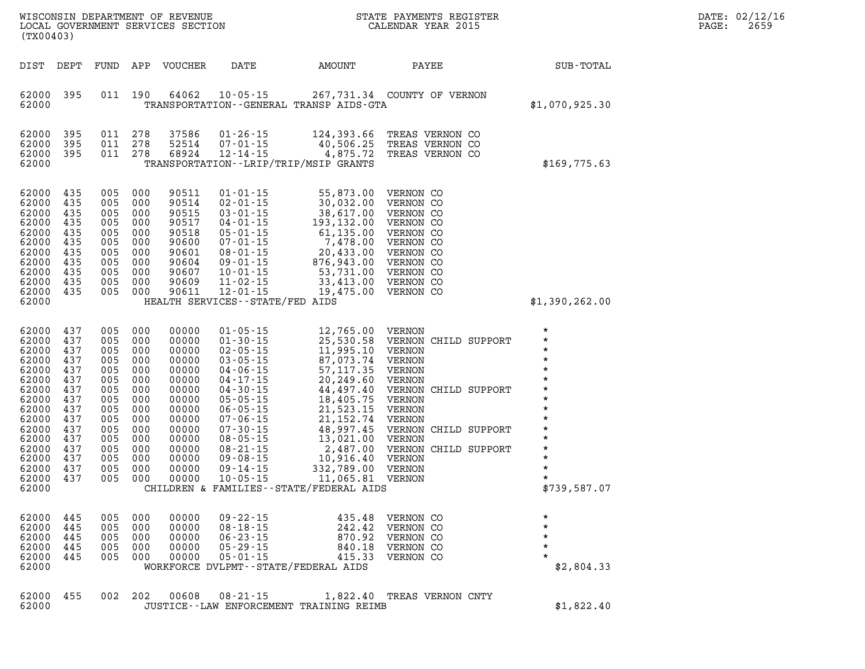| (TX00403)                                                                                                                                             |                                                                                                              |                                                                                                              |                                                                                                              | WISCONSIN DEPARTMENT OF REVENUE<br>LOCAL GOVERNMENT SERVICES SECTION                                                                         |                                                                                                                              |                                                                                                                                                                                                                                                                                                                                                                                         | STATE PAYMENTS REGISTER<br>CALENDAR YEAR 2015                                                                                                                                          |                                                                                                                                                                                              | DATE: 02/12/16<br>2659<br>PAGE: |
|-------------------------------------------------------------------------------------------------------------------------------------------------------|--------------------------------------------------------------------------------------------------------------|--------------------------------------------------------------------------------------------------------------|--------------------------------------------------------------------------------------------------------------|----------------------------------------------------------------------------------------------------------------------------------------------|------------------------------------------------------------------------------------------------------------------------------|-----------------------------------------------------------------------------------------------------------------------------------------------------------------------------------------------------------------------------------------------------------------------------------------------------------------------------------------------------------------------------------------|----------------------------------------------------------------------------------------------------------------------------------------------------------------------------------------|----------------------------------------------------------------------------------------------------------------------------------------------------------------------------------------------|---------------------------------|
| DIST                                                                                                                                                  | DEPT                                                                                                         |                                                                                                              |                                                                                                              | FUND APP VOUCHER                                                                                                                             | DATE                                                                                                                         | AMOUNT                                                                                                                                                                                                                                                                                                                                                                                  | PAYEE                                                                                                                                                                                  | SUB-TOTAL                                                                                                                                                                                    |                                 |
| 62000<br>62000                                                                                                                                        | 395                                                                                                          | 011                                                                                                          | 190                                                                                                          | 64062                                                                                                                                        | $10 - 05 - 15$                                                                                                               | TRANSPORTATION--GENERAL TRANSP AIDS-GTA                                                                                                                                                                                                                                                                                                                                                 | 267,731.34 COUNTY OF VERNON                                                                                                                                                            | \$1,070,925.30                                                                                                                                                                               |                                 |
| 62000<br>62000<br>62000<br>62000                                                                                                                      | 395<br>395<br>395                                                                                            | 011<br>011 278                                                                                               | 011 278<br>278                                                                                               | 37586<br>52514<br>68924                                                                                                                      | $01 - 26 - 15$<br>$07 - 01 - 15$<br>$12 - 14 - 15$                                                                           | 124,393.66<br>40,506.25<br>4,875.72<br>TRANSPORTATION - - LRIP/TRIP/MSIP GRANTS                                                                                                                                                                                                                                                                                                         | TREAS VERNON CO<br>TREAS VERNON CO<br>TREAS VERNON CO                                                                                                                                  | \$169,775.63                                                                                                                                                                                 |                                 |
| 62000<br>62000<br>62000<br>62000<br>62000<br>62000<br>62000<br>62000<br>62000<br>62000<br>62000<br>62000                                              | 435<br>435<br>435<br>435<br>435<br>435<br>435<br>435<br>435<br>435<br>435                                    | 005<br>005<br>005<br>005<br>005<br>005<br>005<br>005<br>005<br>005                                           | 005 000<br>000<br>000<br>000<br>000<br>000<br>000<br>000<br>000<br>000<br>000                                | 90511<br>90514<br>90515<br>90517<br>90518<br>90600<br>90601<br>90604<br>90607<br>90609<br>90611                                              | $01 - 01 - 15$<br>$02 - 01 - 15$<br>$03 - 01 - 15$<br>$11 - 02 - 15$<br>$12 - 01 - 15$<br>HEALTH SERVICES - - STATE/FED AIDS | 30,032.00 VERNON CO<br>38,617.00 VERNON CO<br>03-01-15<br>04-01-15<br>04-01-15<br>193,132.00<br>05-01-15<br>193,132.00<br>07-01-15<br>61,135.00<br>07-01-15<br>7,478.00<br>07-02-15<br>20,433.00<br>07-01-15<br>20,433.00<br>07-01-15<br>876,943.00<br>07-02-15<br>876,943.00<br>07-02-15<br>53,731.00<br>07-02-15<br><br>33,413.00 VERNON CO<br>19,475.00 VERNON CO                    | 55,873.00 VERNON CO                                                                                                                                                                    | \$1,390,262.00                                                                                                                                                                               |                                 |
| 62000<br>62000<br>62000<br>62000<br>62000<br>62000<br>62000<br>62000<br>62000<br>62000<br>62000<br>62000<br>62000<br>62000<br>62000<br>62000<br>62000 | 437<br>437<br>437<br>437<br>437<br>437<br>437<br>437<br>437<br>437<br>437<br>437<br>437<br>437<br>437<br>437 | 005<br>005<br>005<br>005<br>005<br>005<br>005<br>005<br>005<br>005<br>005<br>005<br>005<br>005<br>005<br>005 | 000<br>000<br>000<br>000<br>000<br>000<br>000<br>000<br>000<br>000<br>000<br>000<br>000<br>000<br>000<br>000 | 00000<br>00000<br>00000<br>00000<br>00000<br>00000<br>00000<br>00000<br>00000<br>00000<br>00000<br>00000<br>00000<br>00000<br>00000<br>00000 | $01 - 05 - 15$<br>$01 - 30 - 15$<br>$02 - 05 - 15$<br>$09 - 08 - 15$<br>$09 - 14 - 15$<br>$10 - 05 - 15$                     | 12,765.00 VERNON<br>25,530.58<br>25, 530.30<br>11, 995.10<br>11, 200.11<br>03-05-15 87,073.74<br>04-06-15 57,117.35<br>04-17-15<br>20,249.60<br>04-30-15<br>44,497.40<br>05-05-15<br>21,523.15<br>21,523.15<br>07-06-15<br>07-06-15<br>08-05-15<br>08-21-15<br>08-21-15<br>2,487.00<br>10,916.40<br>332,789.00 VERNON<br>11,065.81 VERNON<br>CHILDREN & FAMILIES - - STATE/FEDERAL AIDS | VERNON CHILD SUPPORT<br>VERNON<br>VERNON<br>VERNON<br>VERNON<br>VERNON CHILD SUPPORT<br>VERNON<br>VERNON<br>VERNON<br>VERNON CHILD SUPPORT<br>VERNON<br>VERNON CHILD SUPPORT<br>VERNON | $\star$<br>$\star$<br>$\star$<br>$\star$<br>$\star$<br>$\star$<br>$\star$<br>$\star$<br>$\star$<br>$\star$<br>$\star$<br>$\star$<br>$\star$<br>$\star$<br>$\star$<br>$\star$<br>\$739,587.07 |                                 |
| 62000<br>62000<br>62000<br>62000<br>62000<br>62000                                                                                                    | 445<br>445<br>445<br>445<br>445                                                                              | 005<br>005<br>005<br>005                                                                                     | 000<br>000<br>000<br>000<br>005 000                                                                          | 00000<br>00000<br>00000<br>00000<br>00000                                                                                                    | $09 - 22 - 15$<br>$08 - 18 - 15$<br>$06 - 23 - 15$<br>$05 - 29 - 15$<br>$05 - 01 - 15$                                       | 435.48<br>242.42<br>870.92<br>840.18<br>WORKFORCE DVLPMT--STATE/FEDERAL AIDS                                                                                                                                                                                                                                                                                                            | VERNON CO<br>VERNON CO<br>VERNON CO<br>VERNON CO<br>415.33 VERNON CO                                                                                                                   | $\star$<br>$\star$<br>$\star$<br>$\star$<br>\$2,804.33                                                                                                                                       |                                 |
| 62000 455                                                                                                                                             |                                                                                                              |                                                                                                              | 002 202                                                                                                      | 00608                                                                                                                                        | $08 - 21 - 15$                                                                                                               |                                                                                                                                                                                                                                                                                                                                                                                         | 1,822.40 TREAS VERNON CNTY                                                                                                                                                             |                                                                                                                                                                                              |                                 |

**62000 JUSTICE--LAW ENFORCEMENT TRAINING REIMB \$1,822.40**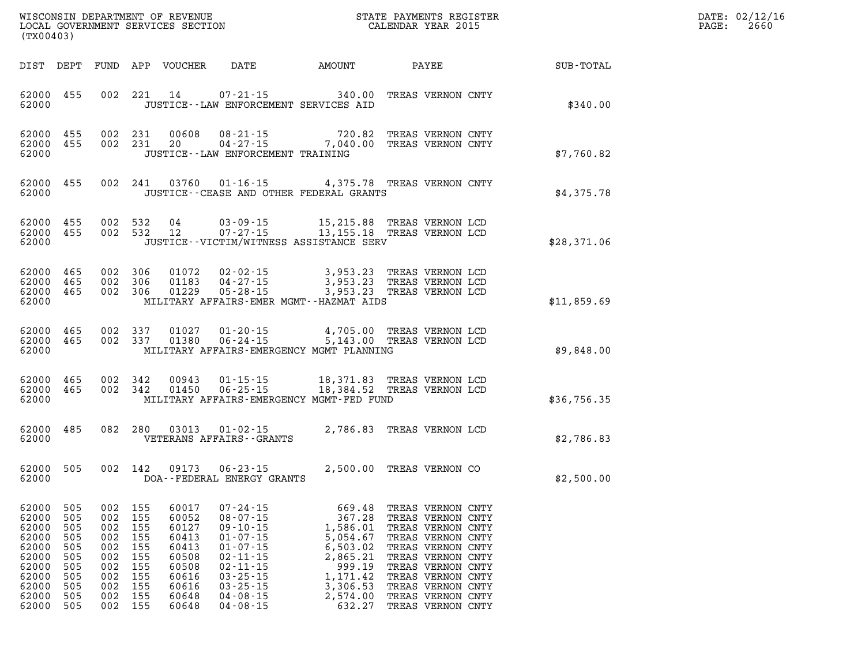| DATE: | 02/12/16 |
|-------|----------|
| PAGE: | 2660     |

| (TX00403)                                                                     |                                                                          |                                                      |                                                                            | LOCAL GOVERNMENT SERVICES SECTION                                                      | CALENDAR YEAR 2015                                                                                                                                                               |                                                                                                                                  |                                                                                                                                                                                           |  |                                                           | PAGE: | 2660 |
|-------------------------------------------------------------------------------|--------------------------------------------------------------------------|------------------------------------------------------|----------------------------------------------------------------------------|----------------------------------------------------------------------------------------|----------------------------------------------------------------------------------------------------------------------------------------------------------------------------------|----------------------------------------------------------------------------------------------------------------------------------|-------------------------------------------------------------------------------------------------------------------------------------------------------------------------------------------|--|-----------------------------------------------------------|-------|------|
|                                                                               |                                                                          |                                                      |                                                                            |                                                                                        |                                                                                                                                                                                  |                                                                                                                                  |                                                                                                                                                                                           |  | DIST DEPT FUND APP VOUCHER DATE AMOUNT PAYEE TO SUB-TOTAL |       |      |
| 62000 455<br>62000                                                            |                                                                          |                                                      |                                                                            | 002 221 14                                                                             | 07-21-15 340.00 TREAS VERNON CNTY<br>JUSTICE -- LAW ENFORCEMENT SERVICES AID                                                                                                     |                                                                                                                                  |                                                                                                                                                                                           |  | \$340.00                                                  |       |      |
| 62000 455<br>62000                                                            | 62000 455                                                                |                                                      |                                                                            | 002 231 00608<br>002 231 20                                                            | 08-21-15 720.82 TREAS VERNON CNTY<br>04-27-15 7,040.00 TREAS VERNON CNTY<br>JUSTICE -- LAW ENFORCEMENT TRAINING                                                                  |                                                                                                                                  |                                                                                                                                                                                           |  | \$7,760.82                                                |       |      |
| 62000                                                                         | 62000 455                                                                |                                                      |                                                                            |                                                                                        | 002 241 03760 01-16-15 4,375.78 TREAS VERNON CNTY<br>JUSTICE - - CEASE AND OTHER FEDERAL GRANTS                                                                                  |                                                                                                                                  |                                                                                                                                                                                           |  | \$4,375.78                                                |       |      |
| 62000 455<br>62000 455<br>62000                                               |                                                                          |                                                      |                                                                            |                                                                                        | 002 532 04 03-09-15 15,215.88 TREAS VERNON LCD<br>002 532 12 07-27-15 13,155.18 TREAS VERNON LCD<br>JUSTICE--VICTIM/WITNESS ASSISTANCE SERV                                      |                                                                                                                                  |                                                                                                                                                                                           |  | \$28,371.06                                               |       |      |
| 62000 465<br>62000 465<br>62000 465<br>62000                                  |                                                                          |                                                      | 002 306<br>002 306<br>002 306                                              | 01183<br>01229                                                                         | 01072  02-02-15  3,953.23  TREAS VERNON LCD<br>01183  04-27-15  3,953.23  TREAS VERNON LCD<br>$05 - 28 - 15$<br>MILITARY AFFAIRS-EMER MGMT--HAZMAT AIDS                          | 3,953.23 TREAS VERNON LCD                                                                                                        |                                                                                                                                                                                           |  | \$11,859.69                                               |       |      |
| 62000 465<br>62000                                                            | 62000 465                                                                |                                                      | 002 337<br>002 337                                                         |                                                                                        | 01027  01-20-15  4,705.00 TREAS VERNON LCD<br>01380  06-24-15  5,143.00 TREAS VERNON LCD<br>MILITARY AFFAIRS-EMERGENCY MGMT PLANNING                                             |                                                                                                                                  |                                                                                                                                                                                           |  | \$9,848.00                                                |       |      |
| 62000 465<br>62000                                                            | 62000 465                                                                |                                                      | 002 342<br>002 342                                                         | 00943<br>01450                                                                         | 01-15-15 18,371.83 TREAS VERNON LCD<br>06-25-15 18,384.52 TREAS VERNON LCD<br>MILITARY AFFAIRS-EMERGENCY MGMT-FED FUND                                                           |                                                                                                                                  |                                                                                                                                                                                           |  | \$36,756.35                                               |       |      |
| 62000 485<br>62000                                                            |                                                                          |                                                      |                                                                            |                                                                                        | 082 280 03013 01-02-15 2,786.83 TREAS VERNON LCD<br>VETERANS AFFAIRS--GRANTS                                                                                                     |                                                                                                                                  |                                                                                                                                                                                           |  | \$2,786.83                                                |       |      |
| 62000 505<br>62000                                                            |                                                                          |                                                      |                                                                            |                                                                                        | 002 142 09173 06-23-15 2,500.00 TREAS VERNON CO<br>DOA--FEDERAL ENERGY GRANTS                                                                                                    |                                                                                                                                  |                                                                                                                                                                                           |  | \$2,500.00                                                |       |      |
| 62000<br>62000<br>62000<br>62000<br>62000<br>62000<br>62000<br>62000<br>62000 | 62000 505<br>505<br>505<br>505<br>505<br>505<br>505<br>505<br>505<br>505 | 002<br>002<br>002<br>002<br>002<br>002<br>002<br>002 | 002 155<br>155<br>155<br>155<br>155<br>155<br>155<br>155<br>155<br>002 155 | 60017<br>60052<br>60127<br>60413<br>60413<br>60508<br>60508<br>60616<br>60616<br>60648 | $07 - 24 - 15$<br>$08 - 07 - 15$<br>$09 - 10 - 15$<br>$01 - 07 - 15$<br>$01 - 07 - 15$<br>$02 - 11 - 15$<br>$02 - 11 - 15$<br>$03 - 25 - 15$<br>$03 - 25 - 15$<br>$04 - 08 - 15$ | 669.48 TREAS VERNON CNTY<br>367.28<br>1,586.01<br>5,054.67<br>6,503.02<br>2,865.21<br>999.19<br>1,171.42<br>3,306.53<br>2,574.00 | TREAS VERNON CNTY<br>TREAS VERNON CNTY<br>TREAS VERNON CNTY<br>TREAS VERNON CNTY<br>TREAS VERNON CNTY<br>TREAS VERNON CNTY<br>TREAS VERNON CNTY<br>TREAS VERNON CNTY<br>TREAS VERNON CNTY |  |                                                           |       |      |

**62000 505 002 155 60648 04-08-15 632.27 TREAS VERNON CNTY** 

WISCONSIN DEPARTMENT OF REVENUE **STATE PAYMENTS REGISTER**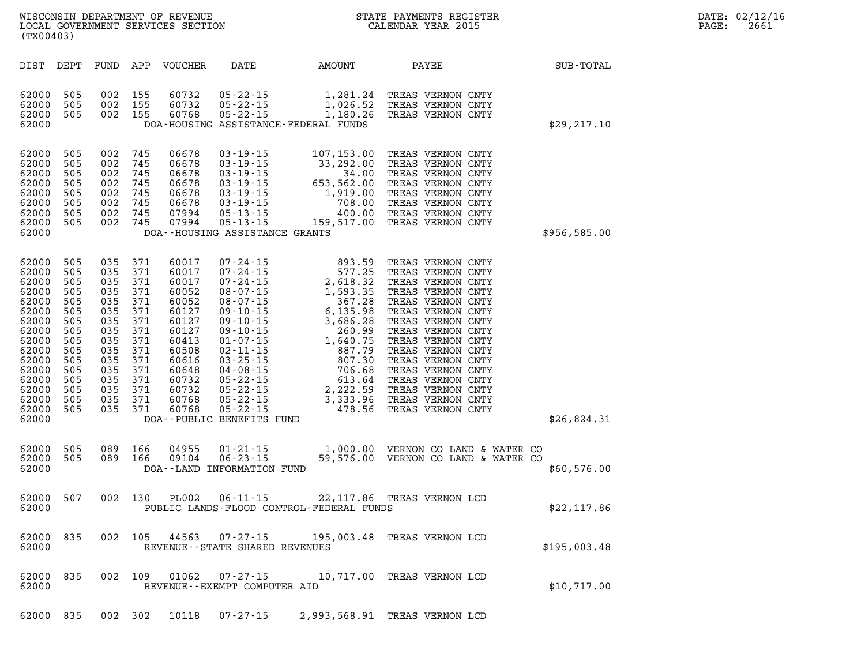| DATE:             | 02/12/16 |
|-------------------|----------|
| $\mathtt{PAGE}$ : | 2661     |

| WISCONSIN DEPARTMENT OF REVENUE<br>LOCAL GOVERNMENT SERVICES SECTION<br>(TX00403)                                                                                                                                                                                                                                                                                                     |                                                                                                                                                                                                                                                                                                                                                                                                                                                                                                                                                                                           |                                                                                                                                                                 | STATE PAYMENTS REGISTER<br>CALENDAR YEAR 2015                                                                                                                                                                                                                                                                                                         |              |  |
|---------------------------------------------------------------------------------------------------------------------------------------------------------------------------------------------------------------------------------------------------------------------------------------------------------------------------------------------------------------------------------------|-------------------------------------------------------------------------------------------------------------------------------------------------------------------------------------------------------------------------------------------------------------------------------------------------------------------------------------------------------------------------------------------------------------------------------------------------------------------------------------------------------------------------------------------------------------------------------------------|-----------------------------------------------------------------------------------------------------------------------------------------------------------------|-------------------------------------------------------------------------------------------------------------------------------------------------------------------------------------------------------------------------------------------------------------------------------------------------------------------------------------------------------|--------------|--|
| DIST<br>DEPT<br>FUND                                                                                                                                                                                                                                                                                                                                                                  | APP<br>VOUCHER<br>DATE                                                                                                                                                                                                                                                                                                                                                                                                                                                                                                                                                                    | AMOUNT                                                                                                                                                          | PAYEE                                                                                                                                                                                                                                                                                                                                                 | SUB-TOTAL    |  |
| 505<br>002<br>62000<br>62000<br>505<br>002<br>505<br>62000<br>002<br>62000                                                                                                                                                                                                                                                                                                            | 155<br>60732<br>$05 - 22 - 15$<br>155<br>60732<br>$05 - 22 - 15$<br>155<br>60768<br>$05 - 22 - 15$<br>DOA-HOUSING ASSISTANCE-FEDERAL FUNDS                                                                                                                                                                                                                                                                                                                                                                                                                                                | 1,281.24<br>1,026.52<br>1,180.26                                                                                                                                | TREAS VERNON CNTY<br>TREAS VERNON CNTY<br>TREAS VERNON CNTY                                                                                                                                                                                                                                                                                           | \$29, 217.10 |  |
| 505<br>62000<br>002<br>505<br>62000<br>002<br>505<br>62000<br>002<br>505<br>62000<br>002<br>505<br>62000<br>002<br>62000<br>505<br>002<br>505<br>62000<br>002<br>505<br>62000<br>002<br>62000                                                                                                                                                                                         | 745<br>06678<br>$03 - 19 - 15$<br>06678<br>$03 - 19 - 15$<br>745<br>745<br>$03 - 19 - 15$<br>06678<br>745<br>06678<br>$03 - 19 - 15$<br>745<br>06678<br>$03 - 19 - 15$<br>745<br>06678<br>$03 - 19 - 15$<br>745<br>$05 - 13 - 15$<br>07994<br>745<br>07994<br>$05 - 13 - 15$<br>DOA--HOUSING ASSISTANCE GRANTS                                                                                                                                                                                                                                                                            | 107,153.00<br>33,292.00<br>34.00<br>653,562.00<br>1,919.00<br>708.00<br>400.00<br>159,517.00                                                                    | TREAS VERNON CNTY<br>TREAS VERNON CNTY<br>TREAS VERNON CNTY<br>TREAS VERNON CNTY<br>TREAS VERNON CNTY<br>TREAS VERNON CNTY<br>TREAS VERNON CNTY<br>TREAS VERNON CNTY                                                                                                                                                                                  | \$956,585.00 |  |
| 62000<br>505<br>035<br>505<br>035<br>62000<br>62000<br>505<br>035<br>505<br>035<br>62000<br>62000<br>505<br>035<br>505<br>62000<br>035<br>62000<br>505<br>035<br>505<br>035<br>62000<br>505<br>62000<br>035<br>505<br>62000<br>035<br>62000<br>505<br>035<br>505<br>62000<br>035<br>62000<br>505<br>035<br>62000<br>505<br>035<br>62000<br>505<br>035<br>505<br>62000<br>035<br>62000 | 371<br>60017<br>$07 - 24 - 15$<br>371<br>60017<br>$07 - 24 - 15$<br>371<br>60017<br>$07 - 24 - 15$<br>371<br>60052<br>$08 - 07 - 15$<br>371<br>60052<br>$08 - 07 - 15$<br>371<br>60127<br>$09 - 10 - 15$<br>371<br>60127<br>$09 - 10 - 15$<br>371<br>60127<br>$09 - 10 - 15$<br>371<br>60413<br>$01 - 07 - 15$<br>371<br>60508<br>$02 - 11 - 15$<br>371<br>$03 - 25 - 15$<br>60616<br>371<br>60648<br>$04 - 08 - 15$<br>371<br>60732<br>$05 - 22 - 15$<br>371<br>60732<br>$05 - 22 - 15$<br>371<br>$05 - 22 - 15$<br>60768<br>$05 - 22 - 15$<br>371<br>60768<br>DOA--PUBLIC BENEFITS FUND | 893.59<br>577.25<br>2,618.32<br>1,593.35<br>367.28<br>6, 135.98<br>3,686.28<br>260.99<br>1,640.75<br>887.79<br>807.30<br>706.68<br>613.64<br>3,333.96<br>478.56 | TREAS VERNON CNTY<br>TREAS VERNON CNTY<br>TREAS VERNON CNTY<br>TREAS VERNON CNTY<br>TREAS VERNON CNTY<br>TREAS VERNON CNTY<br>TREAS VERNON CNTY<br>TREAS VERNON CNTY<br>TREAS VERNON CNTY<br>TREAS VERNON CNTY<br>TREAS VERNON CNTY<br>TREAS VERNON CNTY<br>TREAS VERNON CNTY<br>2,222.59 TREAS VERNON CNTY<br>TREAS VERNON CNTY<br>TREAS VERNON CNTY | \$26,824.31  |  |
| 505<br>089<br>62000<br>089<br>62000<br>505<br>62000                                                                                                                                                                                                                                                                                                                                   | 166<br>04955<br>$01 - 21 - 15$<br>$06 - 23 - 15$<br>166<br>09104<br>DOA--LAND INFORMATION FUND                                                                                                                                                                                                                                                                                                                                                                                                                                                                                            | 1,000.00<br>59,576.00                                                                                                                                           | VERNON CO LAND & WATER CO<br>VERNON CO LAND & WATER CO                                                                                                                                                                                                                                                                                                | \$60,576.00  |  |
| 507<br>002<br>62000<br>62000                                                                                                                                                                                                                                                                                                                                                          | 130<br><b>PL002</b><br>$06 - 11 - 15$<br>PUBLIC LANDS-FLOOD CONTROL-FEDERAL FUNDS                                                                                                                                                                                                                                                                                                                                                                                                                                                                                                         | 22, 117.86                                                                                                                                                      | TREAS VERNON LCD                                                                                                                                                                                                                                                                                                                                      | \$22,117.86  |  |
| 002<br>835<br>62000<br>62000                                                                                                                                                                                                                                                                                                                                                          | 105<br>44563<br>07-27-15<br>REVENUE - - STATE SHARED REVENUES                                                                                                                                                                                                                                                                                                                                                                                                                                                                                                                             | 195,003.48                                                                                                                                                      | TREAS VERNON LCD                                                                                                                                                                                                                                                                                                                                      | \$195,003.48 |  |
| 002<br>835<br>62000<br>62000                                                                                                                                                                                                                                                                                                                                                          | 109<br>01062<br>$07 - 27 - 15$<br>REVENUE - - EXEMPT COMPUTER AID                                                                                                                                                                                                                                                                                                                                                                                                                                                                                                                         | 10,717.00                                                                                                                                                       | TREAS VERNON LCD                                                                                                                                                                                                                                                                                                                                      | \$10,717.00  |  |

**62000 835 002 302 10118 07-27-15 2,993,568.91 TREAS VERNON LCD**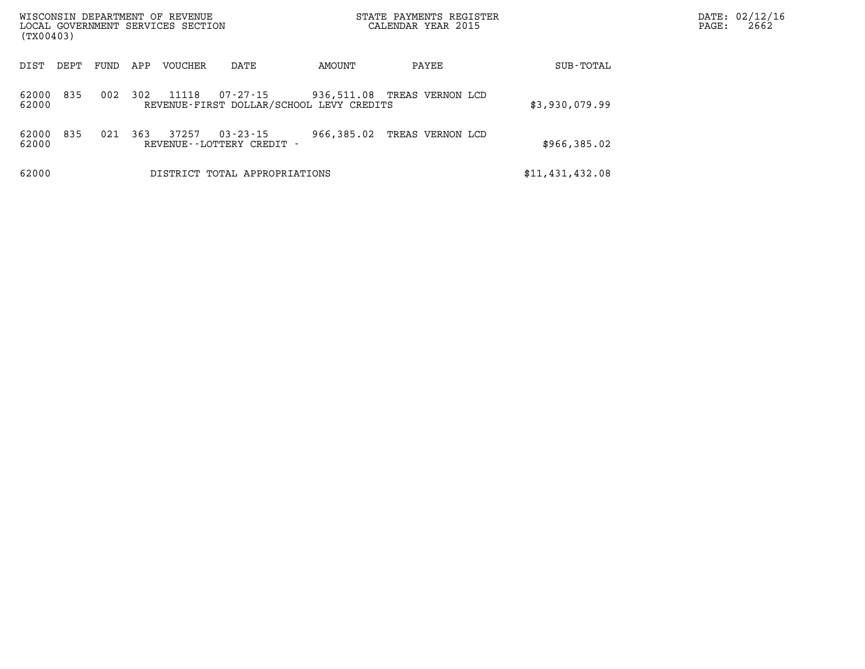| (TX00403)      |      |      |     | WISCONSIN DEPARTMENT OF REVENUE<br>LOCAL GOVERNMENT SERVICES SECTION |                                                      |            | STATE PAYMENTS REGISTER<br>CALENDAR YEAR 2015 |                 | PAGE: | DATE: 02/12/16<br>2662 |
|----------------|------|------|-----|----------------------------------------------------------------------|------------------------------------------------------|------------|-----------------------------------------------|-----------------|-------|------------------------|
| DIST           | DEPT | FUND | APP | VOUCHER                                                              | DATE                                                 | AMOUNT     | PAYEE                                         | SUB-TOTAL       |       |                        |
| 62000<br>62000 | 835  | 002  | 302 | 11118                                                                | 07-27-15<br>REVENUE-FIRST DOLLAR/SCHOOL LEVY CREDITS | 936,511.08 | TREAS VERNON LCD                              | \$3,930,079.99  |       |                        |
| 62000<br>62000 | 835  | 021  | 363 | 37257                                                                | $03 - 23 - 15$<br>REVENUE - - LOTTERY CREDIT -       | 966,385.02 | TREAS VERNON LCD                              | \$966, 385.02   |       |                        |
| 62000          |      |      |     |                                                                      | DISTRICT TOTAL APPROPRIATIONS                        |            |                                               | \$11,431,432.08 |       |                        |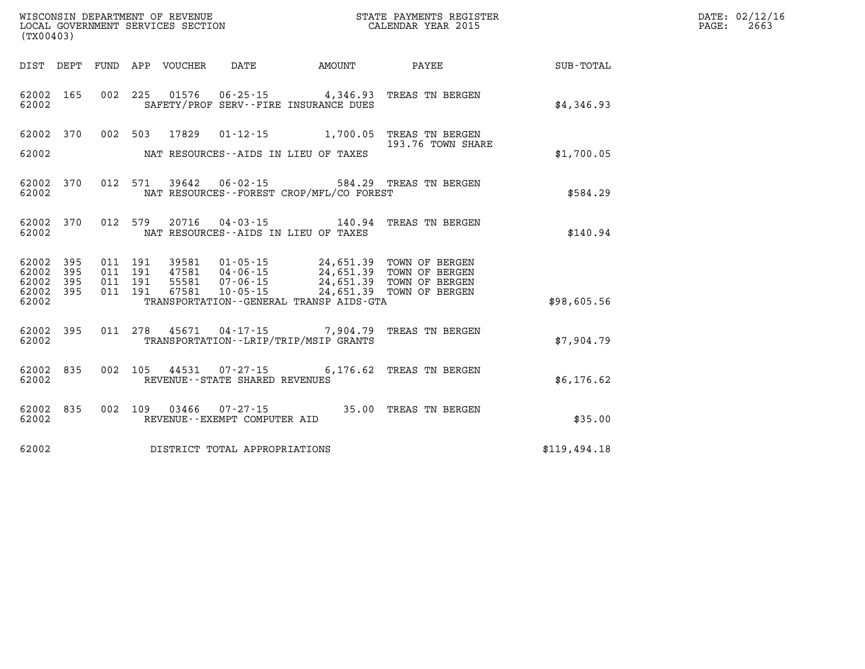| (TX00403)                       |            |  |                    |       |                                                          |                                              |                                                                                                                                        |              | DATE: 02/12/16<br>$\mathtt{PAGE:}$<br>2663 |
|---------------------------------|------------|--|--------------------|-------|----------------------------------------------------------|----------------------------------------------|----------------------------------------------------------------------------------------------------------------------------------------|--------------|--------------------------------------------|
|                                 |            |  |                    |       |                                                          | DIST DEPT FUND APP VOUCHER DATE AMOUNT       | <b>PAYEE</b>                                                                                                                           | SUB-TOTAL    |                                            |
| 62002 165<br>62002              |            |  |                    |       |                                                          | SAFETY/PROF SERV--FIRE INSURANCE DUES        | 002 225 01576 06-25-15 4,346.93 TREAS TN BERGEN                                                                                        | \$4,346.93   |                                            |
| 62002                           | 370        |  |                    |       |                                                          |                                              | 002 503 17829 01-12-15 1,700.05 TREAS TN BERGEN<br>193.76 TOWN SHARE                                                                   |              |                                            |
| 62002                           |            |  |                    |       |                                                          | NAT RESOURCES--AIDS IN LIEU OF TAXES         |                                                                                                                                        | \$1,700.05   |                                            |
| 62002 370<br>62002              |            |  |                    |       |                                                          | NAT RESOURCES - - FOREST CROP/MFL/CO FOREST  | 012 571 39642 06-02-15 584.29 TREAS TN BERGEN                                                                                          | \$584.29     |                                            |
| 62002 370<br>62002              |            |  |                    |       |                                                          | NAT RESOURCES--AIDS IN LIEU OF TAXES         | 012 579 20716 04-03-15 140.94 TREAS TN BERGEN                                                                                          | \$140.94     |                                            |
| 62002<br>62002                  | 395<br>395 |  | 011 191<br>011 191 |       |                                                          |                                              | 39581  01-05-15  24,651.39  TOWN OF BERGEN<br>47581  04-06-15  24,651.39  TOWN OF BERGEN<br>55581  07-06-15  24,651.39  TOWN OF BERGEN |              |                                            |
| 62002 395<br>62002 395<br>62002 |            |  | 011 191<br>011 191 | 67581 | $10 - 05 - 15$                                           | TRANSPORTATION - - GENERAL TRANSP AIDS - GTA | 24,651.39 TOWN OF BERGEN                                                                                                               | \$98,605.56  |                                            |
| 62002 395<br>62002              |            |  |                    |       |                                                          | TRANSPORTATION--LRIP/TRIP/MSIP GRANTS        | 011 278 45671 04-17-15 7,904.79 TREAS TN BERGEN                                                                                        | \$7,904.79   |                                            |
| 62002<br>62002                  | 835        |  |                    |       | 002 105 44531 07-27-15<br>REVENUE--STATE SHARED REVENUES |                                              | 6,176.62 TREAS TN BERGEN                                                                                                               | \$6,176.62   |                                            |
| 62002<br>62002                  | 835        |  |                    |       | REVENUE--EXEMPT COMPUTER AID                             |                                              | 002 109 03466 07-27-15 35.00 TREAS TN BERGEN                                                                                           | \$35.00      |                                            |
| 62002                           |            |  |                    |       | DISTRICT TOTAL APPROPRIATIONS                            |                                              |                                                                                                                                        | \$119,494.18 |                                            |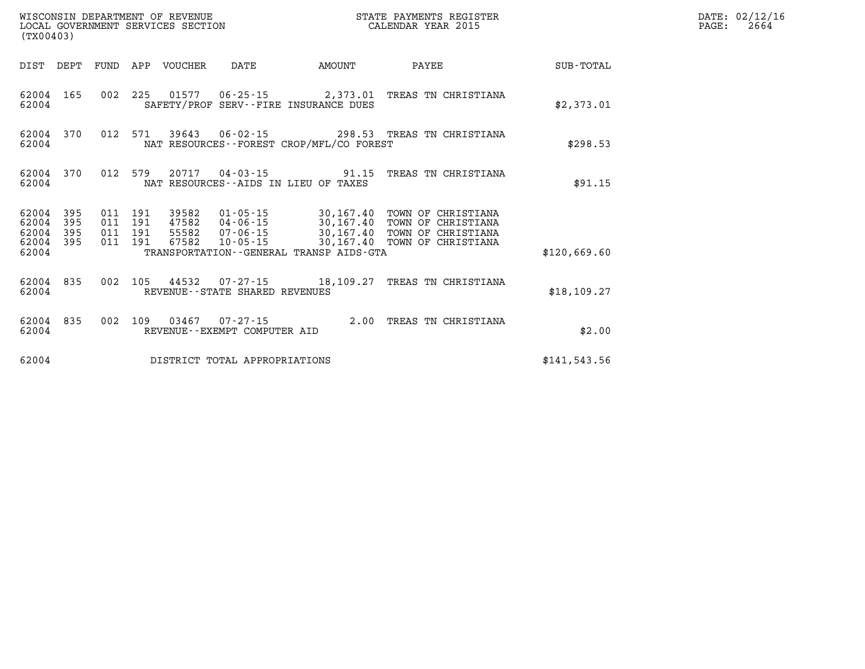| (TX00403)                            |                   |                                          |                  | WISCONSIN DEPARTMENT OF REVENUE<br>LOCAL GOVERNMENT SERVICES SECTION |                                          | STATE PAYMENTS REGISTER<br>CALENDAR YEAR 2015        |              | DATE: 02/12/16<br>2664<br>$\mathtt{PAGE}$ : |
|--------------------------------------|-------------------|------------------------------------------|------------------|----------------------------------------------------------------------|------------------------------------------|------------------------------------------------------|--------------|---------------------------------------------|
| DIST DEPT                            |                   |                                          | FUND APP VOUCHER | DATE                                                                 | AMOUNT                                   | <b>PAYEE</b>                                         | SUB-TOTAL    |                                             |
| 62004 165<br>62004                   |                   |                                          |                  |                                                                      | SAFETY/PROF SERV--FIRE INSURANCE DUES    | 002 225 01577 06-25-15 2,373.01 TREAS TN CHRISTIANA  | \$2,373.01   |                                             |
| 62004 370<br>62004                   |                   |                                          |                  |                                                                      | NAT RESOURCES--FOREST CROP/MFL/CO FOREST | 012 571 39643 06-02-15 298.53 TREAS TN CHRISTIANA    | \$298.53     |                                             |
| 62004 370<br>62004                   |                   | 012 579                                  |                  |                                                                      | NAT RESOURCES--AIDS IN LIEU OF TAXES     | 20717  04-03-15  91.15  TREAS TN CHRISTIANA          | \$91.15      |                                             |
| 62004<br>62004<br>62004<br>62004 395 | 395<br>395<br>395 | 011 191<br>011 191<br>011 191<br>011 191 | 39582            |                                                                      |                                          | 01-05-15 30,167.40 TOWN OF CHRISTIANA                |              |                                             |
| 62004                                |                   |                                          |                  |                                                                      | TRANSPORTATION--GENERAL TRANSP AIDS-GTA  |                                                      | \$120,669.60 |                                             |
| 62004 835<br>62004                   |                   |                                          |                  | REVENUE - - STATE SHARED REVENUES                                    |                                          | 002 105 44532 07-27-15 18,109.27 TREAS TN CHRISTIANA | \$18,109.27  |                                             |
| 62004                                | 62004 835         |                                          |                  | REVENUE--EXEMPT COMPUTER AID                                         |                                          | 002 109 03467 07-27-15 2.00 TREAS TN CHRISTIANA      | \$2.00       |                                             |
| 62004                                |                   |                                          |                  | DISTRICT TOTAL APPROPRIATIONS                                        |                                          |                                                      | \$141,543.56 |                                             |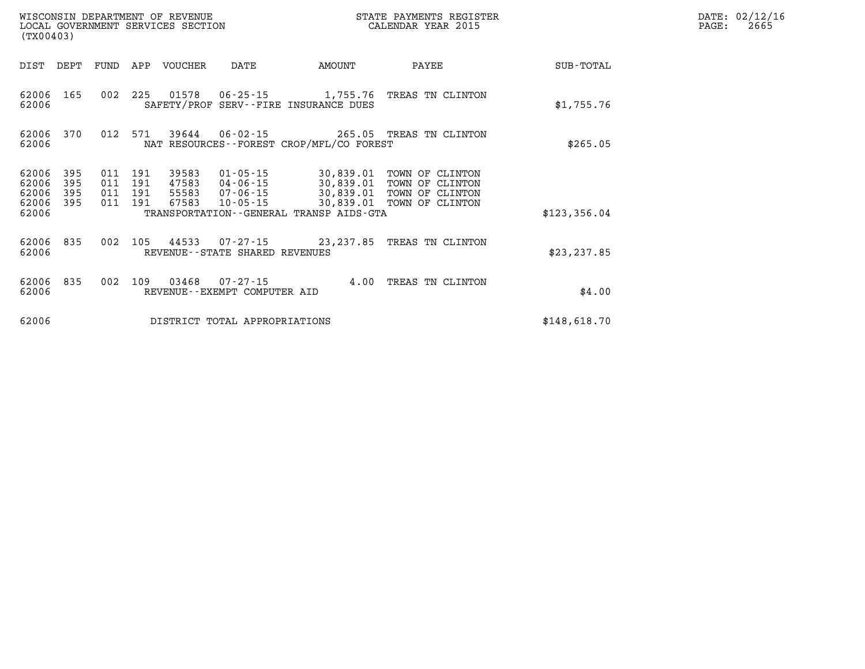| (TX00403)               |                   |                   |                   | WISCONSIN DEPARTMENT OF REVENUE<br>LOCAL GOVERNMENT SERVICES SECTION |                                                     | STATE PAYMENTS REGISTER<br>CALENDAR YEAR 2015        |                                                          |              |  |  |
|-------------------------|-------------------|-------------------|-------------------|----------------------------------------------------------------------|-----------------------------------------------------|------------------------------------------------------|----------------------------------------------------------|--------------|--|--|
| DIST                    | DEPT              | FUND              | APP               | <b>VOUCHER</b>                                                       | DATE                                                | AMOUNT                                               | PAYEE                                                    | SUB-TOTAL    |  |  |
| 62006<br>62006          | 165               | 002               | 225               | 01578                                                                | $06 - 25 - 15$                                      | 1,755.76<br>SAFETY/PROF SERV--FIRE INSURANCE DUES    | TREAS TN CLINTON                                         | \$1,755.76   |  |  |
| 62006<br>62006          | 370               | 012               | 571               | 39644                                                                | $06 - 02 - 15$                                      | NAT RESOURCES--FOREST CROP/MFL/CO FOREST             | 265.05 TREAS TN CLINTON                                  | \$265.05     |  |  |
| 62006<br>62006<br>62006 | 395<br>395<br>395 | 011<br>011<br>011 | 191<br>191<br>191 | 39583<br>47583<br>55583                                              | 01-05-15<br>04-06-15<br>07-06-15                    | 30,839.01<br>30,839.01<br>30,839.01                  | TOWN OF CLINTON<br>TOWN OF<br>CLINTON<br>TOWN OF CLINTON |              |  |  |
| 62006<br>62006          | 395               | 011               | 191               | 67583                                                                | $10 - 05 - 15$                                      | 30,839.01<br>TRANSPORTATION--GENERAL TRANSP AIDS-GTA | TOWN OF CLINTON                                          | \$123,356.04 |  |  |
| 62006<br>62006          | 835               | 002               | 105               | 44533                                                                | $07 - 27 - 15$<br>REVENUE - - STATE SHARED REVENUES | 23, 237.85                                           | TREAS TN CLINTON                                         | \$23, 237.85 |  |  |
| 62006<br>62006          | 835               | 002               | 109               | 03468                                                                | $07 - 27 - 15$<br>REVENUE - - EXEMPT COMPUTER AID   | 4.00                                                 | TREAS TN CLINTON                                         | \$4.00       |  |  |
| 62006                   |                   |                   |                   |                                                                      | DISTRICT TOTAL APPROPRIATIONS                       |                                                      |                                                          | \$148,618.70 |  |  |

**DATE: 02/12/16<br>PAGE: 2665**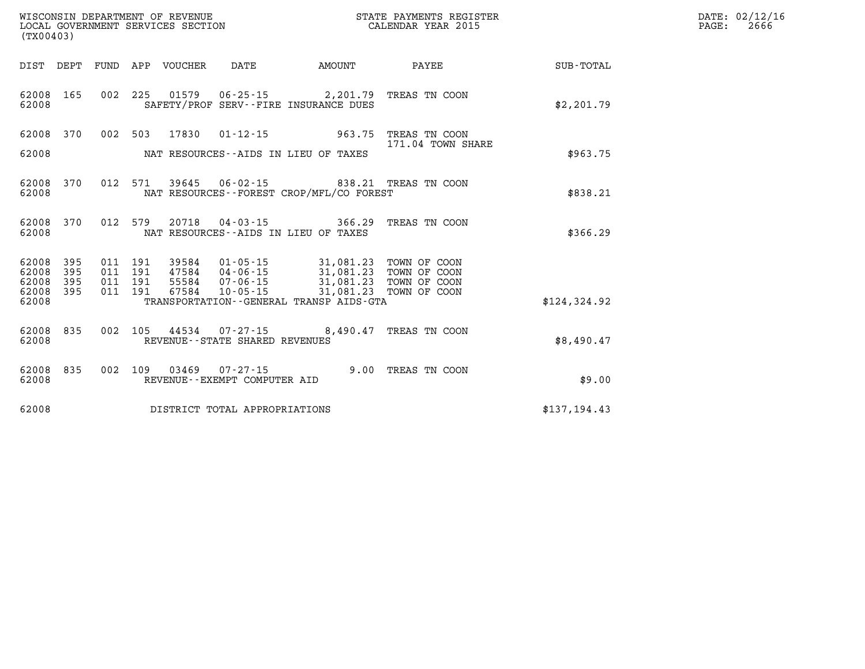| (TX00403)                          | WISCONSIN DEPARTMENT OF REVENUE<br>LOCAL GOVERNMENT SERVICES SECTION                              | STATE PAYMENTS REGISTER<br>CALENDAR YEAR 2015                                              | DATE: 02/12/16<br>PAGE:<br>2666 |
|------------------------------------|---------------------------------------------------------------------------------------------------|--------------------------------------------------------------------------------------------|---------------------------------|
|                                    | DIST DEPT FUND APP VOUCHER<br>DATE<br><b>AMOUNT</b>                                               | <b>PAYEE</b><br>SUB-TOTAL                                                                  |                                 |
| 62008<br>165<br>62008              | 002 225 01579<br>06-25-15 2,201.79 TREAS TN COON<br>SAFETY/PROF SERV--FIRE INSURANCE DUES         | \$2,201.79                                                                                 |                                 |
| 370<br>62008                       | 002 503 17830<br>$01 - 12 - 15$                                                                   | 963.75 TREAS TN COON<br>171.04 TOWN SHARE                                                  |                                 |
| 62008                              | NAT RESOURCES--AIDS IN LIEU OF TAXES                                                              | \$963.75                                                                                   |                                 |
| 62008 370<br>62008                 | 012 571 39645 06-02-15 838.21 TREAS TN COON<br>NAT RESOURCES - - FOREST CROP/MFL/CO FOREST        | \$838.21                                                                                   |                                 |
| 62008<br>370<br>62008              | 012 579 20718 04-03-15 366.29 TREAS TN COON<br>NAT RESOURCES -- AIDS IN LIEU OF TAXES             | \$366.29                                                                                   |                                 |
| 62008<br>395<br>62008<br>395       | 39584<br>011 191<br>01-05-15<br>47584<br>011 191<br>04-06-15                                      | 31,081.23 TOWN OF COON                                                                     |                                 |
| 62008<br>395<br>62008 395<br>62008 | 011 191<br>55584 07-06-15<br>011 191<br>67584 10-05-15<br>TRANSPORTATION--GENERAL TRANSP AIDS-GTA | 31,081.23 TOWN OF COON<br>31,081.23 TOWN OF COON<br>31,081.23 TOWN OF COON<br>\$124,324.92 |                                 |
| 62008<br>835<br>62008              | 002 105 44534 07-27-15 8,490.47 TREAS TN COON<br>REVENUE - - STATE SHARED REVENUES                | \$8,490.47                                                                                 |                                 |
| 62008<br>835<br>62008              | 03469  07-27-15  9.00 TREAS TN COON<br>002 109<br>REVENUE--EXEMPT COMPUTER AID                    | \$9.00                                                                                     |                                 |
| 62008                              | DISTRICT TOTAL APPROPRIATIONS                                                                     | \$137,194.43                                                                               |                                 |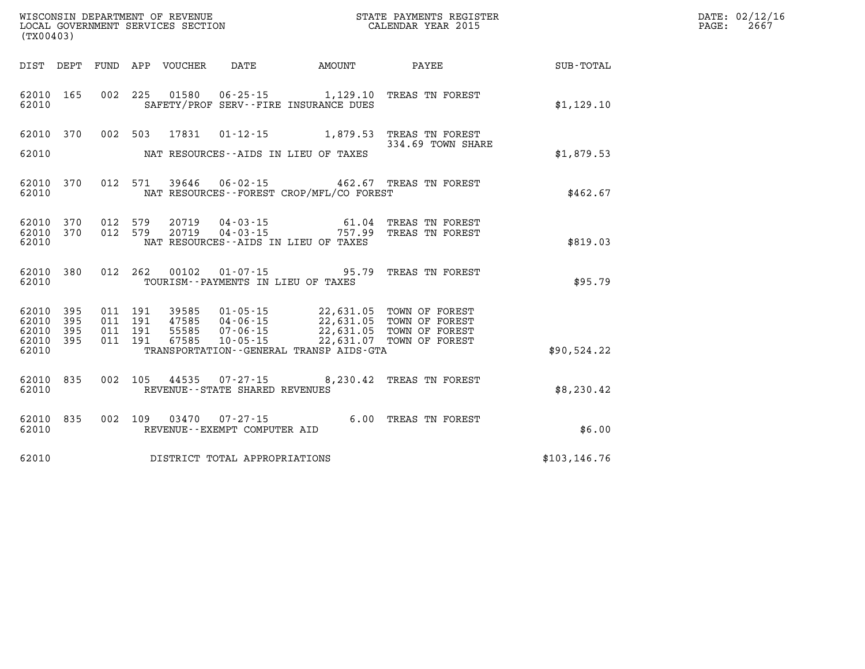| DATE: | 02/12/16 |
|-------|----------|
| PAGE: | 2667     |

| (TX00403)      |            |            | WISCONSIN DEPARTMENT OF REVENUE<br>LOCAL GOVERNMENT SERVICES SECTION |                                                      |                                                                    | STATE PAYMENTS REGISTER<br>CALENDAR YEAR 2015 |               |
|----------------|------------|------------|----------------------------------------------------------------------|------------------------------------------------------|--------------------------------------------------------------------|-----------------------------------------------|---------------|
| DIST           | DEPT       | FUND       | APP                                                                  | VOUCHER DATE                                         | AMOUNT                                                             | <b>PAYEE</b>                                  | SUB-TOTAL     |
| 62010<br>62010 | 165        | 002        | 225<br>01580                                                         |                                                      | $06 - 25 - 15$ 1, 129, 10<br>SAFETY/PROF SERV--FIRE INSURANCE DUES | TREAS TN FOREST                               | \$1,129.10    |
| 62010          | 370        | 002        | 503<br>17831                                                         | $01 - 12 - 15$                                       | 1,879.53                                                           | TREAS TN FOREST<br>334.69 TOWN SHARE          |               |
| 62010          |            |            |                                                                      |                                                      | NAT RESOURCES -- AIDS IN LIEU OF TAXES                             |                                               | \$1,879.53    |
| 62010<br>62010 | 370        | 012        | 571<br>39646                                                         | $06 - 02 - 15$                                       | NAT RESOURCES - - FOREST CROP/MFL/CO FOREST                        | 462.67 TREAS TN FOREST                        | \$462.67      |
| 62010<br>62010 | 370<br>370 | 012<br>012 | 579<br>20719<br>20719<br>579                                         | 04-03-15                                             | 61.04<br>$04 - 03 - 15$ 757.99                                     | TREAS TN FOREST<br>TREAS TN FOREST            |               |
| 62010          |            |            |                                                                      |                                                      | NAT RESOURCES -- AIDS IN LIEU OF TAXES                             |                                               | \$819.03      |
| 62010<br>62010 | 380        | 012        | 262<br>00102                                                         | $01 - 07 - 15$<br>TOURISM--PAYMENTS IN LIEU OF TAXES | 95.79                                                              | TREAS TN FOREST                               | \$95.79       |
| 62010<br>62010 | 395<br>395 | 011<br>011 | 191<br>39585<br>191<br>47585                                         | $01 - 05 - 15$<br>$04 - 06 - 15$                     | 22,631.05                                                          | 22,631.05 TOWN OF FOREST<br>TOWN OF FOREST    |               |
| 62010<br>62010 | 395<br>395 | 011<br>011 | 191<br>55585<br>191<br>67585                                         | $07 - 06 - 15$<br>$10 - 05 - 15$                     | 22,631.05<br>22,631.07                                             | TOWN OF FOREST<br>TOWN OF FOREST              |               |
| 62010          |            |            |                                                                      |                                                      | TRANSPORTATION--GENERAL TRANSP AIDS-GTA                            |                                               | \$90,524.22   |
| 62010<br>62010 | 835        | 002        | 105<br>44535                                                         | $07 - 27 - 15$<br>REVENUE - - STATE SHARED REVENUES  | 8,230.42                                                           | TREAS TN FOREST                               | \$8,230.42    |
| 62010<br>62010 | 835        | 002        | 109<br>03470                                                         | $07 - 27 - 15$<br>REVENUE - - EXEMPT COMPUTER AID    | 6.00                                                               | TREAS TN FOREST                               | \$6.00        |
| 62010          |            |            |                                                                      | DISTRICT TOTAL APPROPRIATIONS                        |                                                                    |                                               | \$103, 146.76 |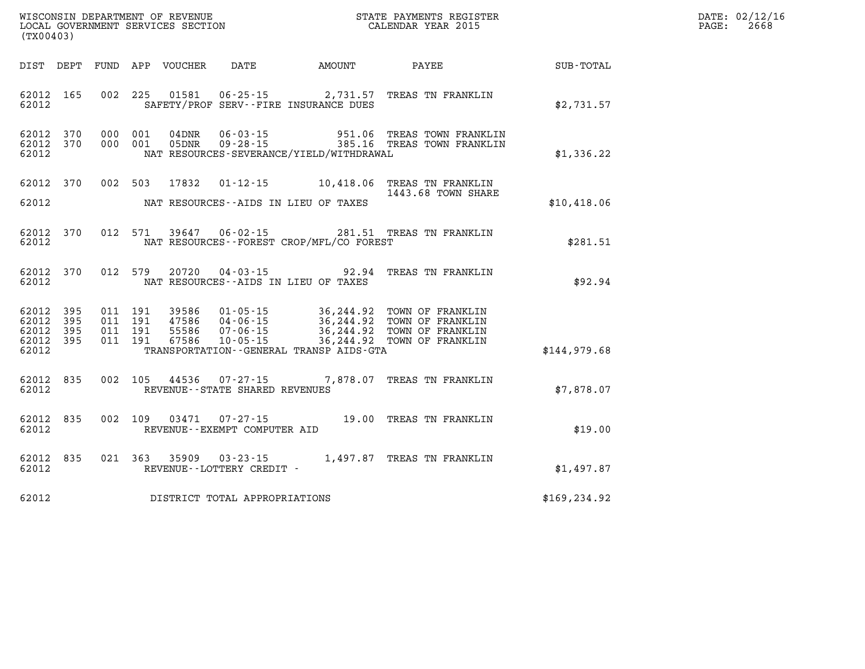| WISCONSIN DEPARTMENT OF REVENUE<br>LOCAL GOVERNMENT SERVICES SECTION<br>CALENDAR YEAR 2015<br>(TX00403) |  |  |  |  |                                       |                                            |                                                                                                                                                                                                                                                             |               | DATE: 02/12/16<br>PAGE: 2668 |
|---------------------------------------------------------------------------------------------------------|--|--|--|--|---------------------------------------|--------------------------------------------|-------------------------------------------------------------------------------------------------------------------------------------------------------------------------------------------------------------------------------------------------------------|---------------|------------------------------|
|                                                                                                         |  |  |  |  |                                       |                                            | DIST DEPT FUND APP VOUCHER DATE AMOUNT PAYEE PAYES                                                                                                                                                                                                          |               |                              |
| 62012 165<br>62012                                                                                      |  |  |  |  |                                       | SAFETY/PROF SERV--FIRE INSURANCE DUES      | 002 225 01581 06-25-15 2,731.57 TREAS TN FRANKLIN                                                                                                                                                                                                           | \$2,731.57    |                              |
| 62012 370<br>62012 370<br>62012                                                                         |  |  |  |  |                                       | NAT RESOURCES-SEVERANCE/YIELD/WITHDRAWAL   | 000 001 04DNR 06-03-15 951.06 TREAS TOWN FRANKLIN<br>000 001 05DNR 09-28-15 385.16 TREAS TOWN FRANKLIN                                                                                                                                                      | \$1,336.22    |                              |
| 62012                                                                                                   |  |  |  |  |                                       | NAT RESOURCES--AIDS IN LIEU OF TAXES       | 62012 370 002 503 17832 01-12-15 10,418.06 TREAS TN FRANKLIN<br>1443.68 TOWN SHARE                                                                                                                                                                          | \$10,418.06   |                              |
| 62012                                                                                                   |  |  |  |  |                                       | NAT RESOURCES--FOREST CROP/MFL/CO FOREST   | 62012 370 012 571 39647 06-02-15 281.51 TREAS TN FRANKLIN                                                                                                                                                                                                   | \$281.51      |                              |
|                                                                                                         |  |  |  |  |                                       | 62012 NAT RESOURCES--AIDS IN LIEU OF TAXES | 62012 370 012 579 20720 04-03-15 92.94 TREAS TN FRANKLIN                                                                                                                                                                                                    | \$92.94       |                              |
| 62012 395<br>62012 395<br>62012 395<br>62012 395<br>62012                                               |  |  |  |  |                                       |                                            | 011 191 39586 01-05-15 36,244.92 TOWN OF FRANKLIN<br>011 191 47586 04-06-15 36,244.92 TOWN OF FRANKLIN<br>011 191 55586 07-06-15 36,244.92 TOWN OF FRANKLIN<br>011 191 67586 10-05-15 36,244.92 TOWN OF FRANKLIN<br>TRANSPORTATION--GENERAL TRANSP AIDS-GTA | \$144,979.68  |                              |
|                                                                                                         |  |  |  |  | 62012 REVENUE - STATE SHARED REVENUES |                                            | 62012 835 002 105 44536 07-27-15 7,878.07 TREAS TN FRANKLIN                                                                                                                                                                                                 | \$7,878.07    |                              |
|                                                                                                         |  |  |  |  |                                       |                                            | $\begin{array}{cccccc} 62012 & 835 & 002 & 109 & 03471 & 07\text{-}27\text{-}15 & & 19.00 & \text{TREAS TN FRANKLIN} \\ 62012 & & & \text{REVENUE--EXEMP COMPUTER AID & & & \end{array}$                                                                    | \$19.00       |                              |
|                                                                                                         |  |  |  |  | 62012 REVENUE--LOTTERY CREDIT -       |                                            | 62012 835 021 363 35909 03-23-15 1,497.87 TREAS TN FRANKLIN                                                                                                                                                                                                 | \$1,497.87    |                              |
| 62012                                                                                                   |  |  |  |  | DISTRICT TOTAL APPROPRIATIONS         |                                            |                                                                                                                                                                                                                                                             | \$169, 234.92 |                              |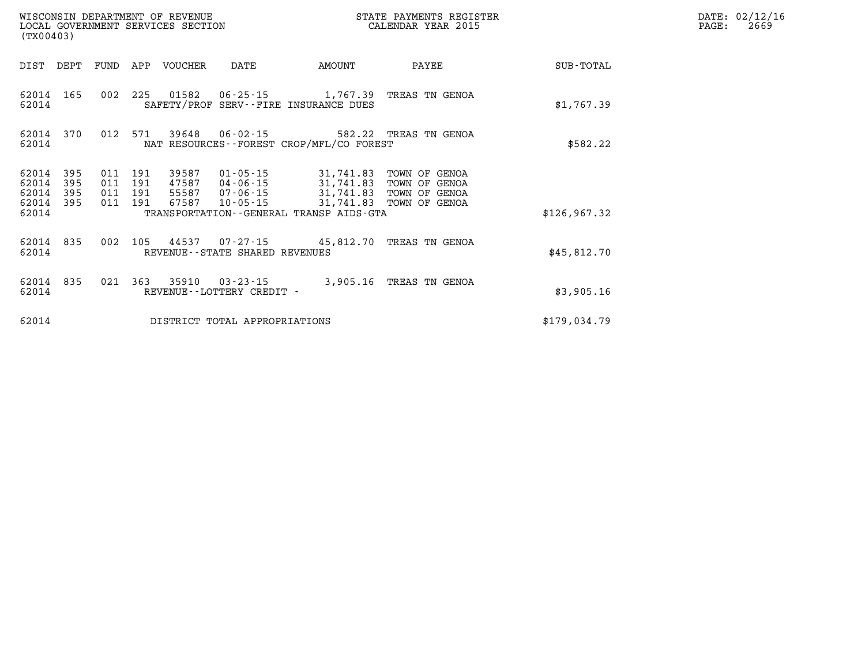| WISCONSIN DEPARTMENT OF REVENUE<br>LOCAL GOVERNMENT SERVICES SECTION<br>(TX00403) |                                                                                                             |                    |     |             |                                                     | STATE PAYMENTS REGISTER<br>CALENDAR YEAR 2015                                                                               |                                |               | DATE: 02/12/16<br>2669<br>PAGE: |
|-----------------------------------------------------------------------------------|-------------------------------------------------------------------------------------------------------------|--------------------|-----|-------------|-----------------------------------------------------|-----------------------------------------------------------------------------------------------------------------------------|--------------------------------|---------------|---------------------------------|
|                                                                                   | DIST DEPT FUND                                                                                              |                    |     | APP VOUCHER | DATE                                                | AMOUNT                                                                                                                      | PAYEE                          | SUB-TOTAL     |                                 |
| 62014 165<br>62014                                                                |                                                                                                             | 002 225            |     | 01582       |                                                     | 06-25-15 1,767.39 TREAS TN GENOA<br>SAFETY/PROF SERV--FIRE INSURANCE DUES                                                   |                                | \$1,767.39    |                                 |
| 62014                                                                             | 012 571<br>39648  06-02-15  582.22  TREAS TN GENOA<br>62014 370<br>NAT RESOURCES--FOREST CROP/MFL/CO FOREST |                    |     |             |                                                     |                                                                                                                             |                                | \$582.22      |                                 |
| 62014<br>62014                                                                    | 395<br>395                                                                                                  | 011<br>011 191     | 191 | 39587       | 01-05-15                                            | 31,741.83<br>47587 04-06-15 31,741.83                                                                                       | TOWN OF GENOA<br>TOWN OF GENOA |               |                                 |
| 62014<br>62014<br>62014                                                           | 395<br>395                                                                                                  | 011 191<br>011 191 |     |             |                                                     | 55587 07-06-15 31,741.83 TOWN OF GENOA<br>67587 10-05-15 31,741.83 TOWN OF GENOA<br>TRANSPORTATION--GENERAL TRANSP AIDS-GTA |                                | \$126, 967.32 |                                 |
| 62014 835<br>62014                                                                |                                                                                                             | 002                | 105 |             | REVENUE - - STATE SHARED REVENUES                   | 44537 07-27-15 45,812.70 TREAS TN GENOA                                                                                     |                                | \$45,812.70   |                                 |
| 62014 835<br>62014                                                                |                                                                                                             |                    |     |             | 021 363 35910 03-23-15<br>REVENUE--LOTTERY CREDIT - | 3,905.16 TREAS TN GENOA                                                                                                     |                                | \$3,905.16    |                                 |
| 62014                                                                             |                                                                                                             |                    |     |             | DISTRICT TOTAL APPROPRIATIONS                       |                                                                                                                             |                                | \$179,034.79  |                                 |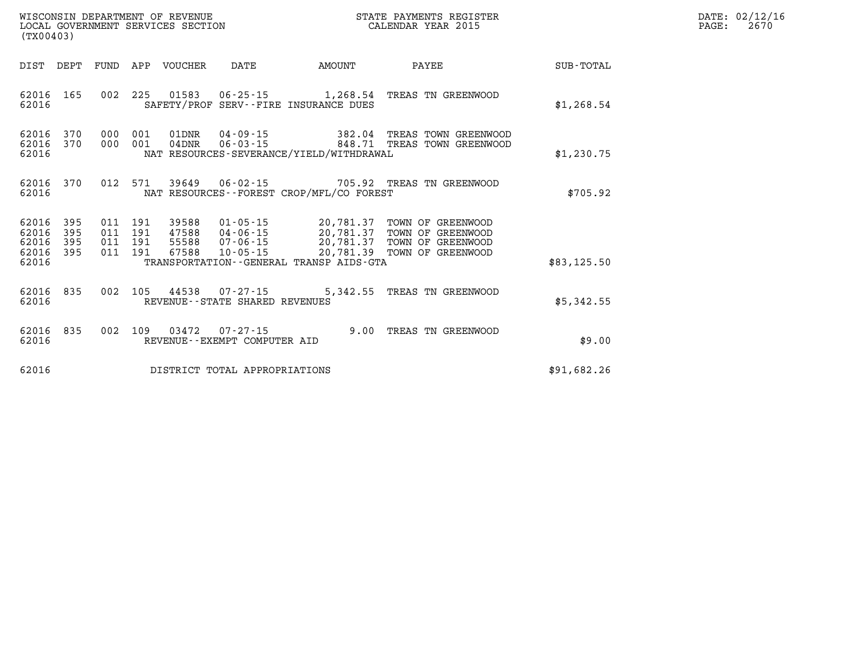| (TX00403)                                                          | ${\tt WISCOONSIM} \begin{tabular}{lcccc} {\tt WISCOONSIM} \end{tabular} \begin{tabular}{lcccc} {\tt NISCOONSIM} \end{tabular} \begin{tabular}{lcccc} {\tt NUCAL} \end{tabular} \begin{tabular}{lcccc} {\tt NUCAL} \end{tabular} \begin{tabular}{lcccc} {\tt NUCAL} \end{tabular} \begin{tabular}{lcccc} {\tt NUCAL} \end{tabular} \end{tabular} \begin{tabular}{lcccc} {\tt NUCAL} \end{tabular} \begin{tabular}{lcccc} {\tt NUCAL} \end{tabular} \end{tabular} \begin{tabular}{lcccc} {\tt NUCAL} \end{tabular} \begin{tabular}{lcccc} {\$ |               | STATE PAYMENTS REGISTER              |             | DATE: 02/12/16<br>2670<br>$\mathtt{PAGE}$ : |
|--------------------------------------------------------------------|---------------------------------------------------------------------------------------------------------------------------------------------------------------------------------------------------------------------------------------------------------------------------------------------------------------------------------------------------------------------------------------------------------------------------------------------------------------------------------------------------------------------------------------------|---------------|--------------------------------------|-------------|---------------------------------------------|
| DIST DEPT                                                          | FUND APP VOUCHER DATE                                                                                                                                                                                                                                                                                                                                                                                                                                                                                                                       | <b>AMOUNT</b> | PAYEE                                | SUB-TOTAL   |                                             |
| 62016 165<br>62016                                                 | 002 225 01583 06-25-15 1,268.54 TREAS TN GREENWOOD<br>SAFETY/PROF SERV--FIRE INSURANCE DUES                                                                                                                                                                                                                                                                                                                                                                                                                                                 |               |                                      | \$1,268.54  |                                             |
| 62016 370<br>62016 370<br>62016                                    | 000 001 01DNR 04-09-15 382.04 TREAS TOWN GREENWOOD<br>000 001 04DNR<br>NAT RESOURCES-SEVERANCE/YIELD/WITHDRAWAL                                                                                                                                                                                                                                                                                                                                                                                                                             |               | 06-03-15 848.71 TREAS TOWN GREENWOOD | \$1,230.75  |                                             |
| 62016 370<br>62016                                                 | 012 571 39649 06-02-15 705.92 TREAS TN GREENWOOD<br>NAT RESOURCES - FOREST CROP/MFL/CO FOREST                                                                                                                                                                                                                                                                                                                                                                                                                                               |               |                                      | \$705.92    |                                             |
| 62016<br>395<br>62016<br>395<br>62016<br>395<br>62016 395<br>62016 | 011 191 39588 01-05-15 20,781.37 TOWN OF GREENWOOD<br>011 191 47588 04-06-15 20,781.37 TOWN OF GREENWOOD<br>011 191 55588 07-06-15 20,781.37 TOWN OF GREENWOOD<br>011 191 67588 10-05-15 20,781.39 TOWN OF GREENWOOD<br>TRANSPORTATION--GENERAL TRANSP AIDS-GTA                                                                                                                                                                                                                                                                             |               |                                      | \$83,125.50 |                                             |
| 62016 835<br>62016                                                 | 002 105 44538 07-27-15 5,342.55 TREAS TN GREENWOOD<br>REVENUE--STATE SHARED REVENUES                                                                                                                                                                                                                                                                                                                                                                                                                                                        |               |                                      | \$5,342.55  |                                             |
| 62016 835<br>62016                                                 | 002 109 03472 07-27-15 9.00 TREAS TN GREENWOOD<br>REVENUE--EXEMPT COMPUTER AID                                                                                                                                                                                                                                                                                                                                                                                                                                                              |               |                                      | \$9.00      |                                             |
| 62016                                                              | DISTRICT TOTAL APPROPRIATIONS                                                                                                                                                                                                                                                                                                                                                                                                                                                                                                               |               |                                      | \$91,682.26 |                                             |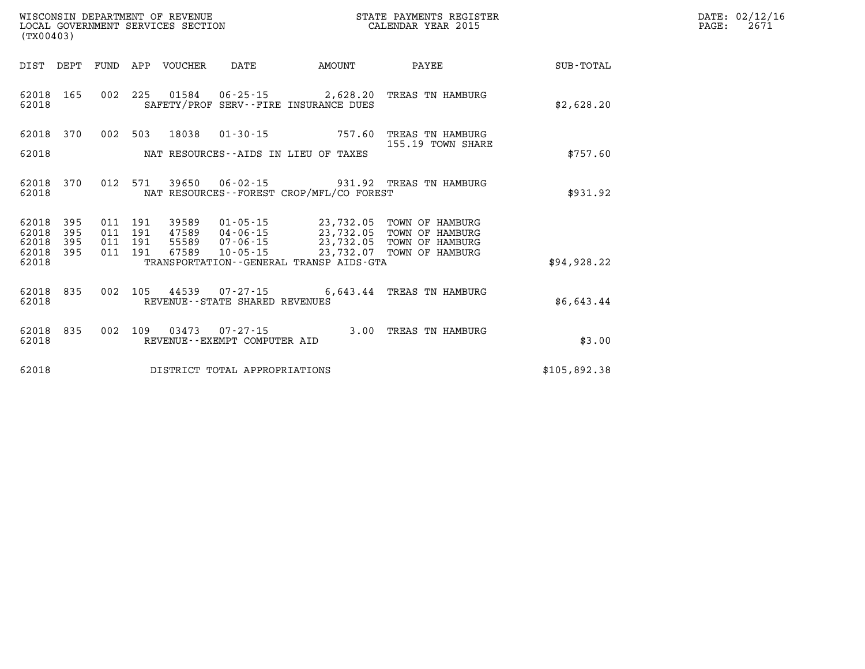| ${\tt WISCOONSIM} \begin{tabular}{lcccc} {\tt WISCOONSIM} \end{tabular} \begin{tabular}{lcccc} {\tt NISCOONSIM} \end{tabular} \begin{tabular}{lcccc} {\tt NUCAL} \end{tabular} \begin{tabular}{lcccc} {\tt NUCAL} \end{tabular} \begin{tabular}{lcccc} {\tt NUCAL} \end{tabular} \begin{tabular}{lcccc} {\tt NUCAL} \end{tabular} \end{tabular} \begin{tabular}{lcccc} {\tt NUCAL} \end{tabular} \begin{tabular}{lcccc} {\tt NUCAL} \end{tabular} \end{tabular} \begin{tabular}{lcccc} {\tt NUCAL} \end{tabular} \begin{tabular}{lcccc} {\$<br>(TX00403) |              |         |                    |                  |                                   |                                              | STATE PAYMENTS REGISTER                                                                                                                                                                  |              | DATE: 02/12/16<br>2671<br>PAGE: |
|----------------------------------------------------------------------------------------------------------------------------------------------------------------------------------------------------------------------------------------------------------------------------------------------------------------------------------------------------------------------------------------------------------------------------------------------------------------------------------------------------------------------------------------------------------|--------------|---------|--------------------|------------------|-----------------------------------|----------------------------------------------|------------------------------------------------------------------------------------------------------------------------------------------------------------------------------------------|--------------|---------------------------------|
| DIST DEPT                                                                                                                                                                                                                                                                                                                                                                                                                                                                                                                                                |              |         |                    | FUND APP VOUCHER | DATE                              | AMOUNT                                       | PAYEE                                                                                                                                                                                    | SUB-TOTAL    |                                 |
| 62018 165<br>62018                                                                                                                                                                                                                                                                                                                                                                                                                                                                                                                                       |              |         |                    |                  |                                   | SAFETY/PROF SERV--FIRE INSURANCE DUES        | 002 225 01584 06-25-15 2,628.20 TREAS TN HAMBURG                                                                                                                                         | \$2,628.20   |                                 |
| 62018 370                                                                                                                                                                                                                                                                                                                                                                                                                                                                                                                                                |              |         |                    |                  |                                   |                                              | 002 503 18038 01-30-15 757.60 TREAS TN HAMBURG<br>155.19 TOWN SHARE                                                                                                                      |              |                                 |
| 62018                                                                                                                                                                                                                                                                                                                                                                                                                                                                                                                                                    |              |         |                    |                  |                                   | NAT RESOURCES--AIDS IN LIEU OF TAXES         |                                                                                                                                                                                          | \$757.60     |                                 |
| 62018 370<br>62018                                                                                                                                                                                                                                                                                                                                                                                                                                                                                                                                       |              |         |                    |                  |                                   | NAT RESOURCES - - FOREST CROP/MFL/CO FOREST  | 012 571 39650 06-02-15 931.92 TREAS TN HAMBURG                                                                                                                                           | \$931.92     |                                 |
| 62018<br>62018                                                                                                                                                                                                                                                                                                                                                                                                                                                                                                                                           | - 395<br>395 |         | 011 191<br>011 191 |                  | 47589 04-06-15                    |                                              | 39589  01-05-15  23,732.05  TOWN OF HAMBURG<br>47589  04-06-15  23,732.05  TOWN OF HAMBURG<br>55589  07-06-15  23,732.05  TOWN OF HAMBURG<br>67589  10-05-15  23,732.07  TOWN OF HAMBURG |              |                                 |
| 62018<br>62018 395<br>62018                                                                                                                                                                                                                                                                                                                                                                                                                                                                                                                              | 395          | 011 191 | 011 191            |                  | 55589 07-06-15                    | TRANSPORTATION - - GENERAL TRANSP AIDS - GTA |                                                                                                                                                                                          | \$94, 928.22 |                                 |
| 62018 835<br>62018                                                                                                                                                                                                                                                                                                                                                                                                                                                                                                                                       |              |         |                    |                  | REVENUE - - STATE SHARED REVENUES |                                              | 002 105 44539 07-27-15 6,643.44 TREAS TN HAMBURG                                                                                                                                         | \$6,643.44   |                                 |
| 62018 835<br>62018                                                                                                                                                                                                                                                                                                                                                                                                                                                                                                                                       |              | 002     |                    |                  | REVENUE--EXEMPT COMPUTER AID      |                                              | 109  03473  07-27-15  3.00 TREAS TN HAMBURG                                                                                                                                              | \$3.00       |                                 |
| 62018                                                                                                                                                                                                                                                                                                                                                                                                                                                                                                                                                    |              |         |                    |                  | DISTRICT TOTAL APPROPRIATIONS     |                                              |                                                                                                                                                                                          | \$105,892.38 |                                 |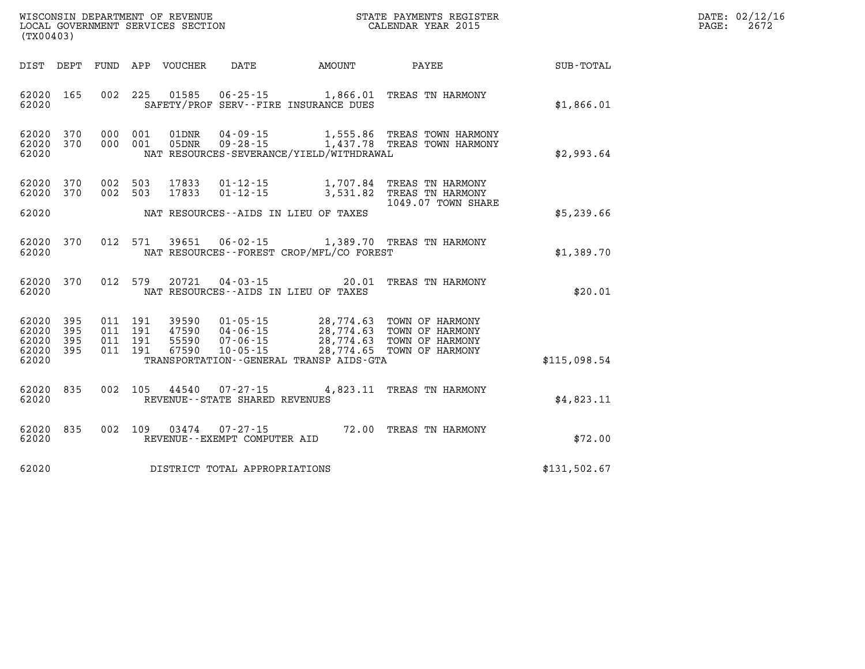| DATE: | 02/12/16 |
|-------|----------|
| PAGE: | 2672     |

| (TX00403)               |                   |                   | WISCONSIN DEPARTMENT OF REVENUE<br>LOCAL GOVERNMENT SERVICES SECTION |                                                          |                                                                  | STATE PAYMENTS REGISTER<br>CALENDAR YEAR 2015              |              |
|-------------------------|-------------------|-------------------|----------------------------------------------------------------------|----------------------------------------------------------|------------------------------------------------------------------|------------------------------------------------------------|--------------|
| DIST                    | DEPT              | FUND              | APP<br>VOUCHER                                                       | DATE                                                     | AMOUNT                                                           | PAYEE                                                      | SUB-TOTAL    |
| 62020<br>62020          | 165               | 002               | 225<br>01585                                                         | $06 - 25 - 15$                                           | 1,866.01<br>SAFETY/PROF SERV--FIRE INSURANCE DUES                | TREAS TN HARMONY                                           | \$1,866.01   |
| 62020<br>62020<br>62020 | 370<br>370        | 000<br>000        | 001<br>01DNR<br>001<br>05DNR                                         | $04 - 09 - 15$<br>$09 - 28 - 15$                         | 1,555.86<br>1,437.78<br>NAT RESOURCES-SEVERANCE/YIELD/WITHDRAWAL | TREAS TOWN HARMONY<br>TREAS TOWN HARMONY                   | \$2,993.64   |
| 62020<br>62020          | 370<br>370        | 002<br>002        | 503<br>17833<br>503<br>17833                                         | $01 - 12 - 15$<br>$01 - 12 - 15$                         | 1,707.84<br>3,531.82                                             | TREAS TN HARMONY<br>TREAS TN HARMONY<br>1049.07 TOWN SHARE |              |
| 62020                   |                   |                   |                                                                      | NAT RESOURCES--AIDS IN LIEU OF TAXES                     |                                                                  |                                                            | \$5,239.66   |
| 62020<br>62020          | 370               | 012               | 571<br>39651                                                         | $06 - 02 - 15$                                           | NAT RESOURCES - - FOREST CROP/MFL/CO FOREST                      | 1,389.70 TREAS TN HARMONY                                  | \$1,389.70   |
| 62020<br>62020          | 370               | 012               | 579<br>20721                                                         | $04 - 03 - 15$<br>NAT RESOURCES -- AIDS IN LIEU OF TAXES | 20.01                                                            | TREAS TN HARMONY                                           | \$20.01      |
| 62020<br>62020<br>62020 | 395<br>395<br>395 | 011<br>011<br>011 | 191<br>39590<br>191<br>47590<br>191<br>55590                         | $01 - 05 - 15$<br>$04 - 06 - 15$<br>$07 - 06 - 15$       | 28,774.63<br>28,774.63<br>28,774.63                              | TOWN OF HARMONY<br>TOWN OF HARMONY<br>TOWN OF HARMONY      |              |
| 62020<br>62020          | 395               | 011               | 67590<br>191                                                         | $10 - 05 - 15$                                           | 28,774.65<br>TRANSPORTATION - - GENERAL TRANSP AIDS - GTA        | TOWN OF HARMONY                                            | \$115,098.54 |
| 62020<br>62020          | 835               | 002               | 105<br>44540                                                         | $07 - 27 - 15$<br>REVENUE - - STATE SHARED REVENUES      | 4,823.11                                                         | TREAS TN HARMONY                                           | \$4,823.11   |
| 62020<br>62020          | 835               | 002               | 109<br>03474                                                         | $07 - 27 - 15$<br>REVENUE--EXEMPT COMPUTER AID           |                                                                  | 72.00 TREAS TN HARMONY                                     | \$72.00      |
| 62020                   |                   |                   |                                                                      | DISTRICT TOTAL APPROPRIATIONS                            |                                                                  |                                                            | \$131,502.67 |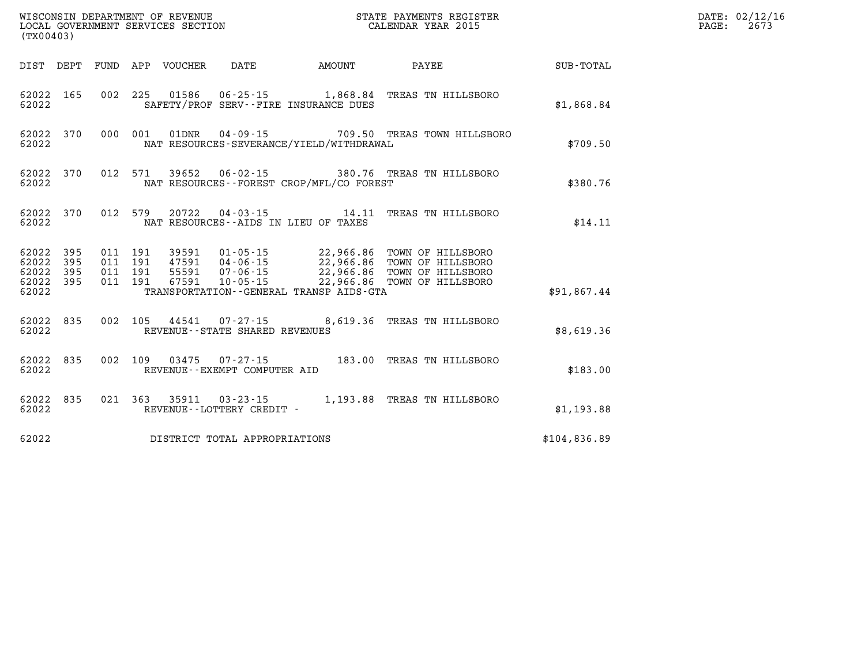| (TX00403) |       |                               |  |                                |                                           | WISCONSIN DEPARTMENT OF REVENUE<br>LOCAL GOVERNMENT SERVICES SECTION<br>CALENDAR YEAR 2015                                                                                                                                                                                                                   |              | DATE: 02/12/16<br>$\mathtt{PAGE:}$<br>2673 |
|-----------|-------|-------------------------------|--|--------------------------------|-------------------------------------------|--------------------------------------------------------------------------------------------------------------------------------------------------------------------------------------------------------------------------------------------------------------------------------------------------------------|--------------|--------------------------------------------|
|           |       |                               |  |                                |                                           | DIST DEPT FUND APP VOUCHER DATE AMOUNT PAYEE SUB-TOTAL                                                                                                                                                                                                                                                       |              |                                            |
| 62022     |       |                               |  |                                | SAFETY/PROF SERV--FIRE INSURANCE DUES     | 62022 165 002 225 01586 06-25-15 1,868.84 TREAS TN HILLSBORO                                                                                                                                                                                                                                                 | \$1,868.84   |                                            |
| 62022     |       |                               |  |                                | NAT RESOURCES-SEVERANCE/YIELD/WITHDRAWAL  | 62022 370 000 001 01DNR 04-09-15 709.50 TREAS TOWN HILLSBORO                                                                                                                                                                                                                                                 | \$709.50     |                                            |
| 62022     |       |                               |  |                                | NAT RESOURCES - FOREST CROP/MFL/CO FOREST | 62022 370 012 571 39652 06-02-15 380.76 TREAS TN HILLSBORO                                                                                                                                                                                                                                                   | \$380.76     |                                            |
|           |       | 62022 and the state of $\sim$ |  |                                | NAT RESOURCES--AIDS IN LIEU OF TAXES      | 62022 370 012 579 20722 04-03-15 14.11 TREAS TN HILLSBORO                                                                                                                                                                                                                                                    | \$14.11      |                                            |
|           |       |                               |  |                                |                                           | $\begin{array}{cccccccc} 62022& 395& 011& 191& 39591& 01\cdot 05\cdot 15& 22,966.86& \text{TOWN OF HILLSBORO}\\ 62022& 395& 011& 191& 47591& 04\cdot 06\cdot 15& 22,966.86& \text{TOWN OF HILLSBORO}\\ 62022& 395& 011& 191& 55591& 07\cdot 06\cdot 15& 22,966.86& \text{TOWN OF HILLSBORO}\\ 62022& 395& 0$ |              |                                            |
|           | 62022 |                               |  |                                | TRANSPORTATION - GENERAL TRANSP AIDS-GTA  |                                                                                                                                                                                                                                                                                                              | \$91,867.44  |                                            |
| 62022     |       |                               |  | REVENUE--STATE SHARED REVENUES |                                           | 62022 835 002 105 44541 07-27-15 8,619.36 TREAS TN HILLSBORO                                                                                                                                                                                                                                                 | \$8,619.36   |                                            |
| 62022     |       |                               |  | REVENUE--EXEMPT COMPUTER AID   |                                           | 62022 835 002 109 03475 07-27-15 183.00 TREAS TN HILLSBORO                                                                                                                                                                                                                                                   | \$183.00     |                                            |
| 62022     |       |                               |  | REVENUE--LOTTERY CREDIT -      |                                           | 62022 835 021 363 35911 03-23-15 1,193.88 TREAS TN HILLSBORO                                                                                                                                                                                                                                                 | \$1,193.88   |                                            |
| 62022     |       |                               |  | DISTRICT TOTAL APPROPRIATIONS  |                                           |                                                                                                                                                                                                                                                                                                              | \$104,836.89 |                                            |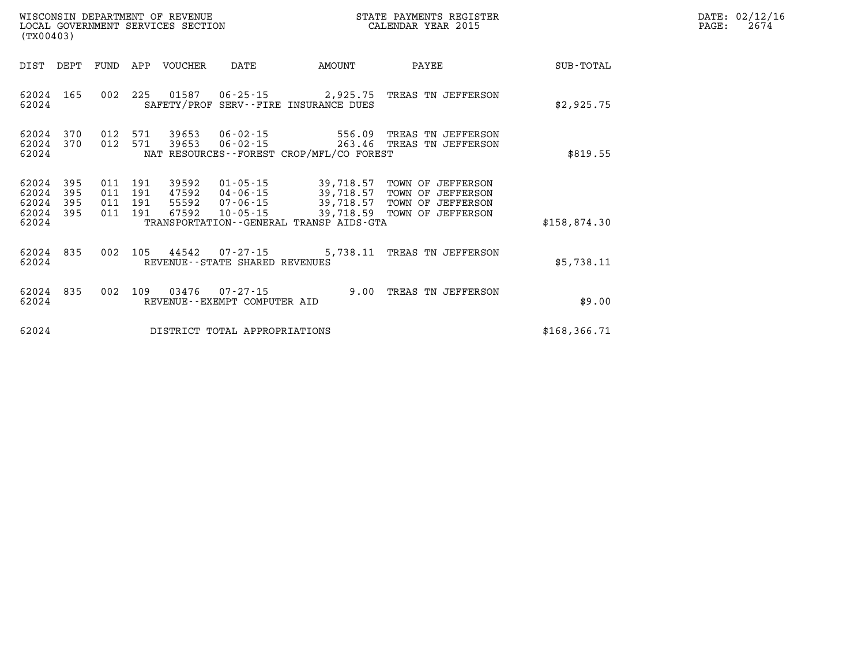| WISCONSIN DEPARTMENT OF REVENUE   | STATE PAYMENTS REGISTER |        | DATE: 02/12/16 |
|-----------------------------------|-------------------------|--------|----------------|
| LOCAL GOVERNMENT SERVICES SECTION | CALENDAR YEAR 2015      | PAGE · | 2674           |

| (TX00403)                        |                          |     |                                      | LOCAL GOVERNMENT SERVICES SECTION |                                                          |                                              | CALENDAR YEAR 2015                                                                                                       |               | PAGE: | 2674 |
|----------------------------------|--------------------------|-----|--------------------------------------|-----------------------------------|----------------------------------------------------------|----------------------------------------------|--------------------------------------------------------------------------------------------------------------------------|---------------|-------|------|
| DIST                             | DEPT                     |     |                                      | FUND APP VOUCHER                  | DATE                                                     | AMOUNT                                       | PAYEE                                                                                                                    | SUB-TOTAL     |       |      |
| 62024 165<br>62024               |                          |     |                                      |                                   |                                                          | SAFETY/PROF SERV--FIRE INSURANCE DUES        | 002 225 01587 06-25-15 2,925.75 TREAS TN JEFFERSON                                                                       | \$2,925.75    |       |      |
| 62024<br>62024<br>62024          | 370<br>370               |     | 012 571<br>012 571                   | 39653<br>39653                    | $06 - 02 - 15$                                           | NAT RESOURCES--FOREST CROP/MFL/CO FOREST     | 556.09 TREAS TN JEFFERSON<br>06-02-15 263.46 TREAS TN JEFFERSON                                                          | \$819.55      |       |      |
| 62024<br>62024<br>62024<br>62024 | 395<br>395<br>395<br>395 | 011 | 011 191<br>191<br>011 191<br>011 191 | 39592<br>47592<br>55592<br>67592  | $01 - 05 - 15$<br>04-06-15<br>07-06-15<br>10-05-15       |                                              | 39,718.57 TOWN OF JEFFERSON<br>39,718.57 TOWN OF JEFFERSON<br>39,718.57 TOWN OF JEFFERSON<br>39,718.59 TOWN OF JEFFERSON |               |       |      |
| 62024                            |                          |     |                                      |                                   |                                                          | TRANSPORTATION - - GENERAL TRANSP AIDS - GTA |                                                                                                                          | \$158,874.30  |       |      |
| 62024 835<br>62024               |                          |     |                                      |                                   | 002 105 44542 07-27-15<br>REVENUE--STATE SHARED REVENUES |                                              | 5,738.11 TREAS TN JEFFERSON                                                                                              | \$5,738.11    |       |      |
| 62024 835<br>62024               |                          |     |                                      | 002 109 03476                     | 07-27-15<br>REVENUE--EXEMPT COMPUTER AID                 |                                              | 9.00 TREAS TN JEFFERSON                                                                                                  | \$9.00        |       |      |
| 62024                            |                          |     |                                      |                                   | DISTRICT TOTAL APPROPRIATIONS                            |                                              |                                                                                                                          | \$168, 366.71 |       |      |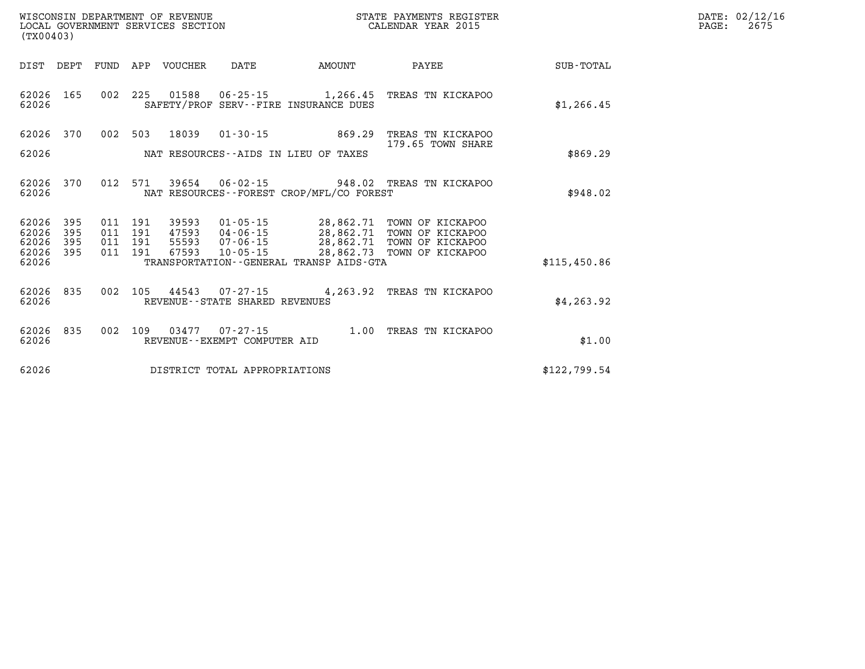| DATE: | 02/12/16 |
|-------|----------|
| PAGE: | 2675     |

| (TX00403)                                                    |                          |                                                                                                                                      |                                                  |                                                                              |                  |
|--------------------------------------------------------------|--------------------------|--------------------------------------------------------------------------------------------------------------------------------------|--------------------------------------------------|------------------------------------------------------------------------------|------------------|
| DIST<br>DEPT                                                 | FUND                     | APP<br><b>VOUCHER</b><br>DATE                                                                                                        | AMOUNT                                           | PAYEE                                                                        | <b>SUB-TOTAL</b> |
| 62026<br>165<br>62026                                        | 002                      | 225<br>01588<br>$06 - 25 - 15$<br>SAFETY/PROF SERV--FIRE INSURANCE DUES                                                              | 1,266.45                                         | TREAS TN KICKAPOO                                                            | \$1, 266.45      |
| 62026<br>370                                                 | 002                      | 503<br>18039<br>$01 - 30 - 15$                                                                                                       | 869.29                                           | TREAS TN KICKAPOO                                                            |                  |
| 62026                                                        |                          | NAT RESOURCES--AIDS IN LIEU OF TAXES                                                                                                 |                                                  | 179.65 TOWN SHARE                                                            | \$869.29         |
| 370<br>62026<br>62026                                        | 012                      | 571<br>39654<br>$06 - 02 - 15$<br>NAT RESOURCES--FOREST CROP/MFL/CO FOREST                                                           | 948.02                                           | TREAS TN KICKAPOO                                                            | \$948.02         |
| 62026<br>395<br>62026<br>395<br>62026<br>395<br>62026<br>395 | 011<br>011<br>011<br>011 | 191<br>39593<br>$01 - 05 - 15$<br>191<br>47593<br>$04 - 06 - 15$<br>191<br>55593<br>$07 - 06 - 15$<br>191<br>67593<br>$10 - 05 - 15$ | 28,862.71<br>28,862.71<br>28,862.71<br>28,862.73 | TOWN OF KICKAPOO<br>TOWN OF KICKAPOO<br>TOWN OF KICKAPOO<br>TOWN OF KICKAPOO |                  |
| 62026                                                        |                          | TRANSPORTATION--GENERAL TRANSP AIDS-GTA                                                                                              |                                                  |                                                                              | \$115,450.86     |
| 62026<br>835<br>62026                                        | 002                      | 105<br>44543<br>$07 - 27 - 15$<br>REVENUE--STATE SHARED REVENUES                                                                     | 4,263.92                                         | TREAS TN KICKAPOO                                                            | \$4, 263.92      |
| 62026<br>835<br>62026                                        | 002                      | 109<br>03477<br>$07 - 27 - 15$<br>REVENUE--EXEMPT COMPUTER AID                                                                       | 1.00                                             | TREAS<br>TN KICKAPOO                                                         | \$1.00           |
| 62026                                                        |                          | DISTRICT TOTAL APPROPRIATIONS                                                                                                        |                                                  |                                                                              | \$122,799.54     |

WISCONSIN DEPARTMENT OF REVENUE **STATE PAYMENTS REGISTER**<br>LOCAL GOVERNMENT SERVICES SECTION

LOCAL GOVERNMENT SERVICES SECTION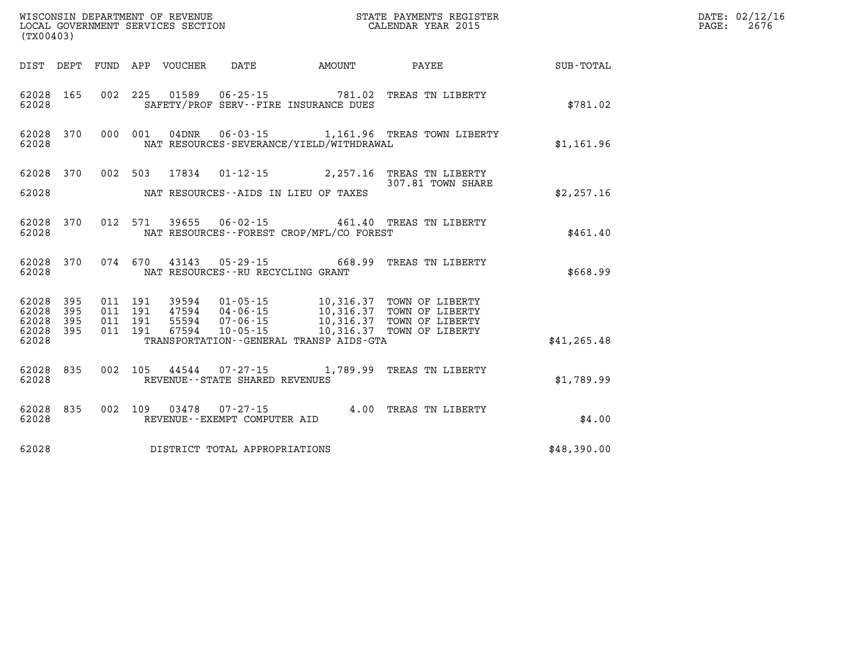| WISCONSIN DEPARTMENT OF REVENUE<br>LOCAL GOVERNMENT SERVICES SECTION CALENDAR YEAR 2015<br>(TX00403) |                  |  |  |  |                                   |                                              |                                                                                                                                                                                                              |              | DATE: 02/12/16<br>PAGE:<br>2676 |
|------------------------------------------------------------------------------------------------------|------------------|--|--|--|-----------------------------------|----------------------------------------------|--------------------------------------------------------------------------------------------------------------------------------------------------------------------------------------------------------------|--------------|---------------------------------|
|                                                                                                      |                  |  |  |  |                                   |                                              | DIST DEPT FUND APP VOUCHER DATE AMOUNT PAYEE TOTAL                                                                                                                                                           |              |                                 |
| 62028                                                                                                | 62028 165        |  |  |  |                                   | SAFETY/PROF SERV--FIRE INSURANCE DUES        | 002 225 01589 06-25-15 781.02 TREAS TN LIBERTY                                                                                                                                                               | \$781.02     |                                 |
| 62028                                                                                                |                  |  |  |  |                                   | NAT RESOURCES-SEVERANCE/YIELD/WITHDRAWAL     | 62028 370 000 001 04DNR 06-03-15 1,161.96 TREAS TOWN LIBERTY                                                                                                                                                 | \$1,161.96   |                                 |
|                                                                                                      |                  |  |  |  |                                   |                                              | 62028 370 002 503 17834 01-12-15 2,257.16 TREAS TN LIBERTY<br>307.81 TOWN SHARE                                                                                                                              |              |                                 |
|                                                                                                      |                  |  |  |  |                                   | 62028 NAT RESOURCES--AIDS IN LIEU OF TAXES   |                                                                                                                                                                                                              | \$2,257.16   |                                 |
| 62028 370<br>62028                                                                                   |                  |  |  |  |                                   | NAT RESOURCES--FOREST CROP/MFL/CO FOREST     | 012 571 39655 06-02-15 461.40 TREAS TN LIBERTY                                                                                                                                                               | \$461.40     |                                 |
| 62028                                                                                                |                  |  |  |  | NAT RESOURCES--RU RECYCLING GRANT |                                              | 62028 370 074 670 43143 05-29-15 668.99 TREAS TN LIBERTY                                                                                                                                                     | \$668.99     |                                 |
| 62028 395<br>62028 395                                                                               |                  |  |  |  |                                   |                                              | 011 191 39594 01-05-15 10,316.37 TOWN OF LIBERTY<br>011 191 47594 04-06-15 10,316.37 TOWN OF LIBERTY<br>011 191 55594 07-06-15 10,316.37 TOWN OF LIBERTY<br>011 191 67594 10-05-15 10,316.37 TOWN OF LIBERTY |              |                                 |
| 62028                                                                                                | 395<br>62028 395 |  |  |  |                                   |                                              |                                                                                                                                                                                                              |              |                                 |
| 62028                                                                                                |                  |  |  |  |                                   | TRANSPORTATION - - GENERAL TRANSP AIDS - GTA |                                                                                                                                                                                                              | \$41, 265.48 |                                 |
| 62028                                                                                                | 62028 835        |  |  |  | REVENUE--STATE SHARED REVENUES    |                                              | 002 105 44544 07-27-15 1,789.99 TREAS TN LIBERTY                                                                                                                                                             | \$1,789.99   |                                 |
| 62028                                                                                                | 62028 835        |  |  |  | REVENUE--EXEMPT COMPUTER AID      |                                              | 002 109 03478 07-27-15 $4.00$ TREAS TN LIBERTY                                                                                                                                                               | \$4.00       |                                 |
| 62028                                                                                                |                  |  |  |  | DISTRICT TOTAL APPROPRIATIONS     |                                              |                                                                                                                                                                                                              | \$48,390.00  |                                 |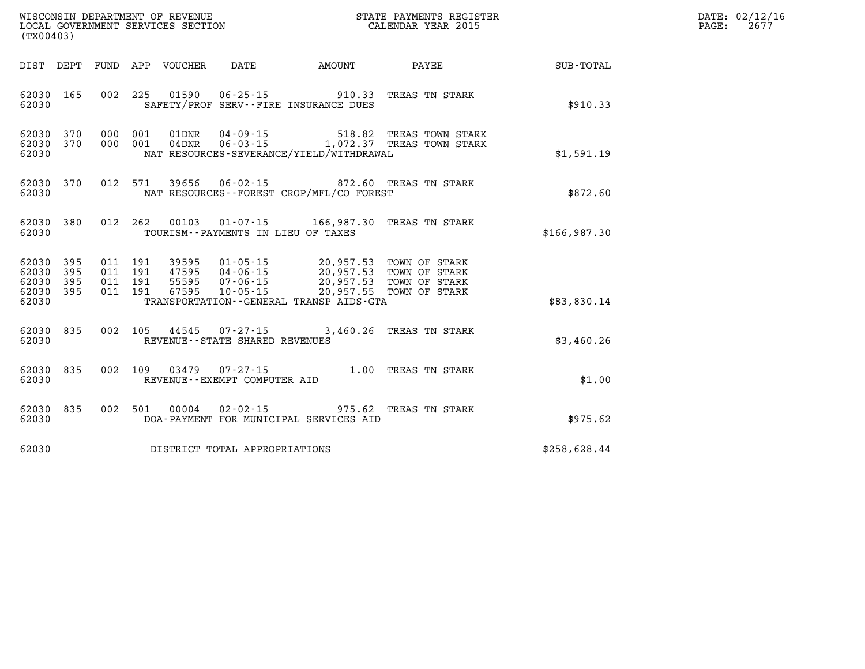| DATE: | 02/12/16 |
|-------|----------|
| PAGE: | 2677     |

| WISCONSIN DEPARTMENT OF REVENUE<br>LOCAL GOVERNMENT SERVICES SECTION<br>(TX00403) |                          |                          |                                                              |                                                                      |                                                                                | STATE PAYMENTS REGISTER<br>CALENDAR YEAR 2015                              |              |
|-----------------------------------------------------------------------------------|--------------------------|--------------------------|--------------------------------------------------------------|----------------------------------------------------------------------|--------------------------------------------------------------------------------|----------------------------------------------------------------------------|--------------|
| DIST                                                                              | DEPT                     | FUND                     | APP<br>VOUCHER DATE                                          |                                                                      | <b>EXAMPLE THE PROPERTY OF AMOUNT</b>                                          | <b>PAYEE</b>                                                               | SUB-TOTAL    |
| 62030<br>62030                                                                    | 165                      | 002                      | 225<br>01590                                                 |                                                                      | $06 - 25 - 15$ 910.33<br>SAFETY/PROF SERV--FIRE INSURANCE DUES                 | TREAS TN STARK                                                             | \$910.33     |
| 62030<br>62030<br>62030                                                           | 370<br>370               | 000<br>000               | 001<br>01DNR<br>001<br>04DNR                                 | $04 - 09 - 15$                                                       | 518.82<br>NAT RESOURCES-SEVERANCE/YIELD/WITHDRAWAL                             | TREAS TOWN STARK<br>06-03-15 1,072.37 TREAS TOWN STARK                     | \$1,591.19   |
| 62030<br>62030                                                                    | 370                      | 012                      | 571<br>39656                                                 |                                                                      | 06-02-15 872.60 TREAS TN STARK<br>NAT RESOURCES - - FOREST CROP/MFL/CO FOREST  |                                                                            | \$872.60     |
| 62030<br>62030                                                                    | 380                      | 012                      | 262<br>00103                                                 | TOURISM--PAYMENTS IN LIEU OF TAXES                                   | $01 - 07 - 15$ 166,987.30                                                      | TREAS TN STARK                                                             | \$166,987.30 |
| 62030<br>62030<br>62030<br>62030<br>62030                                         | 395<br>395<br>395<br>395 | 011<br>011<br>011<br>011 | 191<br>39595<br>191<br>47595<br>191<br>55595<br>67595<br>191 | $01 - 05 - 15$<br>$04 - 06 - 15$<br>$07 - 06 - 15$<br>$10 - 05 - 15$ | 20,957.53<br>20,957.53<br>20,957.55<br>TRANSPORTATION--GENERAL TRANSP AIDS-GTA | 20,957.53 TOWN OF STARK<br>TOWN OF STARK<br>TOWN OF STARK<br>TOWN OF STARK | \$83,830.14  |
| 62030<br>62030                                                                    | 835                      | 002                      | 105<br>44545                                                 | REVENUE - - STATE SHARED REVENUES                                    | $07 - 27 - 15$ 3,460.26                                                        | TREAS TN STARK                                                             | \$3,460.26   |
| 62030<br>62030                                                                    | 835                      | 002                      | 109<br>03479                                                 | $07 - 27 - 15$<br>REVENUE - - EXEMPT COMPUTER AID                    | 1.00                                                                           | TREAS TN STARK                                                             | \$1.00       |
| 62030<br>62030                                                                    | 835                      | 002                      | 501<br>00004                                                 | $02 - 02 - 15$                                                       | 975.62<br>DOA-PAYMENT FOR MUNICIPAL SERVICES AID                               | TREAS TN STARK                                                             | \$975.62     |
| 62030                                                                             |                          |                          | DISTRICT TOTAL APPROPRIATIONS                                |                                                                      |                                                                                |                                                                            | \$258,628.44 |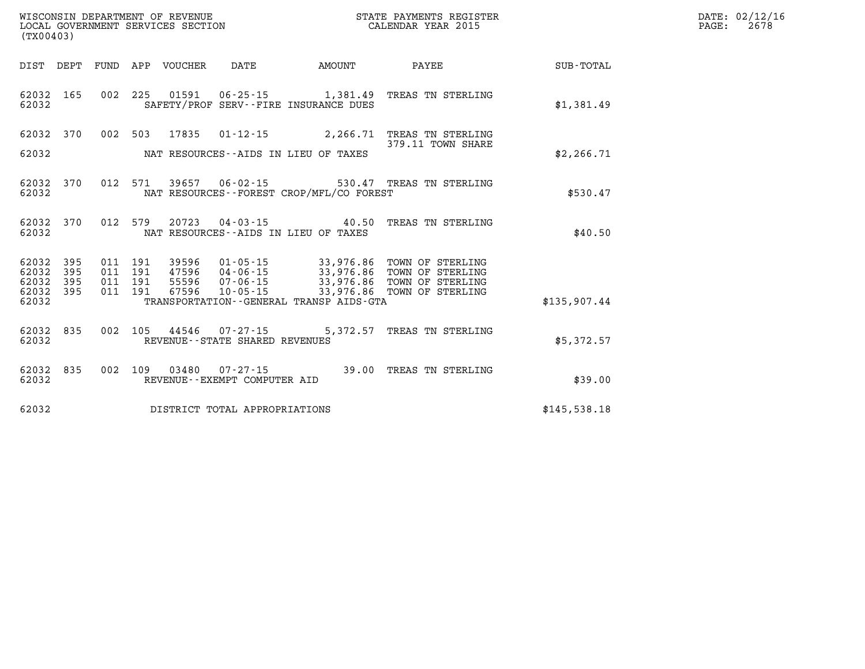| DATE: | 02/12/16 |
|-------|----------|
| PAGE: | 2678     |

| (TX00403)               |            |            |                              |                                                         |                                                                   |                                        |              |
|-------------------------|------------|------------|------------------------------|---------------------------------------------------------|-------------------------------------------------------------------|----------------------------------------|--------------|
| DIST                    | DEPT       | FUND       | APP<br>VOUCHER               | DATE                                                    | AMOUNT                                                            | PAYEE                                  | SUB-TOTAL    |
| 62032<br>62032          | 165        | 002        | 225<br>01591                 | $06 - 25 - 15$<br>SAFETY/PROF SERV--FIRE INSURANCE DUES | 1,381.49                                                          | TREAS TN STERLING                      | \$1,381.49   |
| 62032                   | 370        | 002        | 503<br>17835                 | $01 - 12 - 15$                                          | 2,266.71                                                          | TREAS TN STERLING<br>379.11 TOWN SHARE |              |
| 62032                   |            |            |                              | NAT RESOURCES--AIDS IN LIEU OF TAXES                    |                                                                   |                                        | \$2, 266.71  |
| 62032<br>62032          | 370        | 012        | 571<br>39657                 | $06 - 02 - 15$                                          | NAT RESOURCES - - FOREST CROP/MFL/CO FOREST                       | 530.47 TREAS TN STERLING               | \$530.47     |
| 62032<br>62032          | 370        | 012        | 579<br>20723                 | NAT RESOURCES - - AIDS IN LIEU OF TAXES                 | $04 - 03 - 15$ 40.50                                              | TREAS TN STERLING                      | \$40.50      |
| 62032<br>62032          | 395<br>395 | 011<br>011 | 191<br>39596<br>191<br>47596 | $01 - 05 - 15$<br>04-06-15                              | 33,976.86<br>33,976.86                                            | TOWN OF STERLING<br>TOWN OF STERLING   |              |
| 62032<br>62032<br>62032 | 395<br>395 | 011<br>011 | 55596<br>191<br>67596<br>191 | $07 - 06 - 15$<br>$10 - 05 - 15$                        | 33,976.86<br>33,976.86<br>TRANSPORTATION--GENERAL TRANSP AIDS-GTA | TOWN OF STERLING<br>TOWN OF STERLING   | \$135,907.44 |
| 62032<br>62032          | 835        | 002        | 105<br>44546                 | $07 - 27 - 15$<br>REVENUE--STATE SHARED REVENUES        | 5,372.57                                                          | TREAS TN STERLING                      | \$5,372.57   |
| 62032<br>62032          | 835        | 002        | 109<br>03480                 | $07 - 27 - 15$<br>REVENUE--EXEMPT COMPUTER AID          | 39.00                                                             | TREAS TN STERLING                      | \$39.00      |
| 62032                   |            |            |                              | DISTRICT TOTAL APPROPRIATIONS                           |                                                                   |                                        | \$145,538.18 |

WISCONSIN DEPARTMENT OF REVENUE **STATE PAYMENTS REGISTER**<br>LOCAL GOVERNMENT SERVICES SECTION

LOCAL GOVERNMENT SERVICES SECTION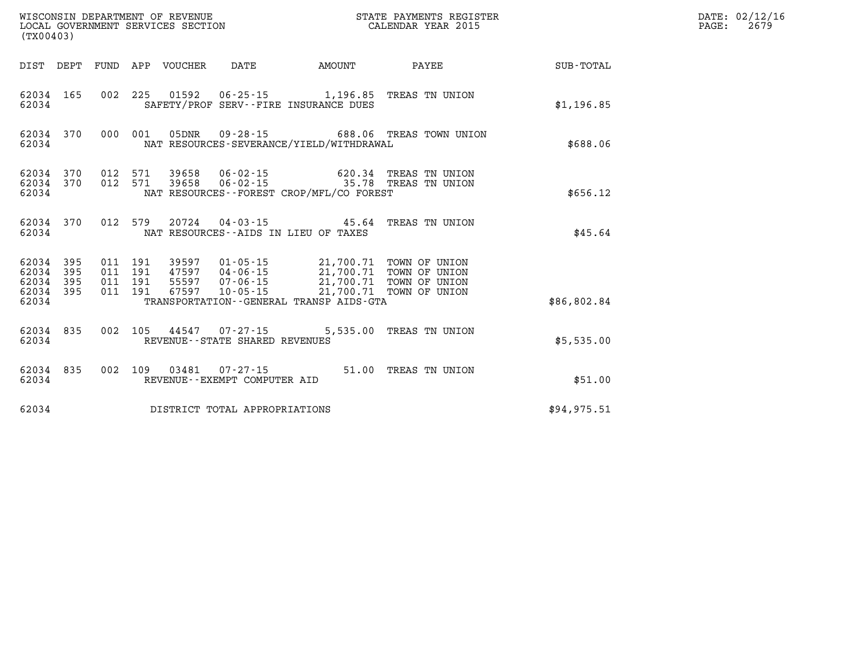| (TX00403)                                         |            |  |                               |                            |                                                             |                                                                                                                                                                                                                             |                                                                                             |              | DATE: 02/12/16<br>PAGE: | 2679 |
|---------------------------------------------------|------------|--|-------------------------------|----------------------------|-------------------------------------------------------------|-----------------------------------------------------------------------------------------------------------------------------------------------------------------------------------------------------------------------------|---------------------------------------------------------------------------------------------|--------------|-------------------------|------|
|                                                   |            |  |                               | DIST DEPT FUND APP VOUCHER | DATE                                                        | <b>EXAMPLE THE PROPERTY OF A STATE</b>                                                                                                                                                                                      | <b>PAYEE</b> PAYEE                                                                          | SUB-TOTAL    |                         |      |
| 62034 165<br>62034                                |            |  |                               |                            |                                                             | 002 225 01592 06-25-15 1,196.85 TREAS TN UNION<br>SAFETY/PROF SERV--FIRE INSURANCE DUES                                                                                                                                     |                                                                                             | \$1,196.85   |                         |      |
| 62034                                             | 62034 370  |  |                               |                            |                                                             | NAT RESOURCES-SEVERANCE/YIELD/WITHDRAWAL                                                                                                                                                                                    | 000 001 05DNR 09-28-15 688.06 TREAS TOWN UNION                                              | \$688.06     |                         |      |
| 62034 370<br>62034 370<br>62034                   |            |  |                               |                            |                                                             | NAT RESOURCES - - FOREST CROP/MFL/CO FOREST                                                                                                                                                                                 | 012 571 39658 06-02-15 620.34 TREAS TN UNION<br>012 571 39658 06-02-15 35.78 TREAS TN UNION | \$656.12     |                         |      |
| 62034                                             | 62034 370  |  | 012 579                       |                            |                                                             | NAT RESOURCES--AIDS IN LIEU OF TAXES                                                                                                                                                                                        | 20724  04-03-15  45.64  TREAS TN UNION                                                      | \$45.64      |                         |      |
| 62034<br>62034<br>62034 395<br>62034 395<br>62034 | 395<br>395 |  | 011 191<br>011 191<br>011 191 |                            | 011 191 67597 10-05-15                                      | 39597  01-05-15  21,700.71  TOWN OF UNION<br>47597  04-06-15  21,700.71  TOWN OF UNION<br>55597  07-06-15  21,700.71  TOWN OF UNION<br>67597  10-05-15  21,700.71  TOWN OF UNION<br>TRANSPORTATION--GENERAL TRANSP AIDS-GTA |                                                                                             | \$86,802.84  |                         |      |
| 62034                                             | 62034 835  |  |                               |                            | 002 105 44547 07-27-15<br>REVENUE - - STATE SHARED REVENUES |                                                                                                                                                                                                                             | 5,535.00 TREAS TN UNION                                                                     | \$5,535.00   |                         |      |
| 62034 835<br>62034                                |            |  |                               |                            | 002 109 03481 07-27-15<br>REVENUE--EXEMPT COMPUTER AID      |                                                                                                                                                                                                                             | 51.00 TREAS TN UNION                                                                        | \$51.00      |                         |      |
| 62034                                             |            |  |                               |                            | DISTRICT TOTAL APPROPRIATIONS                               |                                                                                                                                                                                                                             |                                                                                             | \$94, 975.51 |                         |      |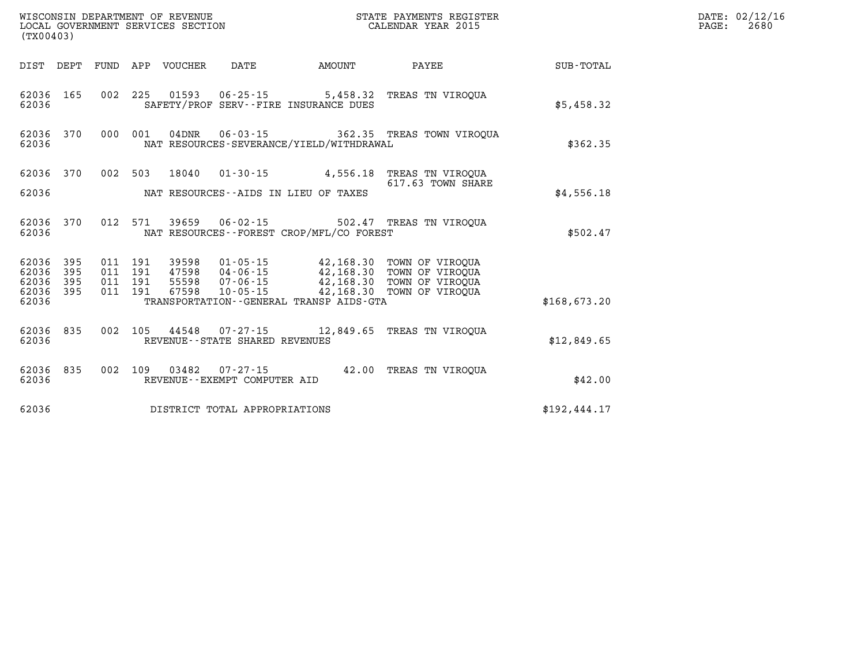| (TX00403)                                 |                                                                                                                                                                                                                                                                                                                                                  |                           |                                                         |              | DATE: 02/12/16<br>PAGE:<br>2680 |
|-------------------------------------------|--------------------------------------------------------------------------------------------------------------------------------------------------------------------------------------------------------------------------------------------------------------------------------------------------------------------------------------------------|---------------------------|---------------------------------------------------------|--------------|---------------------------------|
| DIST DEPT                                 | FUND APP VOUCHER<br>DATE                                                                                                                                                                                                                                                                                                                         | <b>EXAMPLE THE AMOUNT</b> | <b>PAYEE</b>                                            | SUB-TOTAL    |                                 |
| 62036 165<br>62036                        | 002 225 01593 06-25-15 5,458.32 TREAS TN VIROQUA<br>SAFETY/PROF SERV--FIRE INSURANCE DUES                                                                                                                                                                                                                                                        |                           |                                                         | \$5,458.32   |                                 |
| 62036 370<br>62036                        | 000 001<br>04DNR  06-03-15  362.35  TREAS TOWN VIROQUA<br>NAT RESOURCES-SEVERANCE/YIELD/WITHDRAWAL                                                                                                                                                                                                                                               |                           |                                                         | \$362.35     |                                 |
| 62036 370                                 | 002 503 18040                                                                                                                                                                                                                                                                                                                                    |                           | 01-30-15 4,556.18 TREAS TN VIROQUA<br>617.63 TOWN SHARE |              |                                 |
| 62036                                     | NAT RESOURCES--AIDS IN LIEU OF TAXES                                                                                                                                                                                                                                                                                                             |                           |                                                         | \$4,556.18   |                                 |
| 62036 370<br>62036                        | 012 571 39659 06-02-15 502.47 TREAS TN VIROQUA<br>NAT RESOURCES - - FOREST CROP/MFL/CO FOREST                                                                                                                                                                                                                                                    |                           |                                                         | \$502.47     |                                 |
| 62036<br>395<br>62036<br>395<br>62036 395 | $\begin{array}{cccc} 011 & 191 & 39598 & 01\cdot 05\cdot 15 & 42,168.30 & \text{TOWN OF VIROQUA} \\ 011 & 191 & 47598 & 04\cdot 06\cdot 15 & 42,168.30 & \text{TOWN OF VIROQUA} \\ 011 & 191 & 55598 & 07\cdot 06\cdot 15 & 42,168.30 & \text{TOWN OF VIROQUA} \\ 011 & 191 & 67598 & 10\cdot 05\cdot 15 & 42,168.30 & \text{TOWN OF VIROQUA} \$ |                           |                                                         |              |                                 |
| 62036 395<br>62036                        | TRANSPORTATION--GENERAL TRANSP AIDS-GTA                                                                                                                                                                                                                                                                                                          |                           |                                                         | \$168,673.20 |                                 |
| 62036 835<br>62036                        | 002 105 44548 07-27-15 12,849.65 TREAS TN VIROQUA<br>REVENUE - - STATE SHARED REVENUES                                                                                                                                                                                                                                                           |                           |                                                         | \$12,849.65  |                                 |
| 62036 835<br>62036                        | 002 109 03482 07-27-15 42.00 TREAS TN VIROOUA<br>REVENUE--EXEMPT COMPUTER AID                                                                                                                                                                                                                                                                    |                           |                                                         | \$42.00      |                                 |
| 62036                                     | DISTRICT TOTAL APPROPRIATIONS                                                                                                                                                                                                                                                                                                                    |                           |                                                         | \$192,444.17 |                                 |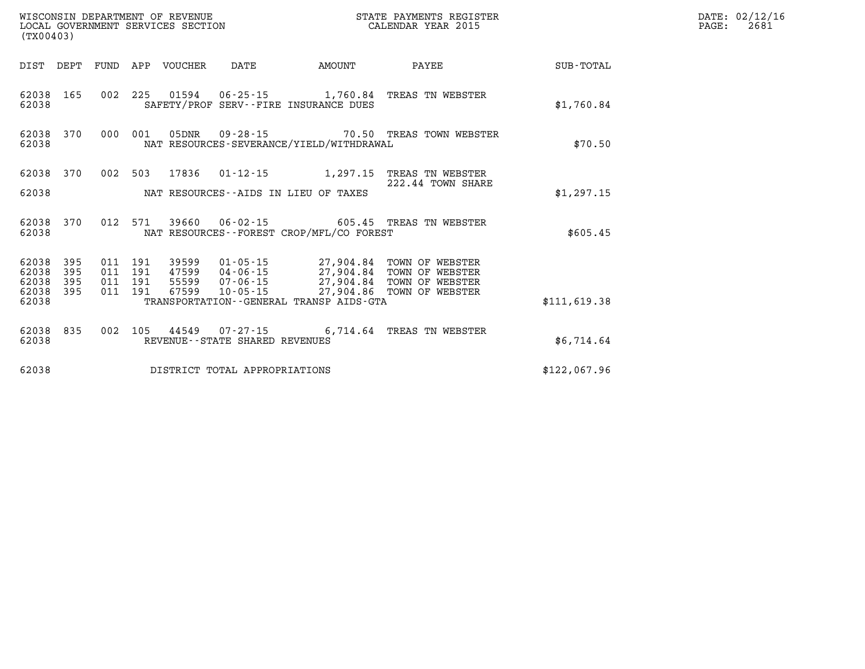| (TX00403) |  |  |                                |                                                | % WISCONSIN DEPARTMENT OF REVENUE $$\tt STATE$ PAYMENTS REGIST LOCAL GOVERNMENT SERVICES SECTION $$\tt CALEINDAR$ YEAR 2015<br>STATE PAYMENTS REGISTER                                                                                                                                                                               |              | DATE: 02/12/16<br>$\mathtt{PAGE:}$<br>2681 |
|-----------|--|--|--------------------------------|------------------------------------------------|--------------------------------------------------------------------------------------------------------------------------------------------------------------------------------------------------------------------------------------------------------------------------------------------------------------------------------------|--------------|--------------------------------------------|
|           |  |  |                                | DIST DEPT FUND APP VOUCHER DATE AMOUNT         | PAYEE                                                                                                                                                                                                                                                                                                                                | SUB-TOTAL    |                                            |
| 62038     |  |  |                                | SAFETY/PROF SERV--FIRE INSURANCE DUES          | 62038 165 002 225 01594 06-25-15 1,760.84 TREAS TN WEBSTER                                                                                                                                                                                                                                                                           | \$1,760.84   |                                            |
| 62038     |  |  |                                | NAT RESOURCES-SEVERANCE/YIELD/WITHDRAWAL       | 62038 370 000 001 05DNR 09-28-15 70.50 TREAS TOWN WEBSTER                                                                                                                                                                                                                                                                            | \$70.50      |                                            |
|           |  |  |                                |                                                | 62038 370 002 503 17836 01-12-15 1,297.15 TREAS TN WEBSTER                                                                                                                                                                                                                                                                           |              |                                            |
| 62038     |  |  |                                | NAT RESOURCES--AIDS IN LIEU OF TAXES           | 222.44 TOWN SHARE                                                                                                                                                                                                                                                                                                                    | \$1,297.15   |                                            |
|           |  |  |                                | 62038 MAT RESOURCES--FOREST CROP/MFL/CO FOREST | 62038 370 012 571 39660 06-02-15 605.45 TREAS TN WEBSTER                                                                                                                                                                                                                                                                             | \$605.45     |                                            |
|           |  |  |                                |                                                | $\begin{array}{cccccccc} 62038 & 395 & 011 & 191 & 39599 & 01\cdot 05\cdot 15 & 27,904.84 & \text{TOWN OF WEBSTER} \\ 62038 & 395 & 011 & 191 & 47599 & 04\cdot 06\cdot 15 & 27,904.84 & \text{TOWN OF WEBSTER} \\ 62038 & 395 & 011 & 191 & 55599 & 07\cdot 06\cdot 15 & 27,904.84 & \text{TOWN OF WEBSTER} \\ 62038 & 395 & 011 &$ |              |                                            |
|           |  |  |                                |                                                |                                                                                                                                                                                                                                                                                                                                      |              |                                            |
| 62038     |  |  |                                | TRANSPORTATION - - GENERAL TRANSP AIDS - GTA   |                                                                                                                                                                                                                                                                                                                                      | \$111.619.38 |                                            |
| 62038     |  |  | REVENUE--STATE SHARED REVENUES |                                                | 62038 835 002 105 44549 07-27-15 6,714.64 TREAS TN WEBSTER                                                                                                                                                                                                                                                                           | \$6,714.64   |                                            |
| 62038     |  |  | DISTRICT TOTAL APPROPRIATIONS  |                                                |                                                                                                                                                                                                                                                                                                                                      | \$122,067.96 |                                            |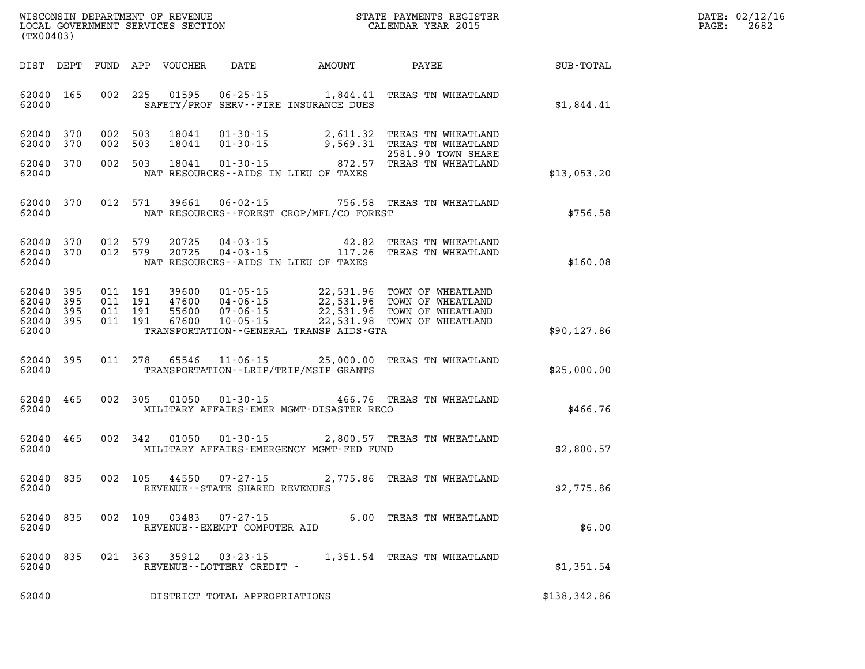| WISCONSIN DEPARTMENT OF REVENUE      | PAYMENTS REGISTER<br>3TATE | DATE: | 02/12/16 |
|--------------------------------------|----------------------------|-------|----------|
| GOVERNMENT SERVICES SECTION<br>LOCAL | CALENDAR YEAR 2015         | PAGE  | 2682     |

|                                                           | LOCAL GOVERNMENT SERVICES SECTION<br>(TX00403) |                |                               |                                  |                                                   |                                              | CALENDAR YEAR 2015                                                                                                                                           |                             | PAGE: | 2682 |
|-----------------------------------------------------------|------------------------------------------------|----------------|-------------------------------|----------------------------------|---------------------------------------------------|----------------------------------------------|--------------------------------------------------------------------------------------------------------------------------------------------------------------|-----------------------------|-------|------|
|                                                           |                                                |                |                               | DIST DEPT FUND APP VOUCHER       |                                                   |                                              |                                                                                                                                                              | DATE AMOUNT PAYEE SUB-TOTAL |       |      |
| 62040 165<br>62040                                        |                                                |                | 002 225                       |                                  |                                                   | SAFETY/PROF SERV--FIRE INSURANCE DUES        | 01595   06-25-15   1,844.41   TREAS TN WHEATLAND                                                                                                             | \$1,844.41                  |       |      |
| 62040 370<br>62040 370                                    |                                                | 002 503<br>002 | 503                           | 18041<br>18041                   |                                                   |                                              | 01-30-15 2,611.32 TREAS TN WHEATLAND<br>01-30-15 9,569.31 TREAS TN WHEATLAND<br>2581.90 TOWN SHARE                                                           |                             |       |      |
| 62040 370<br>62040                                        |                                                |                | 002 503                       | 18041                            |                                                   | NAT RESOURCES--AIDS IN LIEU OF TAXES         | 2581.90 TOWN SHARE<br>01-30-15 01-30-15 872.57 TREAS TN WHEATLAND                                                                                            | \$13,053.20                 |       |      |
| 62040 370<br>62040                                        |                                                |                | 012 571                       | 39661                            |                                                   | NAT RESOURCES--FOREST CROP/MFL/CO FOREST     | 06-02-15 756.58 TREAS TN WHEATLAND                                                                                                                           | \$756.58                    |       |      |
| 62040 370 012 579<br>62040 370<br>62040                   |                                                | 012 579        |                               | 20725<br>20725                   |                                                   | NAT RESOURCES--AIDS IN LIEU OF TAXES         | 04-03-15   42.82 TREAS TN WHEATLAND<br>04-03-15   117.26 TREAS TN WHEATLAND                                                                                  | \$160.08                    |       |      |
| 62040 395<br>62040 395<br>62040 395<br>62040 395<br>62040 |                                                | 011 191        | 011 191<br>011 191<br>011 191 | 39600<br>47600<br>55600<br>67600 |                                                   | TRANSPORTATION - - GENERAL TRANSP AIDS - GTA | 01-05-15 22,531.96 TOWN OF WHEATLAND<br>04-06-15 22,531.96 TOWN OF WHEATLAND<br>07-06-15 22,531.96 TOWN OF WHEATLAND<br>10-05-15 22,531.98 TOWN OF WHEATLAND | \$90, 127.86                |       |      |
| 62040 395<br>62040                                        |                                                |                | 011 278                       |                                  |                                                   | TRANSPORTATION - - LRIP/TRIP/MSIP GRANTS     | 65546  11-06-15  25,000.00  TREAS TN WHEATLAND                                                                                                               | \$25,000.00                 |       |      |
| 62040 465<br>62040                                        |                                                |                | 002 305                       | 01050                            |                                                   | MILITARY AFFAIRS-EMER MGMT-DISASTER RECO     | 01-30-15 466.76 TREAS TN WHEATLAND                                                                                                                           | \$466.76                    |       |      |
| 62040 465<br>62040                                        |                                                |                | 002 342                       | 01050                            |                                                   | MILITARY AFFAIRS-EMERGENCY MGMT-FED FUND     | 01-30-15 2,800.57 TREAS TN WHEATLAND                                                                                                                         | \$2,800.57                  |       |      |
| 62040 835<br>62040                                        |                                                |                | 002 105                       |                                  |                                                   |                                              | 05 44550 07-27-15 2,775.86 TREAS TN WHEATLAND<br>REVENUE--STATE SHARED REVENUES                                                                              | \$2,775.86                  |       |      |
| 62040<br>62040                                            | 835                                            | 002            | 109                           | 03483                            | $07 - 27 - 15$<br>REVENUE - - EXEMPT COMPUTER AID |                                              | 6.00 TREAS TN WHEATLAND                                                                                                                                      | \$6.00                      |       |      |
| 62040<br>62040                                            | 835                                            |                | 021 363                       | 35912                            | $03 - 23 - 15$<br>REVENUE--LOTTERY CREDIT -       |                                              | 1,351.54 TREAS TN WHEATLAND                                                                                                                                  | \$1,351.54                  |       |      |
| 62040                                                     |                                                |                |                               |                                  | DISTRICT TOTAL APPROPRIATIONS                     |                                              |                                                                                                                                                              | \$138,342.86                |       |      |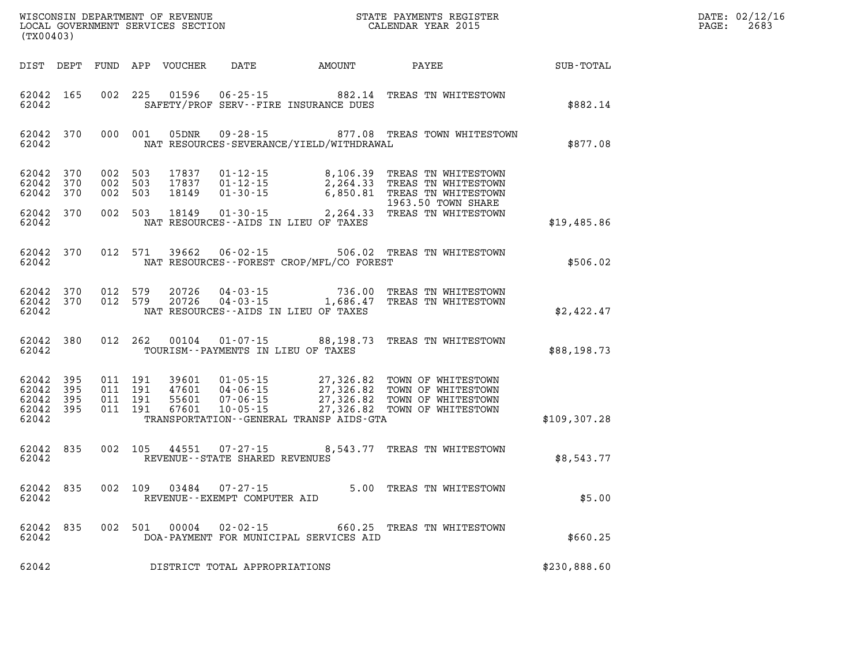| $\texttt{DATE}$ : | 02/12/16 |
|-------------------|----------|
| PAGE:             | 2683     |

| WISCONSIN DEPARTMENT OF REVENUE<br>LOCAL GOVERNMENT SERVICES SECTION<br>(TX00403) |                                    |                       |                                                                                                                         |                | STATE PAYMENTS REGISTER<br>CALENDAR YEAR 2015                                                                                                                    |                  | DATE: 02/12/1<br>PAGE:<br>2683 |
|-----------------------------------------------------------------------------------|------------------------------------|-----------------------|-------------------------------------------------------------------------------------------------------------------------|----------------|------------------------------------------------------------------------------------------------------------------------------------------------------------------|------------------|--------------------------------|
|                                                                                   | DIST DEPT                          |                       | FUND APP VOUCHER DATE AMOUNT PAYEE                                                                                      |                |                                                                                                                                                                  | <b>SUB-TOTAL</b> |                                |
| 62042                                                                             | 62042 165                          |                       | 002 225<br>01596<br>$06 - 25 - 15$<br>SAFETY/PROF SERV--FIRE INSURANCE DUES                                             |                | 882.14 TREAS TN WHITESTOWN                                                                                                                                       | \$882.14         |                                |
| 62042                                                                             | 62042 370                          |                       | 05DNR<br>000 001<br>NAT RESOURCES-SEVERANCE/YIELD/WITHDRAWAL                                                            | $09 - 28 - 15$ | 877.08 TREAS TOWN WHITESTOWN                                                                                                                                     | \$877.08         |                                |
| 62042<br>62042                                                                    | 62042 370<br>370<br>370            | 002 503<br>002<br>002 | 17837<br>$01 - 12 - 15$<br>503<br>17837<br>$01 - 12 - 15$<br>503<br>18149<br>$01 - 30 - 15$                             |                | 8,106.39 TREAS TN WHITESTOWN<br>2,264.33 TREAS TN WHITESTOWN<br>6,850.81 TREAS TN WHITESTOWN<br>1963.50 TOWN SHARE                                               |                  |                                |
| 62042                                                                             | 62042 370                          |                       | 002 503<br>18149<br>NAT RESOURCES--AIDS IN LIEU OF TAXES                                                                |                | 01-30-15 2,264.33 TREAS TN WHITESTOWN                                                                                                                            | \$19,485.86      |                                |
| 62042                                                                             | 62042 370                          |                       | 012 571<br>39662<br>NAT RESOURCES - - FOREST CROP/MFL/CO FOREST                                                         | $06 - 02 - 15$ | 506.02 TREAS TN WHITESTOWN                                                                                                                                       | \$506.02         |                                |
| 62042                                                                             | 62042 370<br>62042 370             |                       | 012 579<br>20726<br>20726<br>012 579<br>NAT RESOURCES--AIDS IN LIEU OF TAXES                                            |                | 04-03-15 736.00 TREAS TN WHITESTOWN<br>04-03-15 1,686.47 TREAS TN WHITESTOWN                                                                                     | \$2,422.47       |                                |
| 62042<br>62042                                                                    | 380                                |                       | 012 262<br>00104<br>TOURISM--PAYMENTS IN LIEU OF TAXES                                                                  |                | 01-07-15 88,198.73 TREAS TN WHITESTOWN                                                                                                                           | \$88,198.73      |                                |
| 62042<br>62042<br>62042<br>62042                                                  | - 395<br>395<br>- 395<br>62042 395 |                       | 011 191<br>39601<br>47601<br>011 191<br>011 191<br>55601<br>011 191<br>67601<br>TRANSPORTATION--GENERAL TRANSP AIDS-GTA |                | 01-05-15 27,326.82 TOWN OF WHITESTOWN<br>04-06-15 27,326.82 TOWN OF WHITESTOWN<br>07-06-15 27,326.82 TOWN OF WHITESTOWN<br>10-05-15 27,326.82 TOWN OF WHITESTOWN | \$109,307.28     |                                |
| 62042                                                                             | 62042 835                          |                       | 002 105<br>44551<br>REVENUE--STATE SHARED REVENUES                                                                      | $07 - 27 - 15$ | 8,543.77 TREAS TN WHITESTOWN                                                                                                                                     | \$8,543.77       |                                |
| 62042                                                                             | 62042 835                          |                       | 002 109 03484<br>$07 - 27 - 15$<br>REVENUE--EXEMPT COMPUTER AID                                                         |                | 5.00 TREAS TN WHITESTOWN                                                                                                                                         | \$5.00           |                                |
| 62042                                                                             | 62042 835                          |                       | 002 501<br>00004<br>DOA-PAYMENT FOR MUNICIPAL SERVICES AID                                                              | $02 - 02 - 15$ | 660.25 TREAS TN WHITESTOWN                                                                                                                                       | \$660.25         |                                |
| 62042                                                                             |                                    |                       | DISTRICT TOTAL APPROPRIATIONS                                                                                           |                |                                                                                                                                                                  | \$230,888.60     |                                |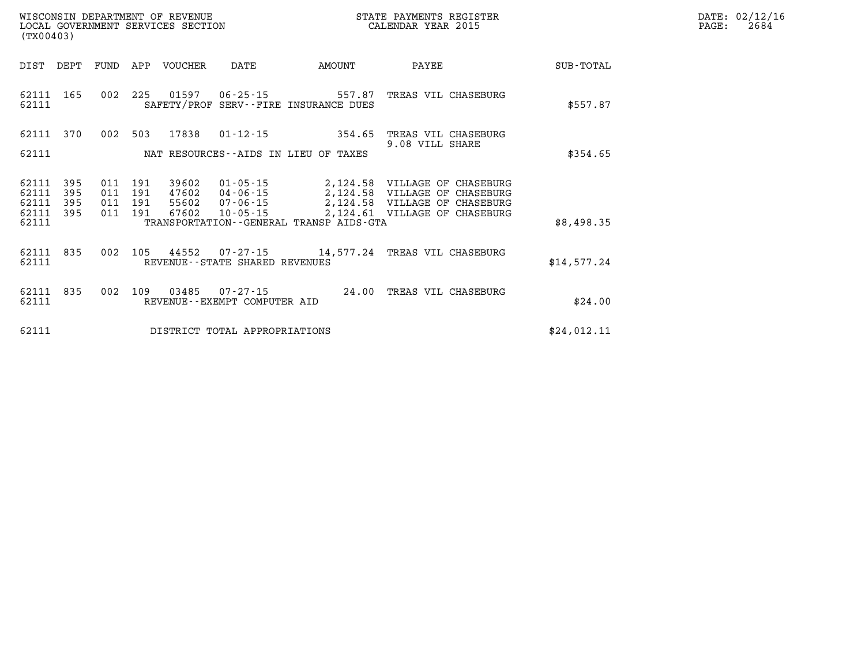| $\texttt{DATE}$ : | 02/12/16 |
|-------------------|----------|
| PAGE:             | 2684     |

| (TX00403)                                 |                          |                          |                          |                                  |                                                                |                                                                 |                                                                                                                |             |
|-------------------------------------------|--------------------------|--------------------------|--------------------------|----------------------------------|----------------------------------------------------------------|-----------------------------------------------------------------|----------------------------------------------------------------------------------------------------------------|-------------|
| DIST                                      | DEPT                     | FUND                     | APP                      | <b>VOUCHER</b>                   | DATE                                                           | AMOUNT                                                          | PAYEE                                                                                                          | SUB-TOTAL   |
| 62111<br>62111                            | 165                      | 002                      | 225                      | 01597                            | $06 - 25 - 15$                                                 | 557.87<br>SAFETY/PROF SERV--FIRE INSURANCE DUES                 | TREAS VIL CHASEBURG                                                                                            | \$557.87    |
| 62111<br>62111                            | 370                      | 002                      | 503                      | 17838                            | $01 - 12 - 15$                                                 | 354.65<br>NAT RESOURCES -- AIDS IN LIEU OF TAXES                | TREAS VIL CHASEBURG<br>9.08 VILL SHARE                                                                         | \$354.65    |
| 62111<br>62111<br>62111<br>62111<br>62111 | 395<br>395<br>395<br>395 | 011<br>011<br>011<br>011 | 191<br>191<br>191<br>191 | 39602<br>47602<br>55602<br>67602 | 01-05-15<br>$04 - 06 - 15$<br>$07 - 06 - 15$<br>$10 - 05 - 15$ | 2,124.58<br>2,124.61<br>TRANSPORTATION--GENERAL TRANSP AIDS-GTA | 2,124.58 VILLAGE OF CHASEBURG<br>VILLAGE OF CHASEBURG<br>2,124.58 VILLAGE OF CHASEBURG<br>VILLAGE OF CHASEBURG | \$8,498.35  |
| 62111<br>62111                            | 835                      | 002                      | 105                      | 44552                            | REVENUE - - STATE SHARED REVENUES                              | $07 - 27 - 15$ 14,577.24                                        | TREAS VIL CHASEBURG                                                                                            | \$14,577.24 |
| 62111<br>62111                            | 835                      | 002                      | 109                      | 03485                            | $07 - 27 - 15$<br>REVENUE--EXEMPT COMPUTER AID                 | 24.00                                                           | TREAS VIL CHASEBURG                                                                                            | \$24.00     |
| 62111                                     |                          |                          |                          |                                  | DISTRICT TOTAL APPROPRIATIONS                                  |                                                                 |                                                                                                                | \$24,012.11 |

WISCONSIN DEPARTMENT OF REVENUE **STATE PAYMENTS REGISTER**<br>LOCAL GOVERNMENT SERVICES SECTION

LOCAL GOVERNMENT SERVICES SECTION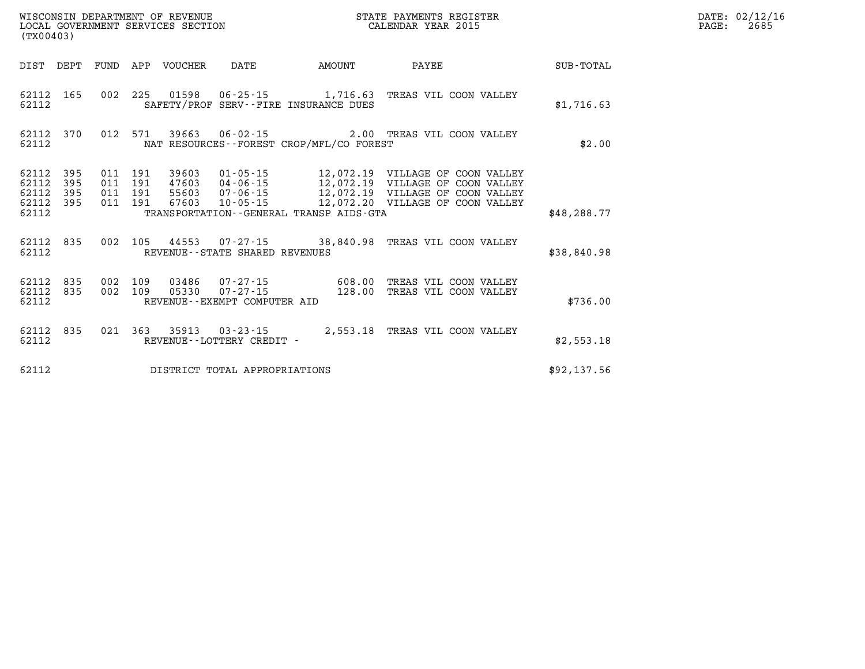| (TX00403) |           |  |  |                                |                                             | DATE: 02/12/16<br>2685<br>$\mathtt{PAGE:}$                                                                                                                                                                                                                                                                                                     |              |  |
|-----------|-----------|--|--|--------------------------------|---------------------------------------------|------------------------------------------------------------------------------------------------------------------------------------------------------------------------------------------------------------------------------------------------------------------------------------------------------------------------------------------------|--------------|--|
|           |           |  |  |                                | DIST DEPT FUND APP VOUCHER DATE AMOUNT      | <b>PAYEE</b>                                                                                                                                                                                                                                                                                                                                   | SUB-TOTAL    |  |
| 62112     |           |  |  |                                | SAFETY/PROF SERV--FIRE INSURANCE DUES       | 62112 165 002 225 01598 06-25-15 1,716.63 TREAS VIL COON VALLEY                                                                                                                                                                                                                                                                                | \$1,716.63   |  |
| 62112     |           |  |  |                                | NAT RESOURCES - - FOREST CROP/MFL/CO FOREST | 62112 370 012 571 39663 06-02-15 2.00 TREAS VIL COON VALLEY                                                                                                                                                                                                                                                                                    | \$2.00       |  |
| 62112     |           |  |  |                                | TRANSPORTATION--GENERAL TRANSP AIDS-GTA     | $\begin{array}{cccccccc} 62112 & 395 & 011 & 191 & 39603 & 01\cdot 05\cdot 15 & 12\,,072\,.19 & \text{VILLAGE OF COON VALLEY} \\ 62112 & 395 & 011 & 191 & 47603 & 04\cdot 06\cdot 15 & 12\,,072\,.19 & \text{VILLAGE OF COON VALLEY} \\ 62112 & 395 & 011 & 191 & 55603 & 07\cdot 06\cdot 15 & 12\,,072\,.19 & \text{VILLAGE OF COON VALLEY}$ | \$48, 288.77 |  |
| 62112     |           |  |  | REVENUE--STATE SHARED REVENUES |                                             | 62112 835 002 105 44553 07-27-15 38,840.98 TREAS VIL COON VALLEY                                                                                                                                                                                                                                                                               | \$38,840.98  |  |
| 62112     |           |  |  | REVENUE--EXEMPT COMPUTER AID   |                                             | $\begin{array}{cccccccc} 62112 & 835 & 002 & 109 & 03486 & 07\,\text{-}\,27\,\text{-}\,15 & & & & & 608\,\text{-}\,00 & \text{TREAS VII}\ 62112 & 835 & 002 & 109 & 05330 & 07\,\text{-}\,27\,\text{-}\,15 & & & & 128\,\text{-}\,00 & \text{TREAS VII}\ 00N \text{ VALLEY}\ \end{array}$                                                      | \$736.00     |  |
| 62112     | 62112 835 |  |  | REVENUE--LOTTERY CREDIT -      |                                             | 021 363 35913 03-23-15 2,553.18 TREAS VIL COON VALLEY                                                                                                                                                                                                                                                                                          | \$2,553.18   |  |
| 62112     |           |  |  | DISTRICT TOTAL APPROPRIATIONS  |                                             |                                                                                                                                                                                                                                                                                                                                                | \$92,137.56  |  |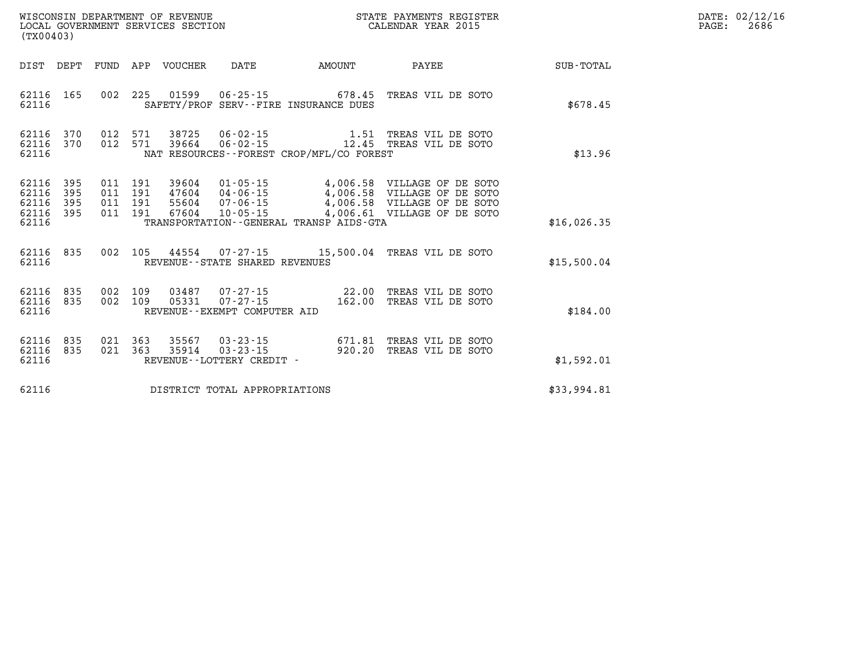| $\texttt{DATE}$ : | 02/12/16 |
|-------------------|----------|
| PAGE:             | 2686     |

| WISCONSIN DEPARTMENT OF REVENUE<br>LOCAL GOVERNMENT SERVICES SECTION<br>(TX00403)                 |                                                                                                                                                                                 | STATE PAYMENTS REGISTER<br>CALENDAR YEAR 2015 |                                                                                                                 |             |
|---------------------------------------------------------------------------------------------------|---------------------------------------------------------------------------------------------------------------------------------------------------------------------------------|-----------------------------------------------|-----------------------------------------------------------------------------------------------------------------|-------------|
| DIST<br>DEPT<br>FUND                                                                              | APP<br>VOUCHER<br>DATE                                                                                                                                                          | AMOUNT                                        | PAYEE                                                                                                           | SUB-TOTAL   |
| 002<br>165<br>62116<br>62116                                                                      | 225<br>01599<br>$06 - 25 - 15$ 678.45<br>SAFETY/PROF SERV--FIRE INSURANCE DUES                                                                                                  |                                               | TREAS VIL DE SOTO                                                                                               | \$678.45    |
| 62116<br>370<br>012<br>370<br>012<br>62116<br>62116                                               | 571<br>38725<br>$06 - 02 - 15$<br>$06 - 02 - 15$<br>571<br>39664<br>NAT RESOURCES - - FOREST CROP/MFL/CO FOREST                                                                 | 1.51<br>12.45                                 | TREAS VIL DE SOTO<br>TREAS VIL DE SOTO                                                                          | \$13.96     |
| 395<br>62116<br>011<br>395<br>011<br>62116<br>62116<br>395<br>011<br>62116<br>395<br>011<br>62116 | $01 - 05 - 15$<br>191<br>39604<br>191<br>47604<br>$04 - 06 - 15$<br>191<br>55604<br>$07 - 06 - 15$<br>191<br>67604<br>$10 - 05 - 15$<br>TRANSPORTATION--GENERAL TRANSP AIDS-GTA | 4,006.58                                      | 4,006.58 VILLAGE OF DE SOTO<br>VILLAGE OF DE SOTO<br>4,006.58 VILLAGE OF DE SOTO<br>4,006.61 VILLAGE OF DE SOTO | \$16,026.35 |
| 835<br>002<br>62116<br>62116                                                                      | 105<br>44554<br>REVENUE--STATE SHARED REVENUES                                                                                                                                  | $07 - 27 - 15$ 15,500.04                      | TREAS VIL DE SOTO                                                                                               | \$15,500.04 |
| 002<br>62116<br>835<br>002<br>62116<br>835<br>62116                                               | 109<br>03487<br>$07 - 27 - 15$<br>109<br>$07 - 27 - 15$<br>05331<br>REVENUE - - EXEMPT COMPUTER AID                                                                             | 22.00<br>162.00                               | TREAS VIL DE SOTO<br>TREAS VIL DE SOTO                                                                          | \$184.00    |
| 835<br>021<br>62116<br>021<br>62116<br>835<br>62116                                               | 363<br>35567<br>$03 - 23 - 15$<br>363<br>$03 - 23 - 15$<br>35914<br>REVENUE--LOTTERY CREDIT -                                                                                   | 671.81<br>920.20                              | TREAS VIL DE SOTO<br>TREAS VIL DE SOTO                                                                          | \$1,592.01  |
| 62116                                                                                             | DISTRICT TOTAL APPROPRIATIONS                                                                                                                                                   |                                               |                                                                                                                 | \$33,994.81 |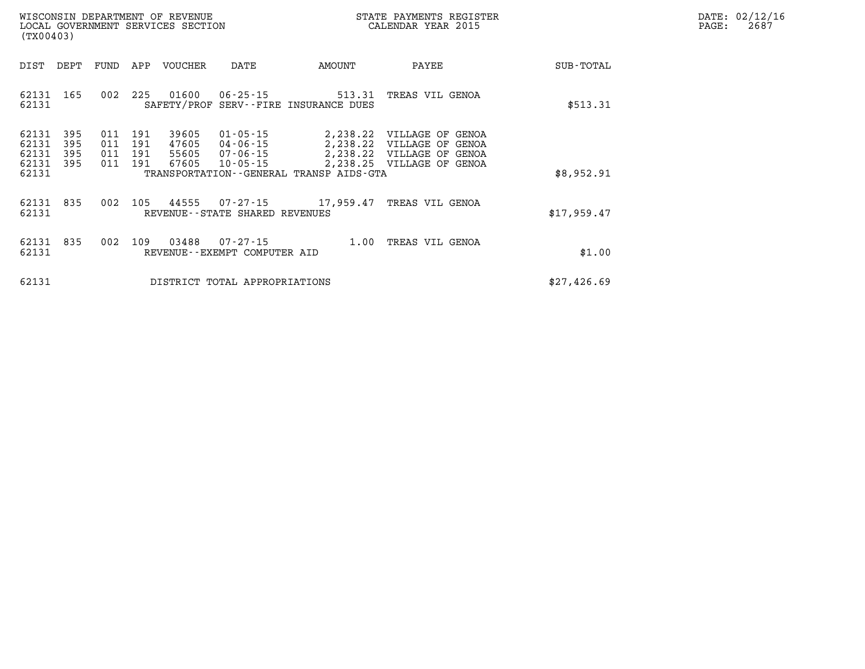| $\mathtt{DATE}$ : | 02/12/16 |
|-------------------|----------|
| PAGE:             | 2687     |

| WISCONSIN DEPARTMENT OF REVENUE<br>LOCAL GOVERNMENT SERVICES SECTION<br>(TX00403)                                                                                             |                                                                                                                                                                                              | STATE PAYMENTS REGISTER<br>CALENDAR YEAR 2015 |             | DATE: 02/12/1<br>PAGE:<br>2687 |
|-------------------------------------------------------------------------------------------------------------------------------------------------------------------------------|----------------------------------------------------------------------------------------------------------------------------------------------------------------------------------------------|-----------------------------------------------|-------------|--------------------------------|
| DEPT<br>FUND<br>APP<br>VOUCHER<br>DIST                                                                                                                                        | DATE<br>AMOUNT                                                                                                                                                                               | PAYEE                                         | SUB-TOTAL   |                                |
| 225<br>01600<br>165<br>002<br>62131<br>62131                                                                                                                                  | 06 - 25 - 15<br>SAFETY/PROF SERV--FIRE INSURANCE DUES                                                                                                                                        | 513.31 TREAS VIL GENOA                        | \$513.31    |                                |
| 39605<br>62131<br>395<br>191<br>011<br>62131<br>395<br>011<br>191<br>47605<br>04-06-15<br>62131<br>395<br>011<br>191<br>55605<br>62131<br>191<br>67605<br>395<br>011<br>62131 | 01-05-15<br>2,238.22 VILLAGE OF GENOA<br>2,238.22 VILLAGE OF GENOA<br>07-06-15 2,238.22 VILLAGE OF GENOA<br>10-05-15<br>2,238.25 VILLAGE OF GENOA<br>TRANSPORTATION--GENERAL TRANSP AIDS-GTA |                                               | \$8,952.91  |                                |
| 002<br>105<br>44555<br>62131<br>835<br>62131<br>REVENUE - - STATE SHARED REVENUES                                                                                             | 07-27-15 17,959.47 TREAS VIL GENOA                                                                                                                                                           |                                               | \$17,959.47 |                                |
| 62131<br>835<br>002<br>109<br>03488<br>62131<br>REVENUE--EXEMPT COMPUTER AID                                                                                                  | 07-27-15                                                                                                                                                                                     | 1.00 TREAS VIL GENOA                          | \$1.00      |                                |
| 62131<br>DISTRICT TOTAL APPROPRIATIONS                                                                                                                                        |                                                                                                                                                                                              |                                               | \$27,426.69 |                                |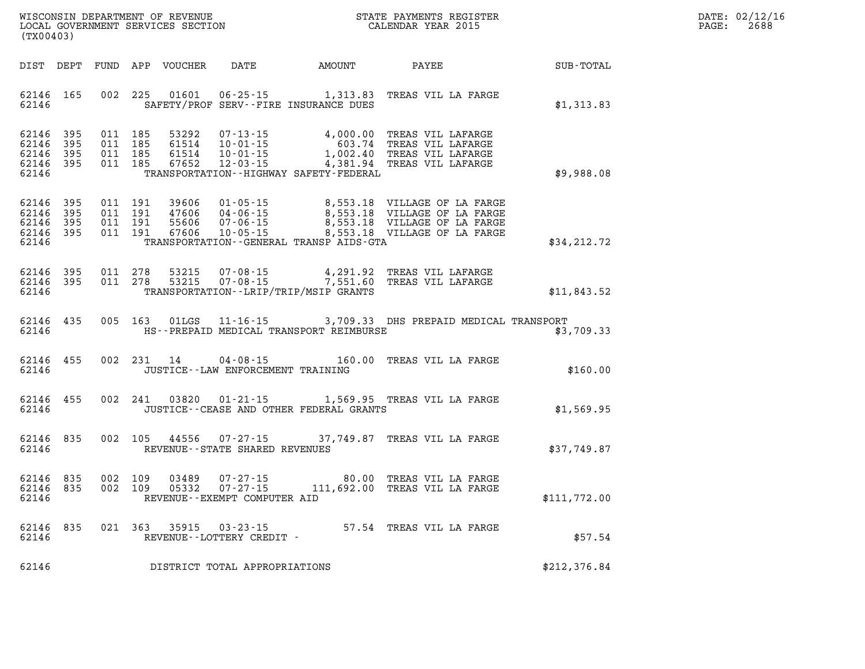| DATE:             | 02/12/16 |
|-------------------|----------|
| $\mathtt{PAGE}$ : | 2688     |

| (TX00403)                                                                                         | WISCONSIN DEPARTMENT OF REVENUE<br>STATE PAYMENTS REGISTER<br>LOCAL GOVERNMENT SERVICES SECTION<br>CALENDAR YEAR 2015                                                               |                                                                |                                                                                                   |                  |
|---------------------------------------------------------------------------------------------------|-------------------------------------------------------------------------------------------------------------------------------------------------------------------------------------|----------------------------------------------------------------|---------------------------------------------------------------------------------------------------|------------------|
| FUND<br>DIST<br>DEPT                                                                              | APP<br>VOUCHER<br>DATE                                                                                                                                                              | AMOUNT                                                         | PAYEE                                                                                             | <b>SUB-TOTAL</b> |
| 002<br>62146<br>165<br>62146                                                                      | 225<br>01601<br>$06 - 25 - 15$<br>SAFETY/PROF SERV--FIRE INSURANCE DUES                                                                                                             | 1,313.83                                                       | TREAS VIL LA FARGE                                                                                | \$1,313.83       |
| 62146<br>395<br>011<br>62146<br>395<br>011<br>62146<br>011<br>395<br>62146<br>011<br>395<br>62146 | 185<br>53292<br>$07 - 13 - 15$<br>185<br>61514<br>$10 - 01 - 15$<br>185<br>61514<br>$10 - 01 - 15$<br>$12 - 03 - 15$<br>185<br>67652<br>TRANSPORTATION - - HIGHWAY SAFETY - FEDERAL | 4,000.00<br>603.74<br>1,002.40<br>4,381.94                     | TREAS VIL LAFARGE<br>TREAS VIL LAFARGE<br>TREAS VIL LAFARGE<br>TREAS VIL LAFARGE                  | \$9,988.08       |
| 62146<br>395<br>011<br>62146<br>395<br>011<br>62146<br>395<br>011<br>62146<br>395<br>011<br>62146 | 191<br>39606<br>$01 - 05 - 15$<br>191<br>47606<br>$04 - 06 - 15$<br>$07 - 06 - 15$<br>191<br>55606<br>191<br>67606<br>$10 - 05 - 15$<br>TRANSPORTATION--GENERAL TRANSP AIDS-GTA     | 8,553.18<br>8,553.18<br>8,553.18                               | VILLAGE OF LA FARGE<br>VILLAGE OF LA FARGE<br>VILLAGE OF LA FARGE<br>8,553.18 VILLAGE OF LA FARGE | \$34,212.72      |
| 62146<br>395<br>011<br>395<br>011<br>62146<br>62146                                               | 278<br>53215<br>$07 - 08 - 15$<br>278<br>53215<br>TRANSPORTATION - - LRIP/TRIP/MSIP GRANTS                                                                                          | 4,291.92<br>$07 - 08 - 15$<br>07-08-15<br>07-08-15<br>7,551.60 | TREAS VIL LAFARGE<br>TREAS VIL LAFARGE                                                            | \$11,843.52      |
| 005<br>62146<br>435<br>62146                                                                      | 163<br>01LGS<br>$11 - 16 - 15$<br>HS--PREPAID MEDICAL TRANSPORT REIMBURSE                                                                                                           |                                                                | 3,709.33 DHS PREPAID MEDICAL TRANSPORT                                                            | \$3,709.33       |
| 455<br>002<br>62146<br>62146                                                                      | 231<br>14<br>$04 - 08 - 15$<br>JUSTICE - - LAW ENFORCEMENT TRAINING                                                                                                                 | 160.00                                                         | TREAS VIL LA FARGE                                                                                | \$160.00         |
| 62146<br>455<br>002<br>62146                                                                      | 241<br>03820<br>$01 - 21 - 15$<br>JUSTICE -- CEASE AND OTHER FEDERAL GRANTS                                                                                                         |                                                                | 1,569.95 TREAS VIL LA FARGE                                                                       | \$1,569.95       |
| 62146<br>835<br>002<br>62146                                                                      | 105<br>44556<br>$07 - 27 - 15$<br>REVENUE - - STATE SHARED REVENUES                                                                                                                 |                                                                | 37,749.87 TREAS VIL LA FARGE                                                                      | \$37,749.87      |
| 002<br>62146<br>835<br>62146<br>835<br>002<br>62146                                               | 109<br>$07 - 27 - 15$<br>03489<br>$07 - 27 - 15$<br>109<br>05332<br>REVENUE--EXEMPT COMPUTER AID                                                                                    | 80.00                                                          | TREAS VIL LA FARGE<br>111,692.00 TREAS VIL LA FARGE                                               | \$111,772.00     |
| 62146<br>835<br>021<br>62146                                                                      | 363<br>35915<br>$03 - 23 - 15$<br>REVENUE--LOTTERY CREDIT -                                                                                                                         |                                                                | 57.54 TREAS VIL LA FARGE                                                                          | \$57.54          |
| 62146                                                                                             | DISTRICT TOTAL APPROPRIATIONS                                                                                                                                                       |                                                                |                                                                                                   | \$212,376.84     |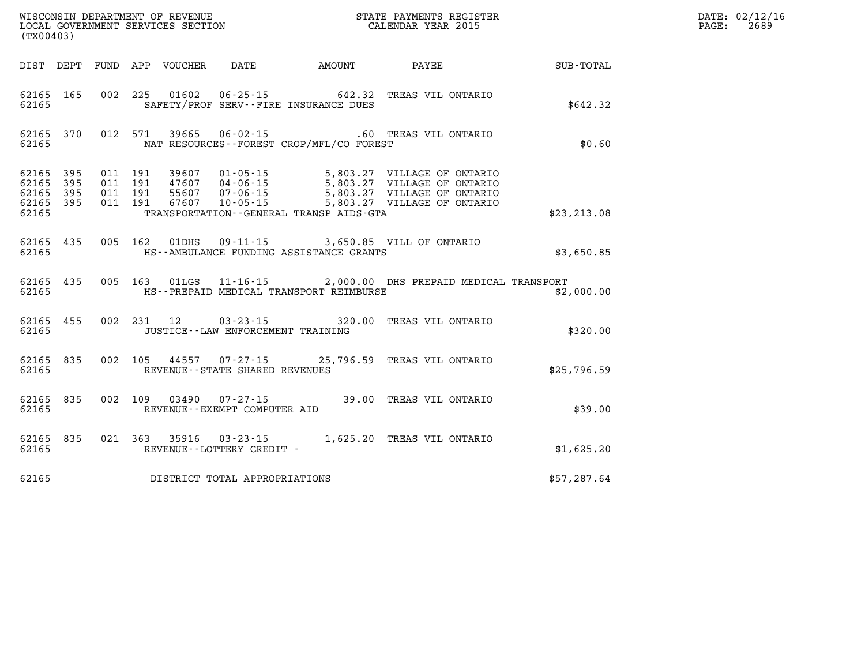| (TX00403)                                             |           |                                          |               |                                      |                                              |                                                                                                                          | DATE: 02/12/16<br>PAGE:<br>2689 |  |
|-------------------------------------------------------|-----------|------------------------------------------|---------------|--------------------------------------|----------------------------------------------|--------------------------------------------------------------------------------------------------------------------------|---------------------------------|--|
|                                                       |           |                                          |               |                                      | DIST DEPT FUND APP VOUCHER DATE AMOUNT PAYEE |                                                                                                                          | SUB-TOTAL                       |  |
| 62165                                                 | 62165 165 |                                          |               |                                      | SAFETY/PROF SERV--FIRE INSURANCE DUES        | 002 225 01602 06-25-15 642.32 TREAS VIL ONTARIO                                                                          | \$642.32                        |  |
| 62165                                                 | 62165 370 |                                          |               | 012 571 39665 06-02-15               | NAT RESOURCES - - FOREST CROP/MFL/CO FOREST  | .60 TREAS VIL ONTARIO                                                                                                    | \$0.60                          |  |
| 62165 395<br>62165<br>62165 395<br>62165 395<br>62165 | 395       | 011 191<br>011 191<br>011 191<br>011 191 | 39607         | $01 - 05 - 15$                       | TRANSPORTATION - - GENERAL TRANSP AIDS - GTA | 5,803.27 VILLAGE OF ONTARIO<br>5,803.27 VILLAGE OF ONTARIO<br>5,803.27 VILLAGE OF ONTARIO<br>5,803.27 VILLAGE OF ONTARIO | \$23, 213.08                    |  |
| 62165 435<br>62165                                    |           |                                          |               |                                      | HS--AMBULANCE FUNDING ASSISTANCE GRANTS      | 005 162 01DHS 09-11-15 3,650.85 VILL OF ONTARIO                                                                          | \$3,650.85                      |  |
| 62165 435<br>62165                                    |           |                                          |               |                                      | HS--PREPAID MEDICAL TRANSPORT REIMBURSE      | 005 163 01LGS 11-16-15 2,000.00 DHS PREPAID MEDICAL TRANSPORT                                                            | \$2,000.00                      |  |
| 62165                                                 | 62165 455 |                                          | 002 231 12    | JUSTICE - - LAW ENFORCEMENT TRAINING |                                              | 03-23-15 320.00 TREAS VIL ONTARIO                                                                                        | \$320.00                        |  |
| 62165 835<br>62165                                    |           |                                          |               | REVENUE - - STATE SHARED REVENUES    |                                              | 002 105 44557 07-27-15 25,796.59 TREAS VIL ONTARIO                                                                       | \$25,796.59                     |  |
| 62165 835<br>62165                                    |           | 002 109                                  |               | REVENUE--EXEMPT COMPUTER AID         |                                              | 03490  07-27-15  39.00  TREAS VIL ONTARIO                                                                                | \$39.00                         |  |
| 62165                                                 | 62165 835 |                                          | 021 363 35916 | REVENUE--LOTTERY CREDIT -            |                                              | 03-23-15 1,625.20 TREAS VIL ONTARIO                                                                                      | \$1,625.20                      |  |
| 62165                                                 |           |                                          |               | DISTRICT TOTAL APPROPRIATIONS        |                                              |                                                                                                                          | \$57,287.64                     |  |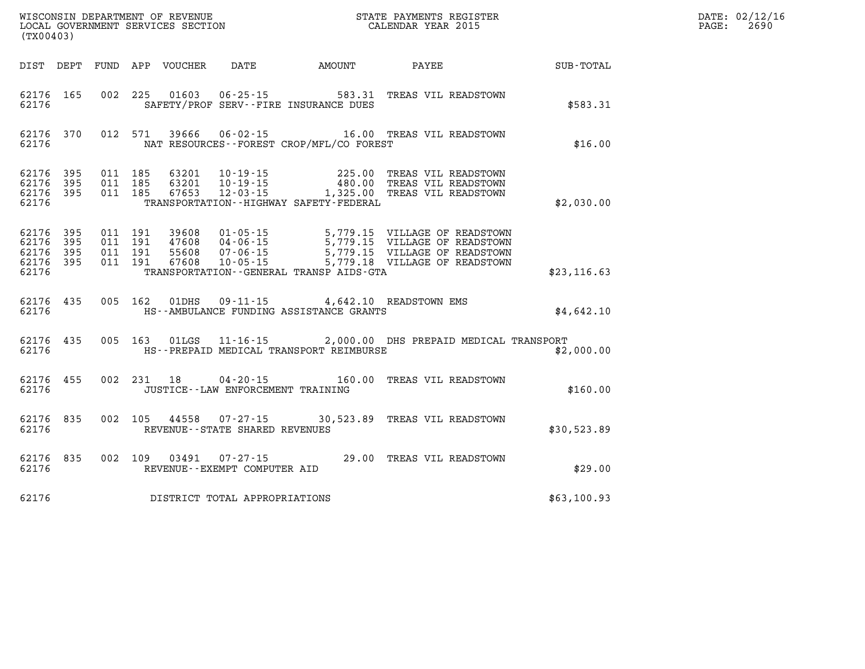| (TX00403)                                             |           |                                          |            |                            |                                                |                                              |                                                                                                                                                                                                          |              | DATE: 02/12/16<br>$\mathtt{PAGE:}$<br>2690 |
|-------------------------------------------------------|-----------|------------------------------------------|------------|----------------------------|------------------------------------------------|----------------------------------------------|----------------------------------------------------------------------------------------------------------------------------------------------------------------------------------------------------------|--------------|--------------------------------------------|
|                                                       |           |                                          |            | DIST DEPT FUND APP VOUCHER | DATE                                           | <b>AMOUNT</b>                                | PAYEE                                                                                                                                                                                                    | SUB-TOTAL    |                                            |
| 62176 165<br>62176                                    |           |                                          |            |                            | SAFETY/PROF SERV--FIRE INSURANCE DUES          | 002 225 01603 06-25-15 583.31                | TREAS VIL READSTOWN                                                                                                                                                                                      | \$583.31     |                                            |
| 62176 370<br>62176                                    |           |                                          |            |                            |                                                | NAT RESOURCES - - FOREST CROP/MFL/CO FOREST  | 012 571 39666 06-02-15 16.00 TREAS VIL READSTOWN                                                                                                                                                         | \$16.00      |                                            |
| 62176 395<br>62176 395<br>62176 395<br>62176          |           | 011 185<br>011 185<br>011 185            |            |                            |                                                | TRANSPORTATION - - HIGHWAY SAFETY - FEDERAL  | 63201 10-19-15 225.00 TREAS VIL READSTOWN<br>63201 10-19-15 480.00 TREAS VIL READSTOWN<br>67653 12-03-15 1,325.00 TREAS VIL READSTOWN                                                                    | \$2,030.00   |                                            |
| 62176 395<br>62176 395<br>62176<br>62176 395<br>62176 | - 395     | 011 191<br>011 191<br>011 191<br>011 191 |            |                            |                                                | TRANSPORTATION - - GENERAL TRANSP AIDS - GTA | 39608  01-05-15  5,779.15  VILLAGE OF READSTOWN<br>47608  04-06-15  5,779.15  VILLAGE OF READSTOWN<br>55608  07-06-15  5,779.15  VILLAGE OF READSTOWN<br>67608  10-05-15  5,779.18  VILLAGE OF READSTOWN | \$23, 116.63 |                                            |
| 62176                                                 | 62176 435 |                                          |            | 005 162 01DHS              |                                                | HS--AMBULANCE FUNDING ASSISTANCE GRANTS      | 09-11-15 4,642.10 READSTOWN EMS                                                                                                                                                                          | \$4,642.10   |                                            |
| 62176 435<br>62176                                    |           |                                          |            |                            |                                                | HS--PREPAID MEDICAL TRANSPORT REIMBURSE      | 005 163 01LGS 11-16-15 2,000.00 DHS PREPAID MEDICAL TRANSPORT                                                                                                                                            | \$2,000.00   |                                            |
| 62176 455<br>62176                                    |           |                                          | 002 231 18 |                            | JUSTICE - - LAW ENFORCEMENT TRAINING           |                                              | 04-20-15 160.00 TREAS VIL READSTOWN                                                                                                                                                                      | \$160.00     |                                            |
| 62176 835<br>62176                                    |           | 002 105                                  |            |                            | REVENUE--STATE SHARED REVENUES                 |                                              | 44558 07-27-15 30,523.89 TREAS VIL READSTOWN                                                                                                                                                             | \$30,523.89  |                                            |
| 62176                                                 | 62176 835 | 002 109                                  |            | 03491                      | $07 - 27 - 15$<br>REVENUE--EXEMPT COMPUTER AID |                                              | 29.00 TREAS VIL READSTOWN                                                                                                                                                                                | \$29.00      |                                            |
| 62176                                                 |           |                                          |            |                            | DISTRICT TOTAL APPROPRIATIONS                  |                                              |                                                                                                                                                                                                          | \$63,100.93  |                                            |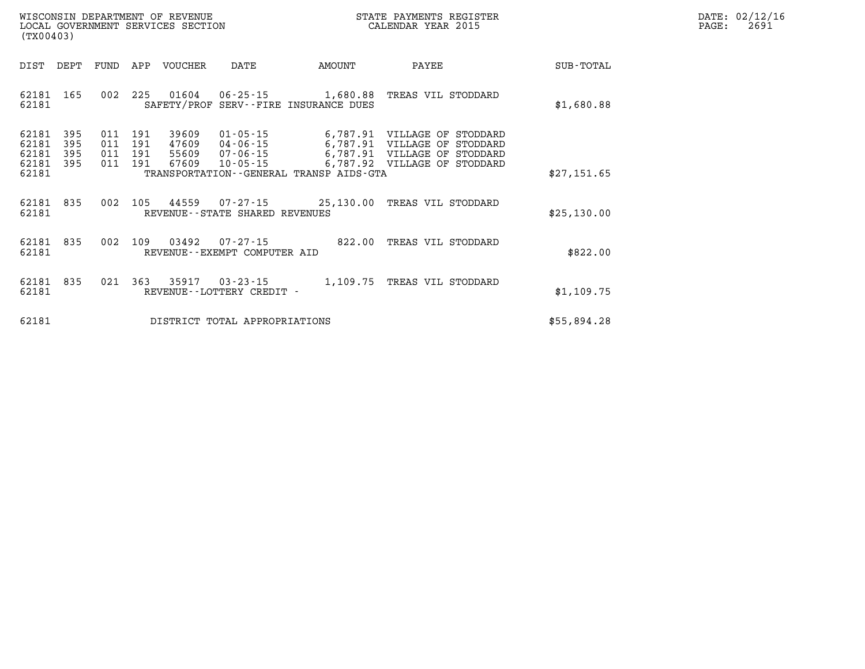| $\mathtt{DATE}$ : | 02/12/16 |
|-------------------|----------|
| PAGE:             | 2691     |

| (TX00403)               |                   |                   |                   | WISCONSIN DEPARTMENT OF REVENUE<br>LOCAL GOVERNMENT SERVICES SECTION |                                                   | STATE PAYMENTS REGISTER<br>CALENDAR YEAR 2015                    |                                                                   |             |
|-------------------------|-------------------|-------------------|-------------------|----------------------------------------------------------------------|---------------------------------------------------|------------------------------------------------------------------|-------------------------------------------------------------------|-------------|
| DIST                    | DEPT              | FUND              | APP               | <b>VOUCHER</b>                                                       | DATE                                              | AMOUNT                                                           | PAYEE                                                             | SUB-TOTAL   |
| 62181<br>62181          | 165               | 002               | 225               | 01604                                                                |                                                   | $06 - 25 - 15$ 1,680.88<br>SAFETY/PROF SERV--FIRE INSURANCE DUES | TREAS VIL STODDARD                                                | \$1,680.88  |
| 62181<br>62181<br>62181 | 395<br>395<br>395 | 011<br>011<br>011 | 191<br>191<br>191 | 39609<br>47609<br>55609                                              | $01 - 05 - 15$<br>04-06-15<br>$07 - 06 - 15$      | 6,787.91<br>6,787.91<br>6,787.91                                 | VILLAGE OF STODDARD<br>VILLAGE OF STODDARD<br>VILLAGE OF STODDARD |             |
| 62181<br>62181          | 395               | 011               | 191               | 67609                                                                | $10 - 05 - 15$                                    | 6,787.92<br>TRANSPORTATION - - GENERAL TRANSP AIDS - GTA         | VILLAGE OF<br>STODDARD                                            | \$27,151.65 |
| 62181<br>62181          | 835               | 002               | 105               | 44559                                                                | REVENUE - - STATE SHARED REVENUES                 | $07 - 27 - 15$ 25,130.00                                         | TREAS VIL STODDARD                                                | \$25,130.00 |
| 62181<br>62181          | 835               | 002               | 109               | 03492                                                                | $07 - 27 - 15$<br>REVENUE - - EXEMPT COMPUTER AID | 822.00                                                           | TREAS VIL STODDARD                                                | \$822.00    |
| 62181<br>62181          | 835               | 021               | 363               | 35917                                                                | $03 - 23 - 15$<br>REVENUE - - LOTTERY CREDIT -    | 1,109.75                                                         | TREAS VIL STODDARD                                                | \$1,109.75  |
| 62181                   |                   |                   |                   |                                                                      | DISTRICT TOTAL APPROPRIATIONS                     |                                                                  |                                                                   | \$55,894.28 |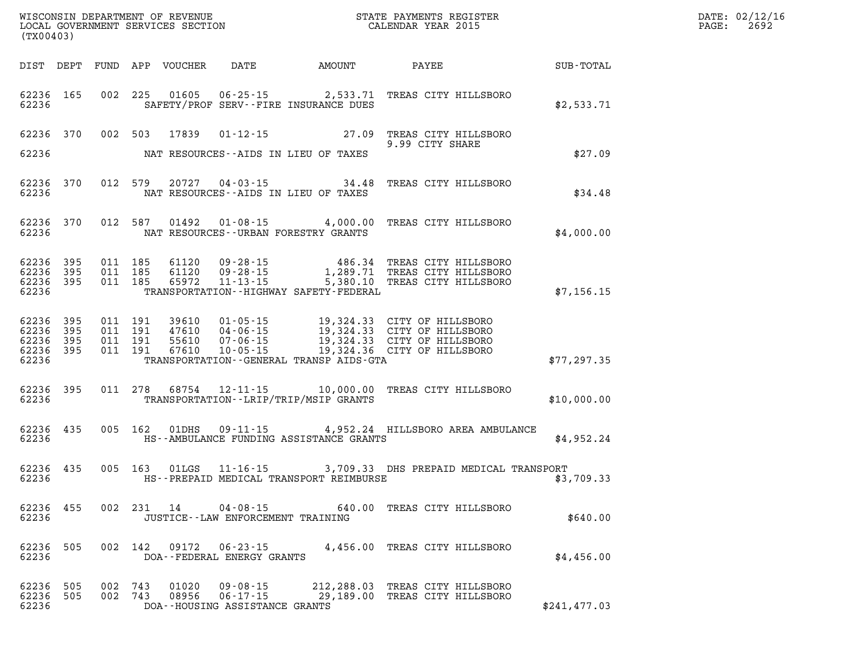| (TX00403)                   |     |                    |                |                                                                    | WISCONSIN DEPARTMENT OF REVENUE<br>LOCAL GOVERNMENT SERVICES SECTION CALENDAR YEAR 2015                                                                                                                                                                                                                                                                                                   | TER EXECUTIVE TERM IN THE RESERVE OF THE RESERVE OF THE RESERVE OF THE RESERVE OF THE RESERVE OF THE RESERVE O<br>DATE: 02/12/16<br>PAGE: 2692 |               |  |
|-----------------------------|-----|--------------------|----------------|--------------------------------------------------------------------|-------------------------------------------------------------------------------------------------------------------------------------------------------------------------------------------------------------------------------------------------------------------------------------------------------------------------------------------------------------------------------------------|------------------------------------------------------------------------------------------------------------------------------------------------|---------------|--|
|                             |     |                    |                |                                                                    | DIST DEPT FUND APP VOUCHER DATE AMOUNT PAYEE SUB-TOTAL                                                                                                                                                                                                                                                                                                                                    |                                                                                                                                                |               |  |
|                             |     |                    |                |                                                                    | 62236 165 002 225 01605 06-25-15 2,533.71 TREAS CITY HILLSBORO<br>62236 SAFETY/PROF SERV--FIRE INSURANCE DUES                                                                                                                                                                                                                                                                             |                                                                                                                                                | \$2,533.71    |  |
|                             |     |                    |                |                                                                    | 62236 370 002 503 17839 01-12-15 27.09 TREAS CITY HILLSBORO<br>9.99 CITY SHARE                                                                                                                                                                                                                                                                                                            | 9.99 CITY SHARE                                                                                                                                | \$27.09       |  |
|                             |     |                    |                |                                                                    | 62236 MAT RESOURCES--AIDS IN LIEU OF TAXES                                                                                                                                                                                                                                                                                                                                                |                                                                                                                                                |               |  |
|                             |     |                    |                |                                                                    | 62236 370 012 579 20727 04-03-15 34.48 TREAS CITY HILLSBORO<br>62236 NAT RESOURCES--AIDS IN LIEU OF TAXES                                                                                                                                                                                                                                                                                 |                                                                                                                                                | \$34.48       |  |
|                             |     |                    |                |                                                                    | 62236 370 012 587 01492 01-08-15 4,000.00 TREAS CITY HILLSBORO<br>62236 NAT RESOURCES--URBAN FORESTRY GRANTS                                                                                                                                                                                                                                                                              |                                                                                                                                                | \$4,000.00    |  |
|                             |     |                    |                |                                                                    | $\begin{array}{cccccccc} 62236 & 395 & 011 & 185 & 61120 & 09\text{-}28\text{-}15 & & 486.34 & \text{TREAS CITY HILLSBORO} \\ 62236 & 395 & 011 & 185 & 61120 & 09\text{-}28\text{-}15 & & 1,289.71 & \text{TREAS CITY HILLSBORO} \\ 62236 & 395 & 011 & 185 & 65972 & 11\text{-}13\text{-}15 & & 5,380.10 & \text{TREAS CITY HILLSBORO$<br>62236 TRANSPORTATION - HIGHWAY SAFETY FEDERAL |                                                                                                                                                | \$7,156.15    |  |
|                             |     |                    |                |                                                                    | $\begin{array}{cccccccc} 62236 & 395 & 011 & 191 & 39610 & 01\cdot 05\cdot 15 & 19,324.33 & \text{CITY OF HILLSBORO} \\ 62236 & 395 & 011 & 191 & 47610 & 04\cdot 06\cdot 15 & 19,324.33 & \text{CITY OF HILLSBORO} \\ 62236 & 395 & 011 & 191 & 55610 & 07\cdot 06\cdot 15 & 19,324.33 & \text{CITY OF HILLSBORO} \\ 62236 & 395$<br>62236 TRANSPORTATION - GENERAL TRANSP AIDS - GTA    |                                                                                                                                                | \$77,297.35   |  |
|                             |     |                    |                |                                                                    | 62236 395 011 278 68754 12-11-15 10,000.00 TREAS CITY HILLSBORO<br>62236 TRANSPORTATION--LRIP/TRIP/MSIP GRANTS                                                                                                                                                                                                                                                                            |                                                                                                                                                | \$10,000.00   |  |
|                             |     |                    |                |                                                                    | 62236 435 005 162 01DHS 09-11-15 4,952.24 HILLSBORO AREA AMBULANCE<br>62236 MS--AMBULANCE FUNDING ASSISTANCE GRANTS                                                                                                                                                                                                                                                                       |                                                                                                                                                | \$4,952.24    |  |
|                             |     |                    |                |                                                                    | 62236 435 005 163 01LGS 11-16-15 3,709.33 DHS PREPAID MEDICAL TRANSPORT<br>62236 THS--PREPAID MEDICAL TRANSPORT REIMBURSE                                                                                                                                                                                                                                                                 |                                                                                                                                                | \$3,709.33    |  |
| 62236 455<br>62236          |     |                    | 002 231 14     | $04 - 08 - 15$<br>JUSTICE--LAW ENFORCEMENT TRAINING                |                                                                                                                                                                                                                                                                                                                                                                                           | 640.00 TREAS CITY HILLSBORO                                                                                                                    | \$640.00      |  |
| 62236<br>62236              | 505 |                    |                | DOA--FEDERAL ENERGY GRANTS                                         | 002 142 09172 06-23-15 4,456.00 TREAS CITY HILLSBORO                                                                                                                                                                                                                                                                                                                                      |                                                                                                                                                | \$4,456.00    |  |
| 62236<br>62236 505<br>62236 | 505 | 002 743<br>002 743 | 01020<br>08956 | $09 - 08 - 15$<br>$06 - 17 - 15$<br>DOA--HOUSING ASSISTANCE GRANTS | 29,189.00 TREAS CITY HILLSBORO                                                                                                                                                                                                                                                                                                                                                            | 212,288.03 TREAS CITY HILLSBORO                                                                                                                | \$241, 477.03 |  |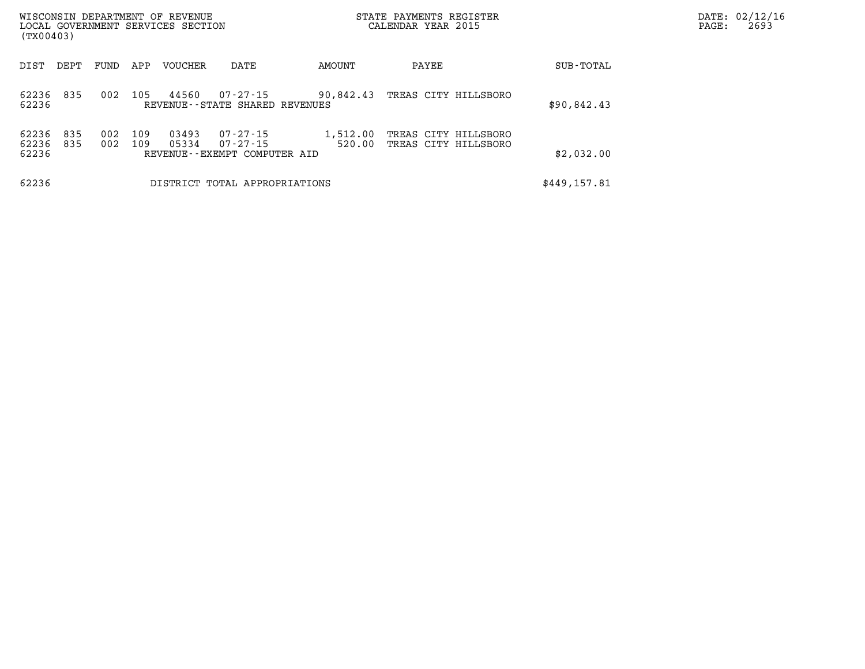| WISCONSIN DEPARTMENT OF REVENUE<br>LOCAL GOVERNMENT SERVICES SECTION<br>(TX00403) |            |            |            |                |                                                      |                    | STATE PAYMENTS REGISTER<br>CALENDAR YEAR 2015 | DATE: 02/12/16<br>2693<br>PAGE: |  |
|-----------------------------------------------------------------------------------|------------|------------|------------|----------------|------------------------------------------------------|--------------------|-----------------------------------------------|---------------------------------|--|
| DIST                                                                              | DEPT       | FUND       | APP        | VOUCHER        | DATE                                                 | AMOUNT             | PAYEE                                         | SUB-TOTAL                       |  |
| 62236<br>62236                                                                    | 835        | 002        | 105        | 44560          | 07-27-15<br>REVENUE--STATE SHARED REVENUES           | 90,842.43          | TREAS CITY HILLSBORO                          | \$90,842.43                     |  |
| 62236<br>62236<br>62236                                                           | 835<br>835 | 002<br>002 | 109<br>109 | 03493<br>05334 | 07-27-15<br>07-27-15<br>REVENUE--EXEMPT COMPUTER AID | 1,512.00<br>520.00 | TREAS CITY HILLSBORO<br>TREAS CITY HILLSBORO  | \$2,032.00                      |  |
| 62236                                                                             |            |            |            |                | DISTRICT TOTAL APPROPRIATIONS                        |                    |                                               | \$449,157.81                    |  |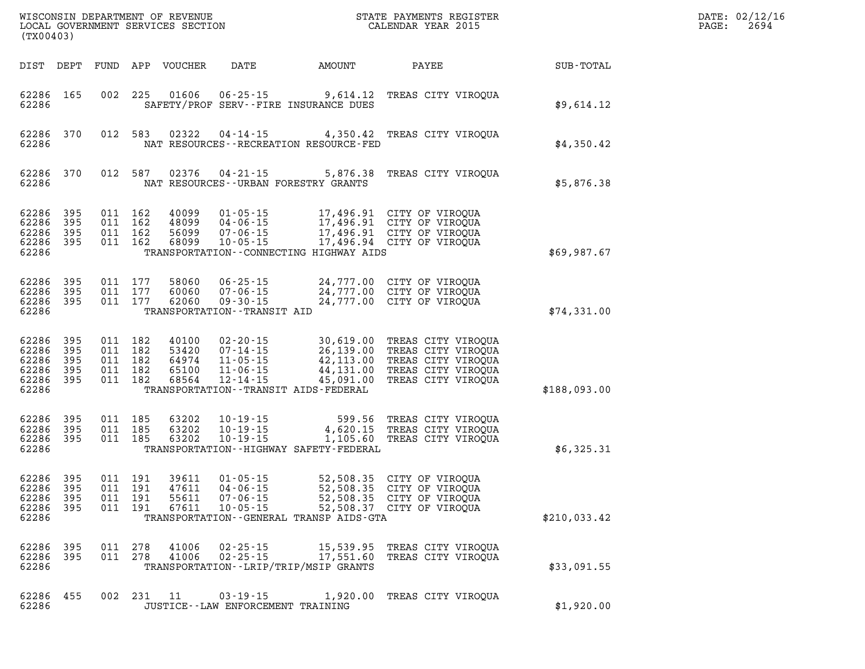| WISCONSIN DEPARTMENT OF REVENUE<br>LOCAL GOVERNMENT SERVICES SECTION<br>(TX00403)     |                                 |                                                                                                                                                                                                                     |                                                               |                                                                                                            |              |
|---------------------------------------------------------------------------------------|---------------------------------|---------------------------------------------------------------------------------------------------------------------------------------------------------------------------------------------------------------------|---------------------------------------------------------------|------------------------------------------------------------------------------------------------------------|--------------|
| DIST<br>DEPT                                                                          | FUND                            | APP<br>VOUCHER<br>DATE                                                                                                                                                                                              | AMOUNT                                                        | PAYEE                                                                                                      | SUB-TOTAL    |
| 62286<br>165<br>62286                                                                 | 002                             | 225<br>01606<br>$06 - 25 - 15$<br>SAFETY/PROF SERV--FIRE INSURANCE DUES                                                                                                                                             | 9,614.12                                                      | TREAS CITY VIROQUA                                                                                         | \$9,614.12   |
| 62286<br>370<br>62286                                                                 | 012                             | 583<br>02322<br>$04 - 14 - 15$<br>NAT RESOURCES - - RECREATION RESOURCE - FED                                                                                                                                       | 4,350.42                                                      | TREAS CITY VIROOUA                                                                                         | \$4,350.42   |
| 62286<br>370<br>62286                                                                 | 012                             | 587<br>02376<br>$04 - 21 - 15$<br>NAT RESOURCES - - URBAN FORESTRY GRANTS                                                                                                                                           | 5,876.38                                                      | TREAS CITY VIROQUA                                                                                         | \$5,876.38   |
| 62286<br>395<br>62286<br>395<br>62286<br>395<br>62286<br>395<br>62286                 | 011<br>011<br>011<br>011        | 162<br>40099<br>$01 - 05 - 15$<br>162<br>48099<br>$04 - 06 - 15$<br>162<br>56099<br>$07 - 06 - 15$<br>162<br>68099<br>$10 - 05 - 15$<br>TRANSPORTATION--CONNECTING HIGHWAY AIDS                                     | 17,496.91<br>17,496.94                                        | 17,496.91 CITY OF VIROQUA<br>CITY OF VIROQUA<br>17,496.91 CITY OF VIROQUA<br>CITY OF VIROQUA               | \$69,987.67  |
| 62286<br>395<br>62286<br>395<br>62286<br>395<br>62286                                 | 011<br>011<br>011               | 177<br>58060<br>$06 - 25 - 15$<br>177<br>60060<br>$07 - 06 - 15$<br>177<br>62060<br>$09 - 30 - 15$<br>TRANSPORTATION - - TRANSIT AID                                                                                | 24,777.00<br>24,777.00                                        | CITY OF VIROQUA<br>24,777.00 CITY OF VIROQUA<br>CITY OF VIROQUA                                            | \$74,331.00  |
| 62286<br>395<br>62286<br>395<br>62286<br>395<br>62286<br>395<br>62286<br>395<br>62286 | 011<br>011<br>011<br>011<br>011 | 182<br>40100<br>$02 - 20 - 15$<br>182<br>53420<br>$07 - 14 - 15$<br>182<br>64974<br>$11 - 05 - 15$<br>182<br>65100<br>$11 - 06 - 15$<br>182<br>68564<br>$12 - 14 - 15$<br>TRANSPORTATION - - TRANSIT AIDS - FEDERAL | 30,619.00<br>26,139.00<br>42,113.00<br>44,131.00<br>45,091.00 | TREAS CITY VIROQUA<br>TREAS CITY VIROQUA<br>TREAS CITY VIROQUA<br>TREAS CITY VIROQUA<br>TREAS CITY VIROQUA | \$188,093.00 |
| 62286<br>395<br>62286<br>395<br>62286<br>395<br>62286                                 | 011<br>011<br>011               | 185<br>63202<br>$10 - 19 - 15$<br>185<br>63202<br>$10 - 19 - 15$<br>185<br>63202<br>$10 - 19 - 15$<br>TRANSPORTATION - - HIGHWAY SAFETY - FEDERAL                                                                   | 599.56<br>4,620.15<br>1,105.60                                | TREAS CITY VIROQUA<br>TREAS CITY VIROQUA<br>TREAS CITY VIROQUA                                             | \$6,325.31   |
| 62286<br>395<br>62286<br>395<br>395<br>62286<br>62286<br>395<br>62286                 | 011<br>011<br>011<br>011        | 191<br>39611<br>$01 - 05 - 15$<br>191<br>47611<br>$04 - 06 - 15$<br>191<br>55611<br>$07 - 06 - 15$<br>191<br>67611<br>$10 - 05 - 15$<br>TRANSPORTATION--GENERAL TRANSP AIDS-GTA                                     | 52,508.35<br>52,508.35<br>52,508.35                           | CITY OF VIROQUA<br>CITY OF VIROQUA<br>CITY OF VIROQUA<br>52,508.37 CITY OF VIROQUA                         | \$210,033.42 |
| 62286<br>395<br>62286<br>395<br>62286                                                 | 011<br>011                      | 278<br>41006<br>$02 - 25 - 15$<br>278<br>41006<br>$02 - 25 - 15$<br>TRANSPORTATION - - LRIP/TRIP/MSIP GRANTS                                                                                                        | 15,539.95<br>17,551.60                                        | TREAS CITY VIROQUA<br>TREAS CITY VIROQUA                                                                   | \$33,091.55  |
| 62286<br>455<br>62286                                                                 | 002                             | 231<br>11<br>$03 - 19 - 15$<br>JUSTICE - - LAW ENFORCEMENT TRAINING                                                                                                                                                 | 1,920.00                                                      | TREAS CITY VIROOUA                                                                                         | \$1,920.00   |

DATE: 02/12/16 PAGE: 2694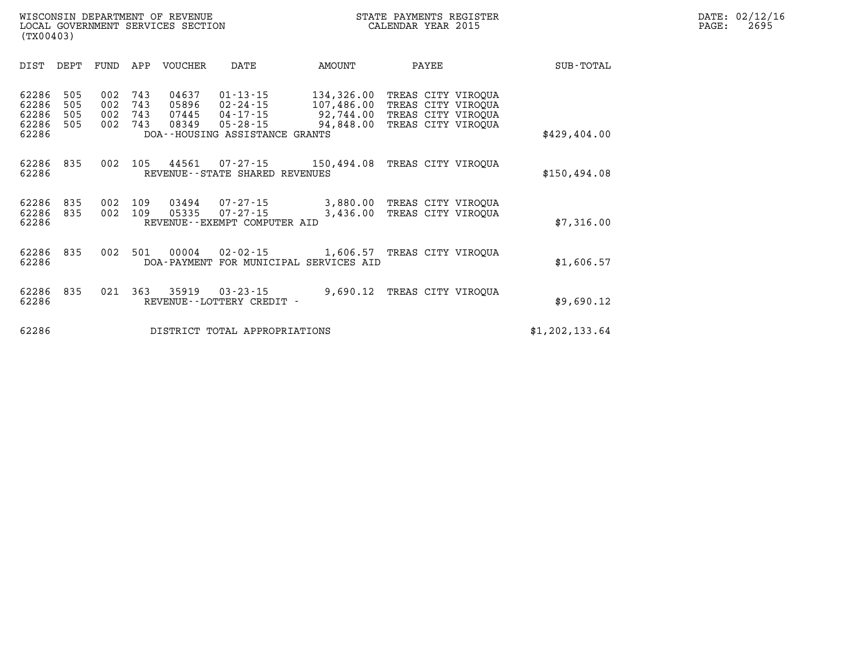| \$429,404.00   | $1111110 0111$ $111000011$<br>TREAS CITY VIROOUA<br>TREAS CITY VIROOUA | 92,744.00<br>94,848.00 |            | $04 - 17 - 15$<br>$05 - 28 - 15$<br>DOA--HOUSING ASSISTANCE GRANTS | 07445<br>08349 | 743<br>743 | 002<br>002 | 505<br>505 | 62286<br>62286<br>62286 |
|----------------|------------------------------------------------------------------------|------------------------|------------|--------------------------------------------------------------------|----------------|------------|------------|------------|-------------------------|
| \$150, 494.08  | TREAS CITY VIROOUA                                                     |                        | 150,494.08 | $07 - 27 - 15$<br>REVENUE - - STATE SHARED REVENUES                | 44561          | 105        | 002        | 835        | 62286<br>62286          |
| \$7,316.00     | TREAS CITY VIROOUA<br>TREAS CITY VIROOUA                               | 3,880.00<br>3,436.00   |            | $07 - 27 - 15$<br>$07 - 27 - 15$<br>REVENUE--EXEMPT COMPUTER AID   | 03494<br>05335 | 109<br>109 | 002<br>002 | 835<br>835 | 62286<br>62286<br>62286 |
| \$1,606.57     | TREAS CITY VIROOUA                                                     | 1,606.57               |            | $02 - 02 - 15$<br>DOA-PAYMENT FOR MUNICIPAL SERVICES AID           | 00004          | 501        | 002        | 835        | 62286<br>62286          |
| \$9,690.12     | TREAS CITY VIROOUA                                                     | 9,690.12               |            | $03 - 23 - 15$<br>REVENUE - - LOTTERY CREDIT -                     | 35919          | 363        | 021        | 835        | 62286<br>62286          |
| \$1,202,133.64 |                                                                        |                        |            | DISTRICT TOTAL APPROPRIATIONS                                      |                |            |            |            | 62286                   |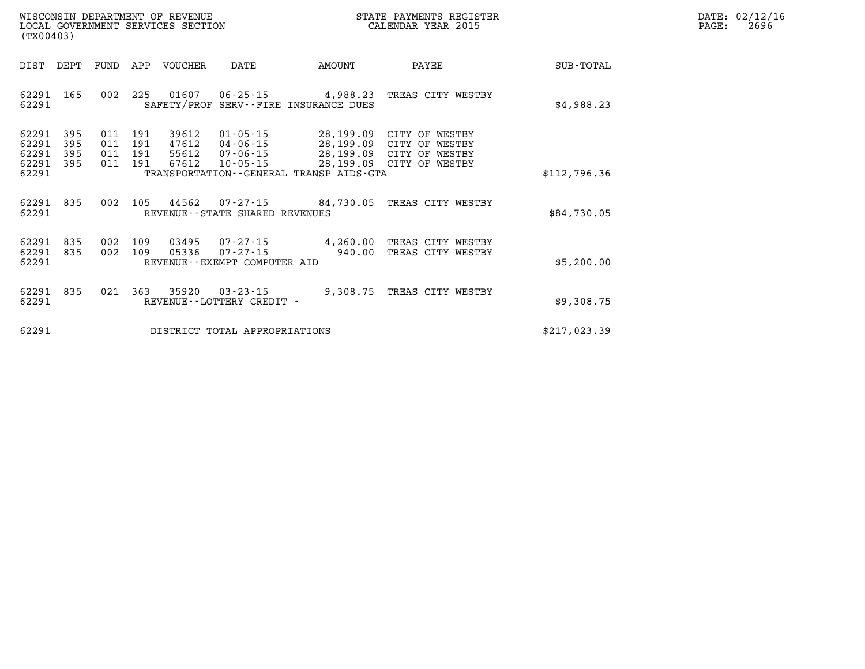| WISCONSIN DEPARTMENT OF REVENUE      | PAYMENTS REGISTER<br>3TATE | DATE: | 02/12/16 |
|--------------------------------------|----------------------------|-------|----------|
| GOVERNMENT SERVICES SECTION<br>LOCAL | CALENDAR YEAR 2015         | PAGE  | 2696     |

| (TX00403)               |            |            |            | LOCAL GOVERNMENT SERVICES SECTION |                                                      | CALENDAR YEAR 2015                           |                                                      | PAGE:        | 2696 |  |
|-------------------------|------------|------------|------------|-----------------------------------|------------------------------------------------------|----------------------------------------------|------------------------------------------------------|--------------|------|--|
| DIST                    | DEPT       | FUND       |            | APP VOUCHER                       | DATE                                                 | AMOUNT                                       | PAYEE                                                | SUB-TOTAL    |      |  |
| 62291 165<br>62291      |            | 002        | 225        |                                   | 01607 06-25-15                                       | SAFETY/PROF SERV--FIRE INSURANCE DUES        | 4,988.23 TREAS CITY WESTBY                           | \$4,988.23   |      |  |
| 62291<br>62291          | 395<br>395 | 011<br>011 | 191<br>191 | 39612<br>47612                    | $01 - 05 - 15$<br>04-06-15                           |                                              | 28,199.09 CITY OF WESTBY<br>28,199.09 CITY OF WESTBY |              |      |  |
| 62291<br>62291<br>62291 | 395<br>395 | 011<br>011 | 191<br>191 | 55612<br>67612                    | 07-06-15<br>$10 - 05 - 15$                           | TRANSPORTATION - - GENERAL TRANSP AIDS - GTA | 28,199.09 CITY OF WESTBY<br>28,199.09 CITY OF WESTBY | \$112,796.36 |      |  |
| 62291 835<br>62291      |            | 002        | 105        |                                   | REVENUE - - STATE SHARED REVENUES                    |                                              | 44562  07-27-15  84,730.05  TREAS CITY WESTBY        | \$84,730.05  |      |  |
| 62291<br>62291<br>62291 | 835<br>835 | 002<br>002 | 109<br>109 | 03495<br>05336                    | 07-27-15<br>07-27-15<br>REVENUE--EXEMPT COMPUTER AID | 940.00                                       | 4,260.00 TREAS CITY WESTBY<br>TREAS CITY WESTBY      | \$5,200.00   |      |  |
| 62291<br>62291          | 835        |            | 021 363    | 35920                             | 03-23-15<br>REVENUE - - LOTTERY CREDIT -             | 9,308.75                                     | TREAS CITY WESTBY                                    | \$9,308.75   |      |  |
| 62291                   |            |            |            |                                   | DISTRICT TOTAL APPROPRIATIONS                        |                                              |                                                      | \$217,023.39 |      |  |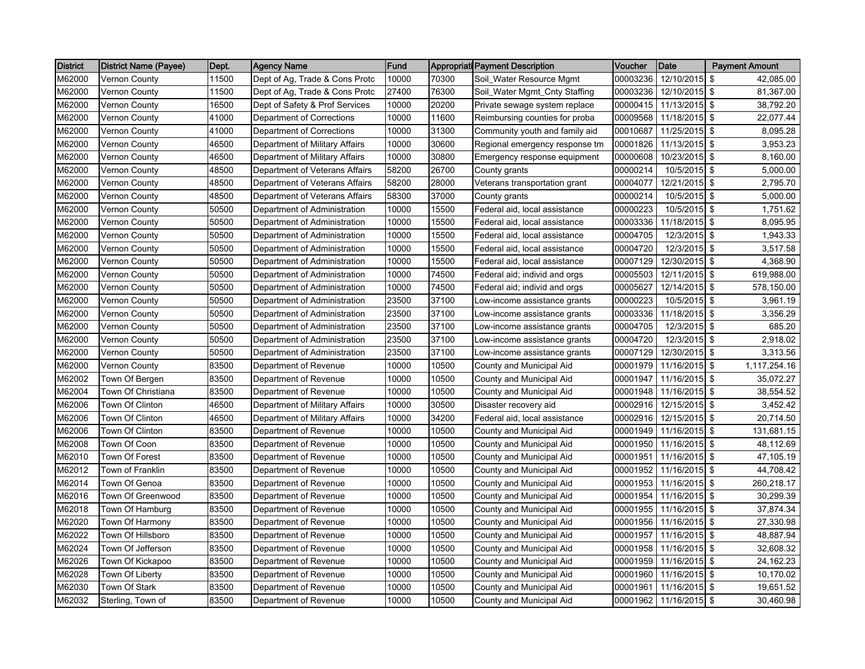| <b>District</b> | <b>District Name (Payee)</b> | Dept. | <b>Agency Name</b>             | Fund  |       | <b>Appropriati Payment Description</b> | Voucher  | <b>Date</b>            | <b>Payment Amount</b> |
|-----------------|------------------------------|-------|--------------------------------|-------|-------|----------------------------------------|----------|------------------------|-----------------------|
| M62000          | <b>Vernon County</b>         | 11500 | Dept of Ag, Trade & Cons Protc | 10000 | 70300 | Soil_Water Resource Mgmt               | 00003236 | 12/10/2015             | \$<br>42,085.00       |
| M62000          | <b>Vernon County</b>         | 11500 | Dept of Ag, Trade & Cons Protc | 27400 | 76300 | Soil_Water Mgmt_Cnty Staffing          | 00003236 | 12/10/2015 \$          | 81,367.00             |
| M62000          | <b>Vernon County</b>         | 16500 | Dept of Safety & Prof Services | 10000 | 20200 | Private sewage system replace          | 00000415 | 11/13/2015 \$          | 38,792.20             |
| M62000          | <b>Vernon County</b>         | 41000 | Department of Corrections      | 10000 | 11600 | Reimbursing counties for proba         | 00009568 | 11/18/2015             | \$<br>22,077.44       |
| M62000          | <b>Vernon County</b>         | 41000 | Department of Corrections      | 10000 | 31300 | Community youth and family aid         | 00010687 | 11/25/2015             | \$<br>8,095.28        |
| M62000          | <b>Vernon County</b>         | 46500 | Department of Military Affairs | 10000 | 30600 | Regional emergency response tm         | 00001826 | $11/13/2015$ \$        | 3,953.23              |
| M62000          | <b>Vernon County</b>         | 46500 | Department of Military Affairs | 10000 | 30800 | Emergency response equipment           | 00000608 | 10/23/2015             | \$<br>8,160.00        |
| M62000          | <b>Vernon County</b>         | 48500 | Department of Veterans Affairs | 58200 | 26700 | County grants                          | 00000214 | 10/5/2015 \$           | 5,000.00              |
| M62000          | <b>Vernon County</b>         | 48500 | Department of Veterans Affairs | 58200 | 28000 | Veterans transportation grant          | 00004077 | 12/21/2015             | \$<br>2,795.70        |
| M62000          | <b>Vernon County</b>         | 48500 | Department of Veterans Affairs | 58300 | 37000 | County grants                          | 00000214 | 10/5/2015              | \$<br>5,000.00        |
| M62000          | <b>Vernon County</b>         | 50500 | Department of Administration   | 10000 | 15500 | Federal aid, local assistance          | 00000223 | 10/5/2015 \$           | 1,751.62              |
| M62000          | <b>Vernon County</b>         | 50500 | Department of Administration   | 10000 | 15500 | Federal aid, local assistance          | 00003336 | 11/18/2015 \$          | 8,095.95              |
| M62000          | <b>Vernon County</b>         | 50500 | Department of Administration   | 10000 | 15500 | Federal aid, local assistance          | 00004705 | 12/3/2015 \$           | 1,943.33              |
| M62000          | <b>Vernon County</b>         | 50500 | Department of Administration   | 10000 | 15500 | Federal aid, local assistance          | 00004720 | 12/3/2015              | \$<br>3,517.58        |
| M62000          | <b>Vernon County</b>         | 50500 | Department of Administration   | 10000 | 15500 | Federal aid, local assistance          | 00007129 | 12/30/2015 \$          | 4,368.90              |
| M62000          | <b>Vernon County</b>         | 50500 | Department of Administration   | 10000 | 74500 | Federal aid; individ and orgs          | 00005503 | 12/11/2015             | \$<br>619,988.00      |
| M62000          | <b>Vernon County</b>         | 50500 | Department of Administration   | 10000 | 74500 | Federal aid; individ and orgs          | 00005627 | 12/14/2015 \$          | 578,150.00            |
| M62000          | Vernon County                | 50500 | Department of Administration   | 23500 | 37100 | Low-income assistance grants           | 00000223 | 10/5/2015              | \$<br>3,961.19        |
| M62000          | <b>Vernon County</b>         | 50500 | Department of Administration   | 23500 | 37100 | Low-income assistance grants           | 00003336 | 11/18/2015             | \$<br>3,356.29        |
| M62000          | <b>Vernon County</b>         | 50500 | Department of Administration   | 23500 | 37100 | Low-income assistance grants           | 00004705 | 12/3/2015 \$           | 685.20                |
| M62000          | <b>Vernon County</b>         | 50500 | Department of Administration   | 23500 | 37100 | Low-income assistance grants           | 00004720 | 12/3/2015              | \$<br>2,918.02        |
| M62000          | <b>Vernon County</b>         | 50500 | Department of Administration   | 23500 | 37100 | Low-income assistance grants           | 00007129 | 12/30/2015 \$          | 3,313.56              |
| M62000          | <b>Vernon County</b>         | 83500 | Department of Revenue          | 10000 | 10500 | County and Municipal Aid               | 00001979 | 11/16/2015             | \$<br>1,117,254.16    |
| M62002          | Town Of Bergen               | 83500 | Department of Revenue          | 10000 | 10500 | County and Municipal Aid               | 00001947 | 11/16/2015 \$          | 35,072.27             |
| M62004          | Town Of Christiana           | 83500 | Department of Revenue          | 10000 | 10500 | County and Municipal Aid               | 00001948 | 11/16/2015             | \$<br>38,554.52       |
| M62006          | Town Of Clinton              | 46500 | Department of Military Affairs | 10000 | 30500 | Disaster recovery aid                  | 00002916 | 12/15/2015 \$          | 3,452.42              |
| M62006          | Town Of Clinton              | 46500 | Department of Military Affairs | 10000 | 34200 | Federal aid, local assistance          | 00002916 | 12/15/2015             | \$<br>20,714.50       |
| M62006          | Town Of Clinton              | 83500 | Department of Revenue          | 10000 | 10500 | County and Municipal Aid               | 00001949 | 11/16/2015             | \$<br>131,681.15      |
| M62008          | Town Of Coon                 | 83500 | Department of Revenue          | 10000 | 10500 | County and Municipal Aid               | 00001950 | 11/16/2015 \$          | 48,112.69             |
| M62010          | Town Of Forest               | 83500 | Department of Revenue          | 10000 | 10500 | County and Municipal Aid               | 00001951 | 11/16/2015             | \$<br>47,105.19       |
| M62012          | Town of Franklin             | 83500 | Department of Revenue          | 10000 | 10500 | County and Municipal Aid               | 00001952 | 11/16/2015             | \$<br>44,708.42       |
| M62014          | Town Of Genoa                | 83500 | Department of Revenue          | 10000 | 10500 | County and Municipal Aid               | 00001953 | 11/16/2015             | \$<br>260,218.17      |
| M62016          | Town Of Greenwood            | 83500 | Department of Revenue          | 10000 | 10500 | County and Municipal Aid               | 00001954 | 11/16/2015 \$          | 30,299.39             |
| M62018          | Town Of Hamburg              | 83500 | Department of Revenue          | 10000 | 10500 | County and Municipal Aid               | 00001955 | 11/16/2015 \$          | 37,874.34             |
| M62020          | Town Of Harmony              | 83500 | Department of Revenue          | 10000 | 10500 | County and Municipal Aid               | 00001956 | 11/16/2015             | \$<br>27,330.98       |
| M62022          | Town Of Hillsboro            | 83500 | Department of Revenue          | 10000 | 10500 | County and Municipal Aid               | 00001957 | 11/16/2015 \$          | 48,887.94             |
| M62024          | Town Of Jefferson            | 83500 | Department of Revenue          | 10000 | 10500 | County and Municipal Aid               | 00001958 | 11/16/2015             | \$<br>32,608.32       |
| M62026          | Town Of Kickapoo             | 83500 | Department of Revenue          | 10000 | 10500 | County and Municipal Aid               | 00001959 | 11/16/2015             | \$<br>24,162.23       |
| M62028          | Town Of Liberty              | 83500 | Department of Revenue          | 10000 | 10500 | County and Municipal Aid               | 00001960 | 11/16/2015             | \$<br>10,170.02       |
| M62030          | Town Of Stark                | 83500 | Department of Revenue          | 10000 | 10500 | County and Municipal Aid               | 00001961 | 11/16/2015 \$          | 19,651.52             |
| M62032          | Sterling, Town of            | 83500 | Department of Revenue          | 10000 | 10500 | County and Municipal Aid               |          | 00001962 11/16/2015 \$ | 30,460.98             |